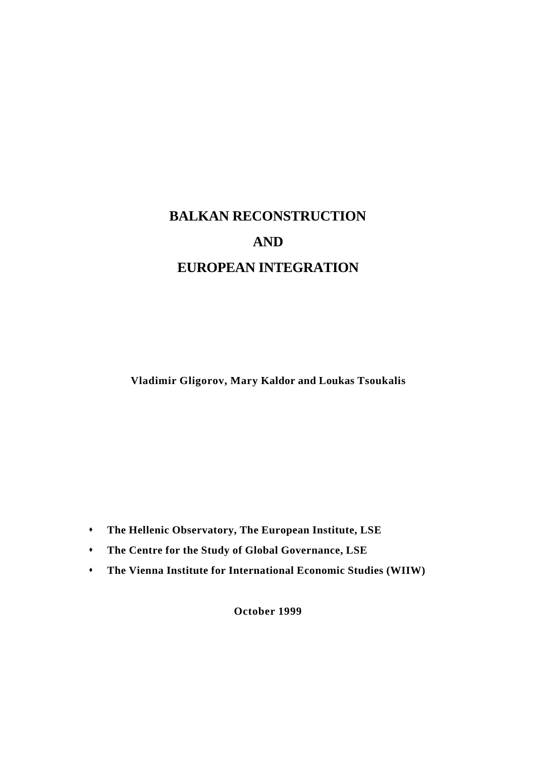# **BALKAN RECONSTRUCTION AND EUROPEAN INTEGRATION**

**Vladimir Gligorov, Mary Kaldor and Loukas Tsoukalis**

- s **The Hellenic Observatory, The European Institute, LSE**
- s **The Centre for the Study of Global Governance, LSE**
- s **The Vienna Institute for International Economic Studies (WIIW)**

**October 1999**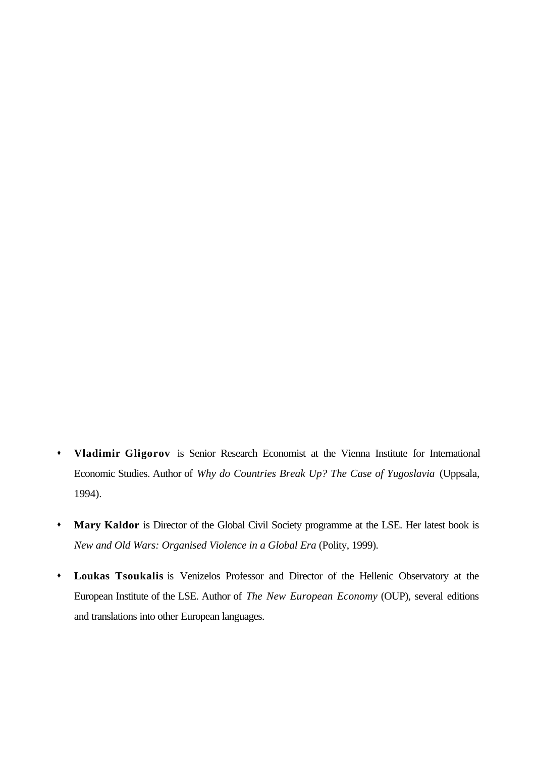- **\*** Vladimir Gligorov is Senior Research Economist at the Vienna Institute for International Economic Studies. Author of *Why do Countries Break Up? The Case of Yugoslavia* (Uppsala, 1994).
- **\*** Mary Kaldor is Director of the Global Civil Society programme at the LSE. Her latest book is *New and Old Wars: Organised Violence in a Global Era* (Polity, 1999).
- s **Loukas Tsoukalis** is Venizelos Professor and Director of the Hellenic Observatory at the European Institute of the LSE. Author of *The New European Economy* (OUP), several editions and translations into other European languages.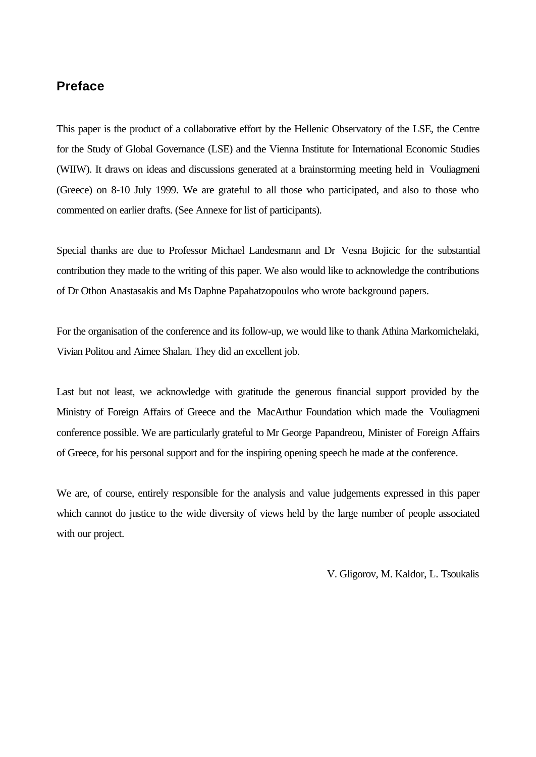## **Preface**

This paper is the product of a collaborative effort by the Hellenic Observatory of the LSE, the Centre for the Study of Global Governance (LSE) and the Vienna Institute for International Economic Studies (WIIW). It draws on ideas and discussions generated at a brainstorming meeting held in Vouliagmeni (Greece) on 8-10 July 1999. We are grateful to all those who participated, and also to those who commented on earlier drafts. (See Annexe for list of participants).

Special thanks are due to Professor Michael Landesmann and Dr Vesna Bojicic for the substantial contribution they made to the writing of this paper. We also would like to acknowledge the contributions of Dr Othon Anastasakis and Ms Daphne Papahatzopoulos who wrote background papers.

For the organisation of the conference and its follow-up, we would like to thank Athina Markomichelaki, Vivian Politou and Aimee Shalan. They did an excellent job.

Last but not least, we acknowledge with gratitude the generous financial support provided by the Ministry of Foreign Affairs of Greece and the MacArthur Foundation which made the Vouliagmeni conference possible. We are particularly grateful to Mr George Papandreou, Minister of Foreign Affairs of Greece, for his personal support and for the inspiring opening speech he made at the conference.

We are, of course, entirely responsible for the analysis and value judgements expressed in this paper which cannot do justice to the wide diversity of views held by the large number of people associated with our project.

V. Gligorov, M. Kaldor, L. Tsoukalis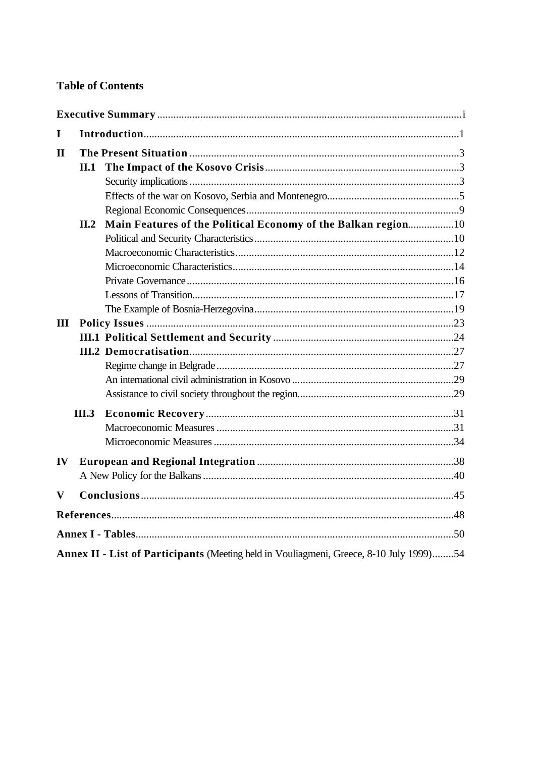## **Table of Contents**

| $\bf{I}$     |              |                                                                                         |
|--------------|--------------|-----------------------------------------------------------------------------------------|
| $\mathbf{I}$ |              |                                                                                         |
|              | II.1         |                                                                                         |
|              |              |                                                                                         |
|              |              |                                                                                         |
|              |              |                                                                                         |
|              | II.2         | Main Features of the Political Economy of the Balkan region10                           |
|              |              |                                                                                         |
|              |              |                                                                                         |
|              |              |                                                                                         |
|              |              |                                                                                         |
|              |              |                                                                                         |
|              |              |                                                                                         |
| Ш            |              |                                                                                         |
|              |              |                                                                                         |
|              |              |                                                                                         |
|              |              |                                                                                         |
|              |              |                                                                                         |
|              |              |                                                                                         |
|              | <b>III.3</b> |                                                                                         |
|              |              |                                                                                         |
|              |              |                                                                                         |
| $\mathbf{I}$ |              |                                                                                         |
|              |              |                                                                                         |
| V            |              |                                                                                         |
|              |              |                                                                                         |
|              |              |                                                                                         |
|              |              | Annex II - List of Participants (Meeting held in Vouliagmeni, Greece, 8-10 July 1999)54 |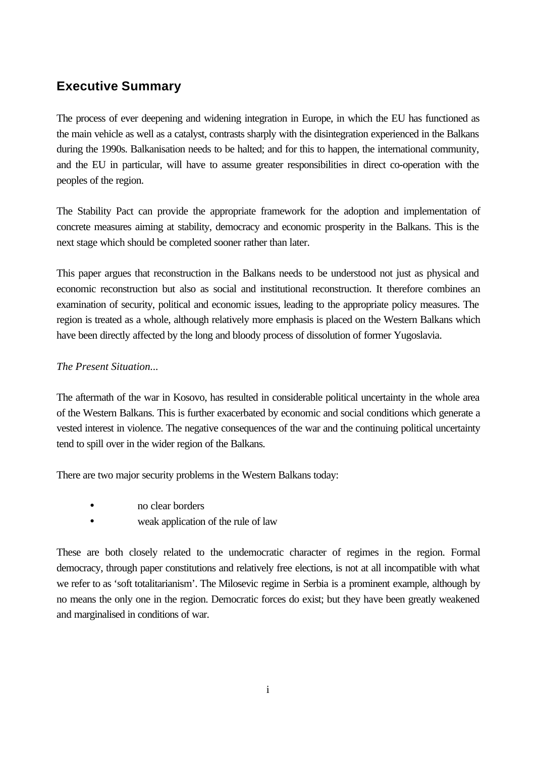## **Executive Summary**

The process of ever deepening and widening integration in Europe, in which the EU has functioned as the main vehicle as well as a catalyst, contrasts sharply with the disintegration experienced in the Balkans during the 1990s. Balkanisation needs to be halted; and for this to happen, the international community, and the EU in particular, will have to assume greater responsibilities in direct co-operation with the peoples of the region.

The Stability Pact can provide the appropriate framework for the adoption and implementation of concrete measures aiming at stability, democracy and economic prosperity in the Balkans. This is the next stage which should be completed sooner rather than later.

This paper argues that reconstruction in the Balkans needs to be understood not just as physical and economic reconstruction but also as social and institutional reconstruction. It therefore combines an examination of security, political and economic issues, leading to the appropriate policy measures. The region is treated as a whole, although relatively more emphasis is placed on the Western Balkans which have been directly affected by the long and bloody process of dissolution of former Yugoslavia.

#### *The Present Situation...*

The aftermath of the war in Kosovo, has resulted in considerable political uncertainty in the whole area of the Western Balkans. This is further exacerbated by economic and social conditions which generate a vested interest in violence. The negative consequences of the war and the continuing political uncertainty tend to spill over in the wider region of the Balkans.

There are two major security problems in the Western Balkans today:

- no clear borders
- weak application of the rule of law

These are both closely related to the undemocratic character of regimes in the region. Formal democracy, through paper constitutions and relatively free elections, is not at all incompatible with what we refer to as 'soft totalitarianism'. The Milosevic regime in Serbia is a prominent example, although by no means the only one in the region. Democratic forces do exist; but they have been greatly weakened and marginalised in conditions of war.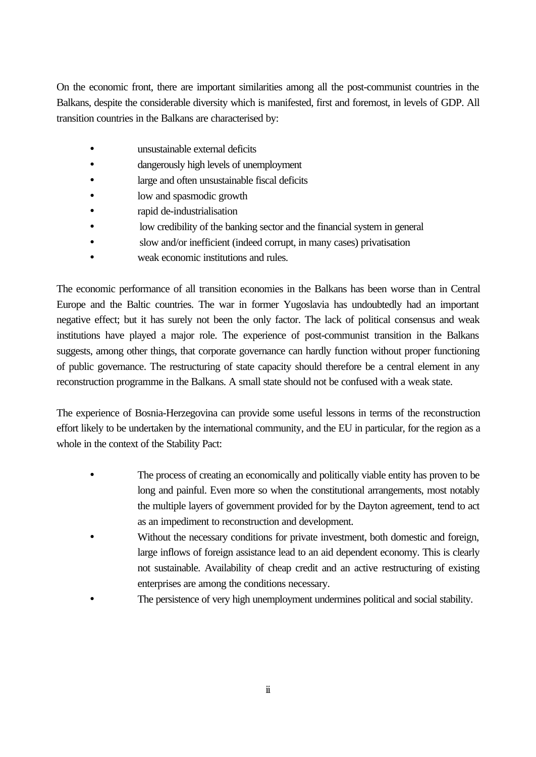On the economic front, there are important similarities among all the post-communist countries in the Balkans, despite the considerable diversity which is manifested, first and foremost, in levels of GDP. All transition countries in the Balkans are characterised by:

- unsustainable external deficits
- dangerously high levels of unemployment
- large and often unsustainable fiscal deficits
- low and spasmodic growth
- rapid de-industrialisation
- low credibility of the banking sector and the financial system in general
- slow and/or inefficient (indeed corrupt, in many cases) privatisation
- weak economic institutions and rules.

The economic performance of all transition economies in the Balkans has been worse than in Central Europe and the Baltic countries. The war in former Yugoslavia has undoubtedly had an important negative effect; but it has surely not been the only factor. The lack of political consensus and weak institutions have played a major role. The experience of post-communist transition in the Balkans suggests, among other things, that corporate governance can hardly function without proper functioning of public governance. The restructuring of state capacity should therefore be a central element in any reconstruction programme in the Balkans. A small state should not be confused with a weak state.

The experience of Bosnia-Herzegovina can provide some useful lessons in terms of the reconstruction effort likely to be undertaken by the international community, and the EU in particular, for the region as a whole in the context of the Stability Pact:

- The process of creating an economically and politically viable entity has proven to be long and painful. Even more so when the constitutional arrangements, most notably the multiple layers of government provided for by the Dayton agreement, tend to act as an impediment to reconstruction and development.
- Without the necessary conditions for private investment, both domestic and foreign, large inflows of foreign assistance lead to an aid dependent economy. This is clearly not sustainable. Availability of cheap credit and an active restructuring of existing enterprises are among the conditions necessary.
- The persistence of very high unemployment undermines political and social stability.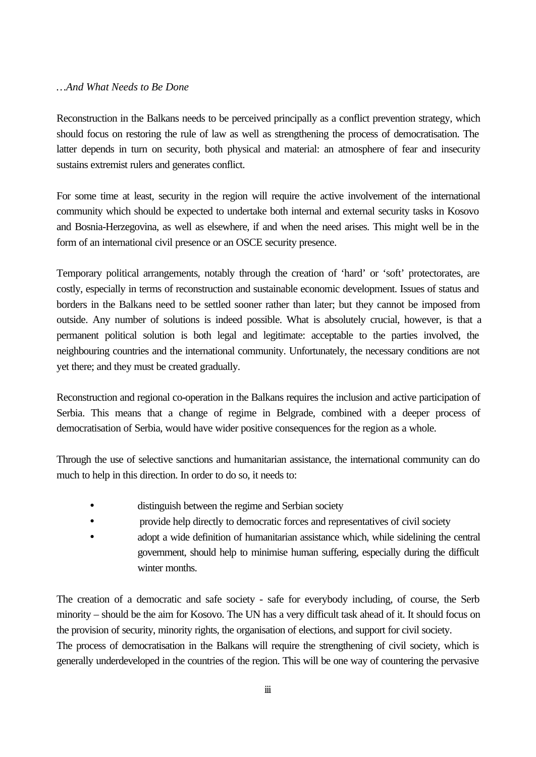#### *…And What Needs to Be Done*

Reconstruction in the Balkans needs to be perceived principally as a conflict prevention strategy, which should focus on restoring the rule of law as well as strengthening the process of democratisation. The latter depends in turn on security, both physical and material: an atmosphere of fear and insecurity sustains extremist rulers and generates conflict.

For some time at least, security in the region will require the active involvement of the international community which should be expected to undertake both internal and external security tasks in Kosovo and Bosnia-Herzegovina, as well as elsewhere, if and when the need arises. This might well be in the form of an international civil presence or an OSCE security presence.

Temporary political arrangements, notably through the creation of 'hard' or 'soft' protectorates, are costly, especially in terms of reconstruction and sustainable economic development. Issues of status and borders in the Balkans need to be settled sooner rather than later; but they cannot be imposed from outside. Any number of solutions is indeed possible. What is absolutely crucial, however, is that a permanent political solution is both legal and legitimate: acceptable to the parties involved, the neighbouring countries and the international community. Unfortunately, the necessary conditions are not yet there; and they must be created gradually.

Reconstruction and regional co-operation in the Balkans requires the inclusion and active participation of Serbia. This means that a change of regime in Belgrade, combined with a deeper process of democratisation of Serbia, would have wider positive consequences for the region as a whole.

Through the use of selective sanctions and humanitarian assistance, the international community can do much to help in this direction. In order to do so, it needs to:

- distinguish between the regime and Serbian society
- provide help directly to democratic forces and representatives of civil society
- adopt a wide definition of humanitarian assistance which, while sidelining the central government, should help to minimise human suffering, especially during the difficult winter months.

The creation of a democratic and safe society - safe for everybody including, of course, the Serb minority – should be the aim for Kosovo. The UN has a very difficult task ahead of it. It should focus on the provision of security, minority rights, the organisation of elections, and support for civil society. The process of democratisation in the Balkans will require the strengthening of civil society, which is generally underdeveloped in the countries of the region. This will be one way of countering the pervasive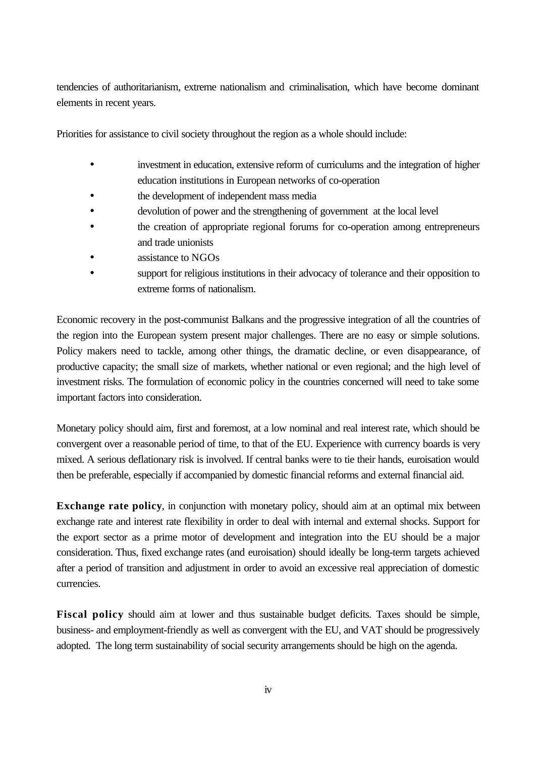tendencies of authoritarianism, extreme nationalism and criminalisation, which have become dominant elements in recent years.

Priorities for assistance to civil society throughout the region as a whole should include:

- investment in education, extensive reform of curriculums and the integration of higher education institutions in European networks of co-operation
- the development of independent mass media
- devolution of power and the strengthening of government at the local level
- the creation of appropriate regional forums for co-operation among entrepreneurs and trade unionists
- assistance to NGOs
- support for religious institutions in their advocacy of tolerance and their opposition to extreme forms of nationalism.

Economic recovery in the post-communist Balkans and the progressive integration of all the countries of the region into the European system present major challenges. There are no easy or simple solutions. Policy makers need to tackle, among other things, the dramatic decline, or even disappearance, of productive capacity; the small size of markets, whether national or even regional; and the high level of investment risks. The formulation of economic policy in the countries concerned will need to take some important factors into consideration.

Monetary policy should aim, first and foremost, at a low nominal and real interest rate, which should be convergent over a reasonable period of time, to that of the EU. Experience with currency boards is very mixed. A serious deflationary risk is involved. If central banks were to tie their hands, euroisation would then be preferable, especially if accompanied by domestic financial reforms and external financial aid.

**Exchange rate policy**, in conjunction with monetary policy, should aim at an optimal mix between exchange rate and interest rate flexibility in order to deal with internal and external shocks. Support for the export sector as a prime motor of development and integration into the EU should be a major consideration. Thus, fixed exchange rates (and euroisation) should ideally be long-term targets achieved after a period of transition and adjustment in order to avoid an excessive real appreciation of domestic currencies.

**Fiscal policy** should aim at lower and thus sustainable budget deficits. Taxes should be simple, business- and employment-friendly as well as convergent with the EU, and VAT should be progressively adopted. The long term sustainability of social security arrangements should be high on the agenda.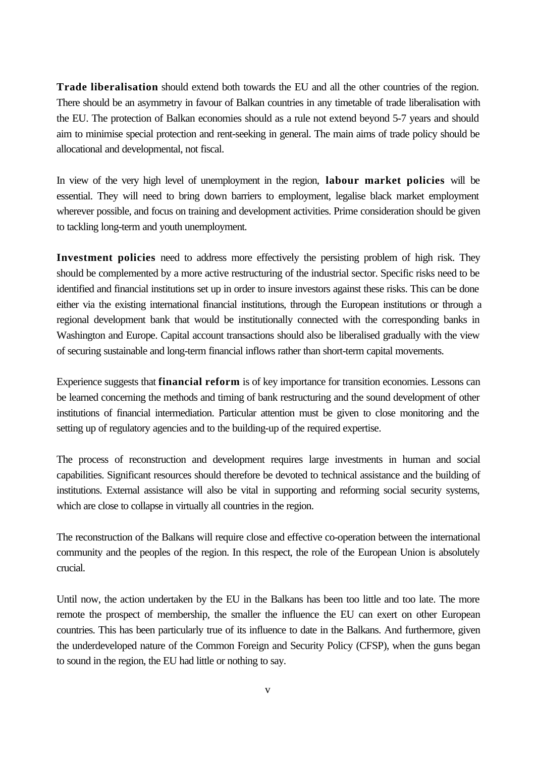**Trade liberalisation** should extend both towards the EU and all the other countries of the region. There should be an asymmetry in favour of Balkan countries in any timetable of trade liberalisation with the EU. The protection of Balkan economies should as a rule not extend beyond 5-7 years and should aim to minimise special protection and rent-seeking in general. The main aims of trade policy should be allocational and developmental, not fiscal.

In view of the very high level of unemployment in the region, **labour market policies** will be essential. They will need to bring down barriers to employment, legalise black market employment wherever possible, and focus on training and development activities. Prime consideration should be given to tackling long-term and youth unemployment.

**Investment policies** need to address more effectively the persisting problem of high risk. They should be complemented by a more active restructuring of the industrial sector. Specific risks need to be identified and financial institutions set up in order to insure investors against these risks. This can be done either via the existing international financial institutions, through the European institutions or through a regional development bank that would be institutionally connected with the corresponding banks in Washington and Europe. Capital account transactions should also be liberalised gradually with the view of securing sustainable and long-term financial inflows rather than short-term capital movements.

Experience suggests that **financial reform** is of key importance for transition economies. Lessons can be learned concerning the methods and timing of bank restructuring and the sound development of other institutions of financial intermediation. Particular attention must be given to close monitoring and the setting up of regulatory agencies and to the building-up of the required expertise.

The process of reconstruction and development requires large investments in human and social capabilities. Significant resources should therefore be devoted to technical assistance and the building of institutions. External assistance will also be vital in supporting and reforming social security systems, which are close to collapse in virtually all countries in the region.

The reconstruction of the Balkans will require close and effective co-operation between the international community and the peoples of the region. In this respect, the role of the European Union is absolutely crucial.

Until now, the action undertaken by the EU in the Balkans has been too little and too late. The more remote the prospect of membership, the smaller the influence the EU can exert on other European countries. This has been particularly true of its influence to date in the Balkans. And furthermore, given the underdeveloped nature of the Common Foreign and Security Policy (CFSP), when the guns began to sound in the region, the EU had little or nothing to say.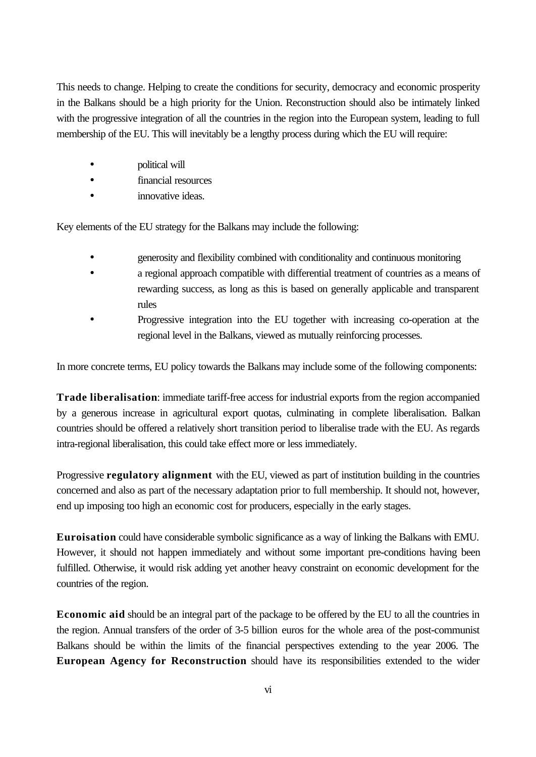This needs to change. Helping to create the conditions for security, democracy and economic prosperity in the Balkans should be a high priority for the Union. Reconstruction should also be intimately linked with the progressive integration of all the countries in the region into the European system, leading to full membership of the EU. This will inevitably be a lengthy process during which the EU will require:

- **political will**
- financial resources
- innovative ideas.

Key elements of the EU strategy for the Balkans may include the following:

- generosity and flexibility combined with conditionality and continuous monitoring
- a regional approach compatible with differential treatment of countries as a means of rewarding success, as long as this is based on generally applicable and transparent rules
- Progressive integration into the EU together with increasing co-operation at the regional level in the Balkans, viewed as mutually reinforcing processes.

In more concrete terms, EU policy towards the Balkans may include some of the following components:

**Trade liberalisation**: immediate tariff-free access for industrial exports from the region accompanied by a generous increase in agricultural export quotas, culminating in complete liberalisation. Balkan countries should be offered a relatively short transition period to liberalise trade with the EU. As regards intra-regional liberalisation, this could take effect more or less immediately.

Progressive **regulatory alignment** with the EU, viewed as part of institution building in the countries concerned and also as part of the necessary adaptation prior to full membership. It should not, however, end up imposing too high an economic cost for producers, especially in the early stages.

**Euroisation** could have considerable symbolic significance as a way of linking the Balkans with EMU. However, it should not happen immediately and without some important pre-conditions having been fulfilled. Otherwise, it would risk adding yet another heavy constraint on economic development for the countries of the region.

**Economic aid** should be an integral part of the package to be offered by the EU to all the countries in the region. Annual transfers of the order of 3-5 billion euros for the whole area of the post-communist Balkans should be within the limits of the financial perspectives extending to the year 2006. The **European Agency for Reconstruction** should have its responsibilities extended to the wider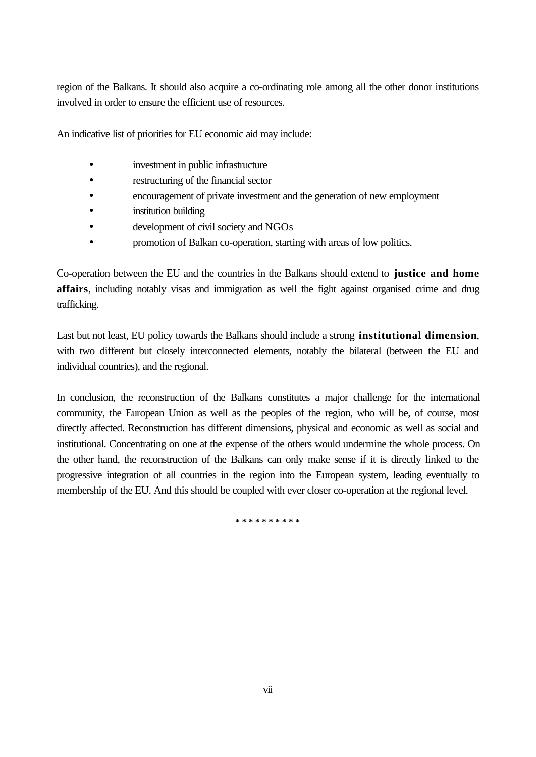region of the Balkans. It should also acquire a co-ordinating role among all the other donor institutions involved in order to ensure the efficient use of resources.

An indicative list of priorities for EU economic aid may include:

- investment in public infrastructure
- restructuring of the financial sector
- encouragement of private investment and the generation of new employment
- institution building
- development of civil society and NGOs
- promotion of Balkan co-operation, starting with areas of low politics.

Co-operation between the EU and the countries in the Balkans should extend to **justice and home affairs**, including notably visas and immigration as well the fight against organised crime and drug trafficking.

Last but not least, EU policy towards the Balkans should include a strong **institutional dimension**, with two different but closely interconnected elements, notably the bilateral (between the EU and individual countries), and the regional.

In conclusion, the reconstruction of the Balkans constitutes a major challenge for the international community, the European Union as well as the peoples of the region, who will be, of course, most directly affected. Reconstruction has different dimensions, physical and economic as well as social and institutional. Concentrating on one at the expense of the others would undermine the whole process. On the other hand, the reconstruction of the Balkans can only make sense if it is directly linked to the progressive integration of all countries in the region into the European system, leading eventually to membership of the EU. And this should be coupled with ever closer co-operation at the regional level.

**\* \* \* \* \* \* \* \* \* \***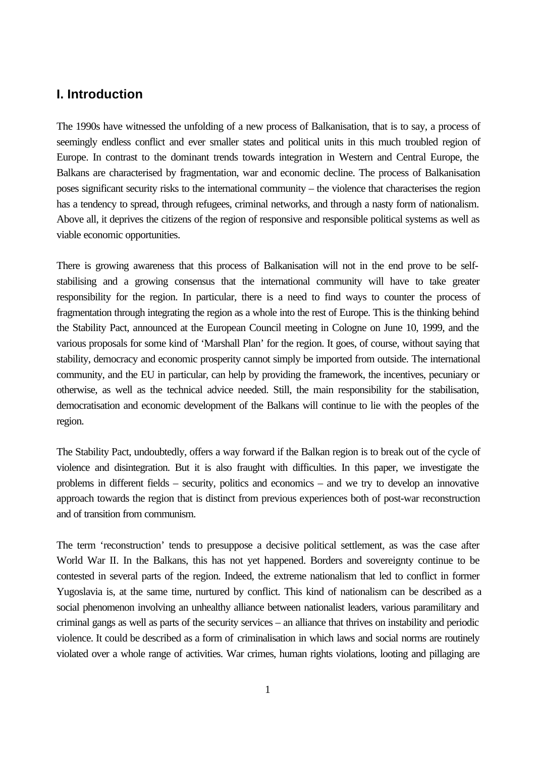## **I. Introduction**

The 1990s have witnessed the unfolding of a new process of Balkanisation, that is to say, a process of seemingly endless conflict and ever smaller states and political units in this much troubled region of Europe. In contrast to the dominant trends towards integration in Western and Central Europe, the Balkans are characterised by fragmentation, war and economic decline. The process of Balkanisation poses significant security risks to the international community – the violence that characterises the region has a tendency to spread, through refugees, criminal networks, and through a nasty form of nationalism. Above all, it deprives the citizens of the region of responsive and responsible political systems as well as viable economic opportunities.

There is growing awareness that this process of Balkanisation will not in the end prove to be selfstabilising and a growing consensus that the international community will have to take greater responsibility for the region. In particular, there is a need to find ways to counter the process of fragmentation through integrating the region as a whole into the rest of Europe. This is the thinking behind the Stability Pact, announced at the European Council meeting in Cologne on June 10, 1999, and the various proposals for some kind of 'Marshall Plan' for the region. It goes, of course, without saying that stability, democracy and economic prosperity cannot simply be imported from outside. The international community, and the EU in particular, can help by providing the framework, the incentives, pecuniary or otherwise, as well as the technical advice needed. Still, the main responsibility for the stabilisation, democratisation and economic development of the Balkans will continue to lie with the peoples of the region.

The Stability Pact, undoubtedly, offers a way forward if the Balkan region is to break out of the cycle of violence and disintegration. But it is also fraught with difficulties. In this paper, we investigate the problems in different fields – security, politics and economics – and we try to develop an innovative approach towards the region that is distinct from previous experiences both of post-war reconstruction and of transition from communism.

The term 'reconstruction' tends to presuppose a decisive political settlement, as was the case after World War II. In the Balkans, this has not yet happened. Borders and sovereignty continue to be contested in several parts of the region. Indeed, the extreme nationalism that led to conflict in former Yugoslavia is, at the same time, nurtured by conflict. This kind of nationalism can be described as a social phenomenon involving an unhealthy alliance between nationalist leaders, various paramilitary and criminal gangs as well as parts of the security services – an alliance that thrives on instability and periodic violence. It could be described as a form of criminalisation in which laws and social norms are routinely violated over a whole range of activities. War crimes, human rights violations, looting and pillaging are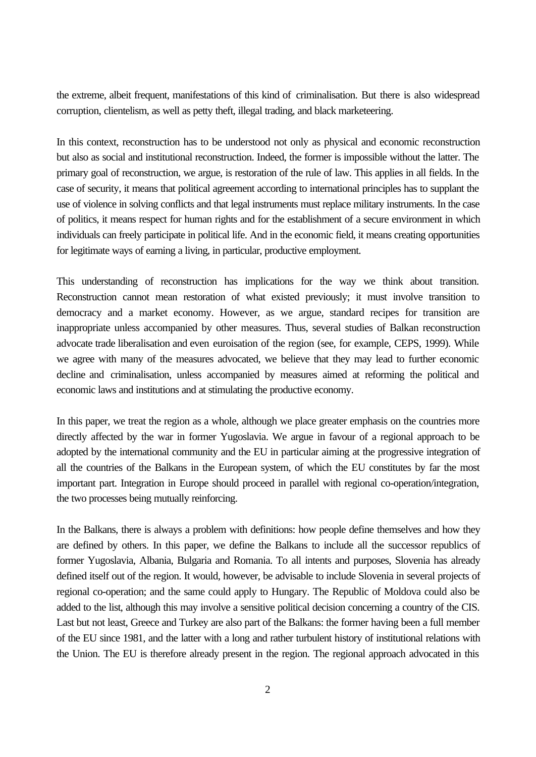the extreme, albeit frequent, manifestations of this kind of criminalisation. But there is also widespread corruption, clientelism, as well as petty theft, illegal trading, and black marketeering.

In this context, reconstruction has to be understood not only as physical and economic reconstruction but also as social and institutional reconstruction. Indeed, the former is impossible without the latter. The primary goal of reconstruction, we argue, is restoration of the rule of law. This applies in all fields. In the case of security, it means that political agreement according to international principles has to supplant the use of violence in solving conflicts and that legal instruments must replace military instruments. In the case of politics, it means respect for human rights and for the establishment of a secure environment in which individuals can freely participate in political life. And in the economic field, it means creating opportunities for legitimate ways of earning a living, in particular, productive employment.

This understanding of reconstruction has implications for the way we think about transition. Reconstruction cannot mean restoration of what existed previously; it must involve transition to democracy and a market economy. However, as we argue, standard recipes for transition are inappropriate unless accompanied by other measures. Thus, several studies of Balkan reconstruction advocate trade liberalisation and even euroisation of the region (see, for example, CEPS, 1999). While we agree with many of the measures advocated, we believe that they may lead to further economic decline and criminalisation, unless accompanied by measures aimed at reforming the political and economic laws and institutions and at stimulating the productive economy.

In this paper, we treat the region as a whole, although we place greater emphasis on the countries more directly affected by the war in former Yugoslavia. We argue in favour of a regional approach to be adopted by the international community and the EU in particular aiming at the progressive integration of all the countries of the Balkans in the European system, of which the EU constitutes by far the most important part. Integration in Europe should proceed in parallel with regional co-operation/integration, the two processes being mutually reinforcing.

In the Balkans, there is always a problem with definitions: how people define themselves and how they are defined by others. In this paper, we define the Balkans to include all the successor republics of former Yugoslavia, Albania, Bulgaria and Romania. To all intents and purposes, Slovenia has already defined itself out of the region. It would, however, be advisable to include Slovenia in several projects of regional co-operation; and the same could apply to Hungary. The Republic of Moldova could also be added to the list, although this may involve a sensitive political decision concerning a country of the CIS. Last but not least, Greece and Turkey are also part of the Balkans: the former having been a full member of the EU since 1981, and the latter with a long and rather turbulent history of institutional relations with the Union. The EU is therefore already present in the region. The regional approach advocated in this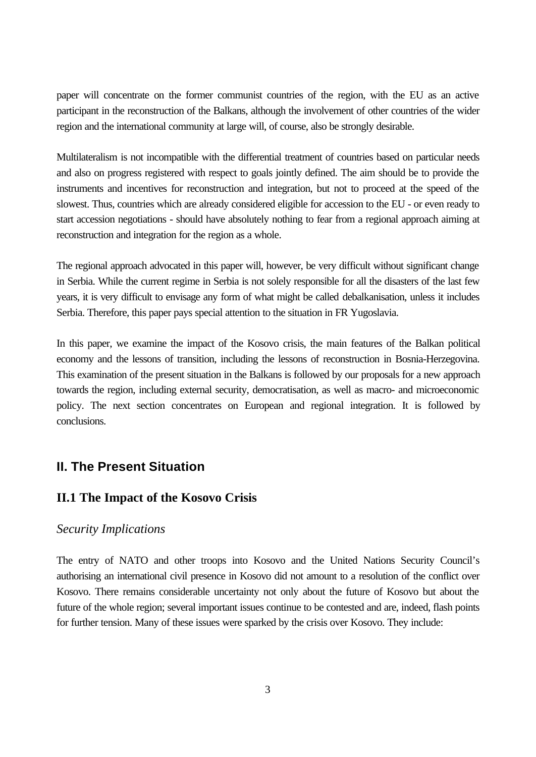paper will concentrate on the former communist countries of the region, with the EU as an active participant in the reconstruction of the Balkans, although the involvement of other countries of the wider region and the international community at large will, of course, also be strongly desirable.

Multilateralism is not incompatible with the differential treatment of countries based on particular needs and also on progress registered with respect to goals jointly defined. The aim should be to provide the instruments and incentives for reconstruction and integration, but not to proceed at the speed of the slowest. Thus, countries which are already considered eligible for accession to the EU - or even ready to start accession negotiations - should have absolutely nothing to fear from a regional approach aiming at reconstruction and integration for the region as a whole.

The regional approach advocated in this paper will, however, be very difficult without significant change in Serbia. While the current regime in Serbia is not solely responsible for all the disasters of the last few years, it is very difficult to envisage any form of what might be called debalkanisation, unless it includes Serbia. Therefore, this paper pays special attention to the situation in FR Yugoslavia.

In this paper, we examine the impact of the Kosovo crisis, the main features of the Balkan political economy and the lessons of transition, including the lessons of reconstruction in Bosnia-Herzegovina. This examination of the present situation in the Balkans is followed by our proposals for a new approach towards the region, including external security, democratisation, as well as macro- and microeconomic policy. The next section concentrates on European and regional integration. It is followed by conclusions.

## **II. The Present Situation**

## **II.1 The Impact of the Kosovo Crisis**

#### *Security Implications*

The entry of NATO and other troops into Kosovo and the United Nations Security Council's authorising an international civil presence in Kosovo did not amount to a resolution of the conflict over Kosovo. There remains considerable uncertainty not only about the future of Kosovo but about the future of the whole region; several important issues continue to be contested and are, indeed, flash points for further tension. Many of these issues were sparked by the crisis over Kosovo. They include: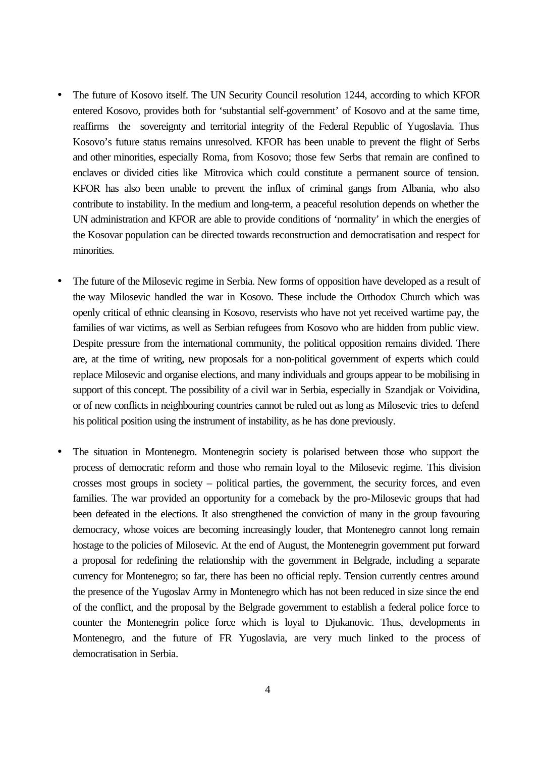- The future of Kosovo itself. The UN Security Council resolution 1244, according to which KFOR entered Kosovo, provides both for 'substantial self-government' of Kosovo and at the same time, reaffirms the sovereignty and territorial integrity of the Federal Republic of Yugoslavia. Thus Kosovo's future status remains unresolved. KFOR has been unable to prevent the flight of Serbs and other minorities, especially Roma, from Kosovo; those few Serbs that remain are confined to enclaves or divided cities like Mitrovica which could constitute a permanent source of tension. KFOR has also been unable to prevent the influx of criminal gangs from Albania, who also contribute to instability. In the medium and long-term, a peaceful resolution depends on whether the UN administration and KFOR are able to provide conditions of 'normality' in which the energies of the Kosovar population can be directed towards reconstruction and democratisation and respect for minorities.
- The future of the Milosevic regime in Serbia. New forms of opposition have developed as a result of the way Milosevic handled the war in Kosovo. These include the Orthodox Church which was openly critical of ethnic cleansing in Kosovo, reservists who have not yet received wartime pay, the families of war victims, as well as Serbian refugees from Kosovo who are hidden from public view. Despite pressure from the international community, the political opposition remains divided. There are, at the time of writing, new proposals for a non-political government of experts which could replace Milosevic and organise elections, and many individuals and groups appear to be mobilising in support of this concept. The possibility of a civil war in Serbia, especially in Szandjak or Voividina, or of new conflicts in neighbouring countries cannot be ruled out as long as Milosevic tries to defend his political position using the instrument of instability, as he has done previously.
- The situation in Montenegro. Montenegrin society is polarised between those who support the process of democratic reform and those who remain loyal to the Milosevic regime. This division crosses most groups in society – political parties, the government, the security forces, and even families. The war provided an opportunity for a comeback by the pro-Milosevic groups that had been defeated in the elections. It also strengthened the conviction of many in the group favouring democracy, whose voices are becoming increasingly louder, that Montenegro cannot long remain hostage to the policies of Milosevic. At the end of August, the Montenegrin government put forward a proposal for redefining the relationship with the government in Belgrade, including a separate currency for Montenegro; so far, there has been no official reply. Tension currently centres around the presence of the Yugoslav Army in Montenegro which has not been reduced in size since the end of the conflict, and the proposal by the Belgrade government to establish a federal police force to counter the Montenegrin police force which is loyal to Djukanovic. Thus, developments in Montenegro, and the future of FR Yugoslavia, are very much linked to the process of democratisation in Serbia.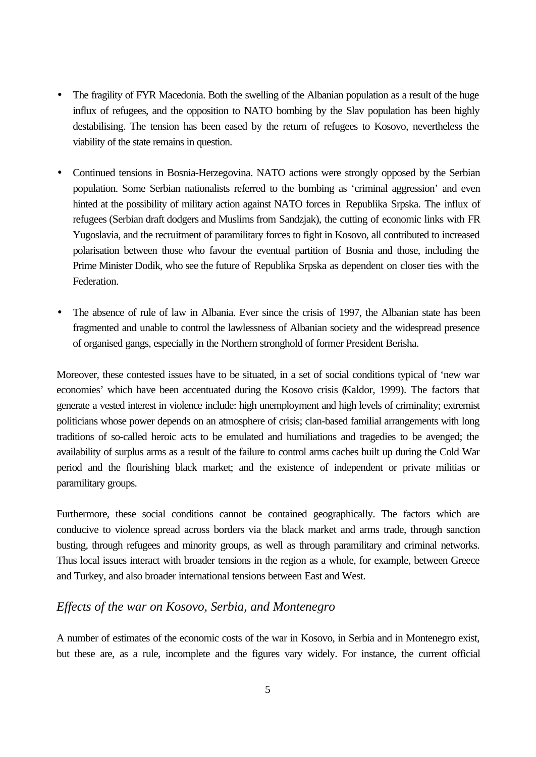- The fragility of FYR Macedonia. Both the swelling of the Albanian population as a result of the huge influx of refugees, and the opposition to NATO bombing by the Slav population has been highly destabilising. The tension has been eased by the return of refugees to Kosovo, nevertheless the viability of the state remains in question.
- Continued tensions in Bosnia-Herzegovina. NATO actions were strongly opposed by the Serbian population. Some Serbian nationalists referred to the bombing as 'criminal aggression' and even hinted at the possibility of military action against NATO forces in Republika Srpska. The influx of refugees (Serbian draft dodgers and Muslims from Sandzjak), the cutting of economic links with FR Yugoslavia, and the recruitment of paramilitary forces to fight in Kosovo, all contributed to increased polarisation between those who favour the eventual partition of Bosnia and those, including the Prime Minister Dodik, who see the future of Republika Srpska as dependent on closer ties with the Federation.
- The absence of rule of law in Albania. Ever since the crisis of 1997, the Albanian state has been fragmented and unable to control the lawlessness of Albanian society and the widespread presence of organised gangs, especially in the Northern stronghold of former President Berisha.

Moreover, these contested issues have to be situated, in a set of social conditions typical of 'new war economies' which have been accentuated during the Kosovo crisis (Kaldor, 1999). The factors that generate a vested interest in violence include: high unemployment and high levels of criminality; extremist politicians whose power depends on an atmosphere of crisis; clan-based familial arrangements with long traditions of so-called heroic acts to be emulated and humiliations and tragedies to be avenged; the availability of surplus arms as a result of the failure to control arms caches built up during the Cold War period and the flourishing black market; and the existence of independent or private militias or paramilitary groups.

Furthermore, these social conditions cannot be contained geographically. The factors which are conducive to violence spread across borders via the black market and arms trade, through sanction busting, through refugees and minority groups, as well as through paramilitary and criminal networks. Thus local issues interact with broader tensions in the region as a whole, for example, between Greece and Turkey, and also broader international tensions between East and West.

#### *Effects of the war on Kosovo, Serbia, and Montenegro*

A number of estimates of the economic costs of the war in Kosovo, in Serbia and in Montenegro exist, but these are, as a rule, incomplete and the figures vary widely. For instance, the current official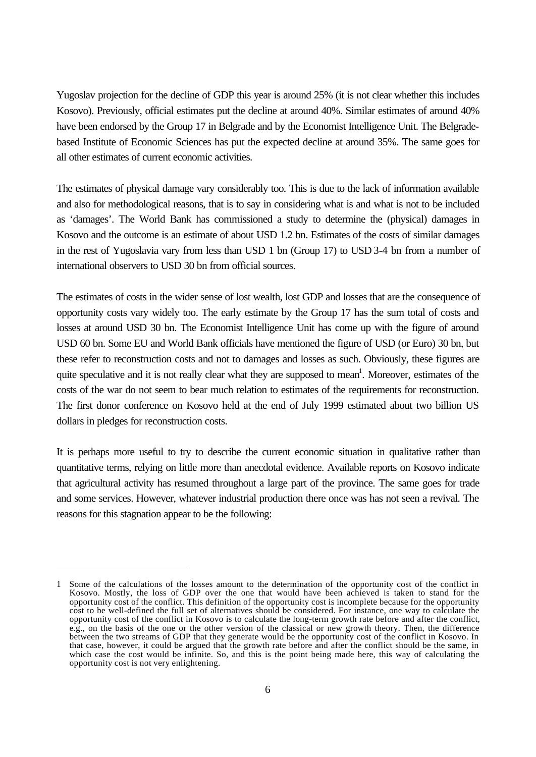Yugoslav projection for the decline of GDP this year is around 25% (it is not clear whether this includes Kosovo). Previously, official estimates put the decline at around 40%. Similar estimates of around 40% have been endorsed by the Group 17 in Belgrade and by the Economist Intelligence Unit. The Belgradebased Institute of Economic Sciences has put the expected decline at around 35%. The same goes for all other estimates of current economic activities.

The estimates of physical damage vary considerably too. This is due to the lack of information available and also for methodological reasons, that is to say in considering what is and what is not to be included as 'damages'. The World Bank has commissioned a study to determine the (physical) damages in Kosovo and the outcome is an estimate of about USD 1.2 bn. Estimates of the costs of similar damages in the rest of Yugoslavia vary from less than USD 1 bn (Group 17) to USD 3-4 bn from a number of international observers to USD 30 bn from official sources.

The estimates of costs in the wider sense of lost wealth, lost GDP and losses that are the consequence of opportunity costs vary widely too. The early estimate by the Group 17 has the sum total of costs and losses at around USD 30 bn. The Economist Intelligence Unit has come up with the figure of around USD 60 bn. Some EU and World Bank officials have mentioned the figure of USD (or Euro) 30 bn, but these refer to reconstruction costs and not to damages and losses as such. Obviously, these figures are quite speculative and it is not really clear what they are supposed to mean<sup>1</sup>. Moreover, estimates of the costs of the war do not seem to bear much relation to estimates of the requirements for reconstruction. The first donor conference on Kosovo held at the end of July 1999 estimated about two billion US dollars in pledges for reconstruction costs.

It is perhaps more useful to try to describe the current economic situation in qualitative rather than quantitative terms, relying on little more than anecdotal evidence. Available reports on Kosovo indicate that agricultural activity has resumed throughout a large part of the province. The same goes for trade and some services. However, whatever industrial production there once was has not seen a revival. The reasons for this stagnation appear to be the following:

l

<sup>1</sup> Some of the calculations of the losses amount to the determination of the opportunity cost of the conflict in Kosovo. Mostly, the loss of GDP over the one that would have been achieved is taken to stand for the opportunity cost of the conflict. This definition of the opportunity cost is incomplete because for the opportunity cost to be well-defined the full set of alternatives should be considered. For instance, one way to calculate the opportunity cost of the conflict in Kosovo is to calculate the long-term growth rate before and after the conflict, e.g., on the basis of the one or the other version of the classical or new growth theory. Then, the difference between the two streams of GDP that they generate would be the opportunity cost of the conflict in Kosovo. In that case, however, it could be argued that the growth rate before and after the conflict should be the same, in which case the cost would be infinite. So, and this is the point being made here, this way of calculating the opportunity cost is not very enlightening.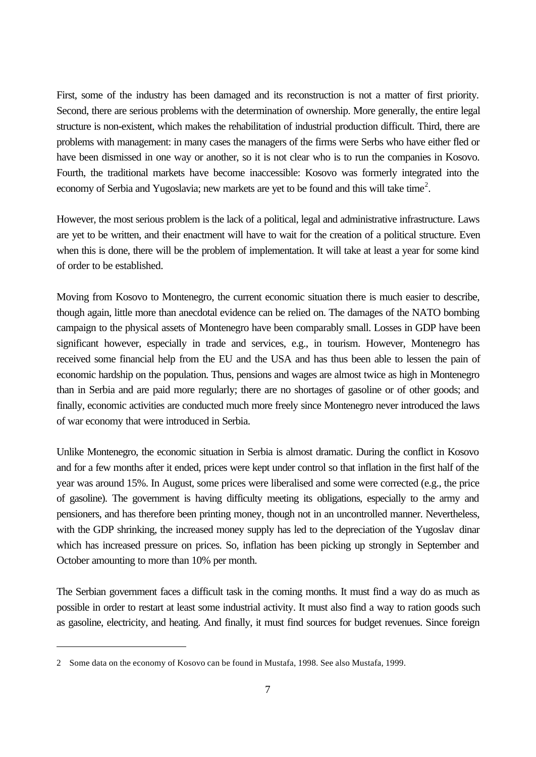First, some of the industry has been damaged and its reconstruction is not a matter of first priority. Second, there are serious problems with the determination of ownership. More generally, the entire legal structure is non-existent, which makes the rehabilitation of industrial production difficult. Third, there are problems with management: in many cases the managers of the firms were Serbs who have either fled or have been dismissed in one way or another, so it is not clear who is to run the companies in Kosovo. Fourth, the traditional markets have become inaccessible: Kosovo was formerly integrated into the economy of Serbia and Yugoslavia; new markets are yet to be found and this will take time<sup>2</sup>.

However, the most serious problem is the lack of a political, legal and administrative infrastructure. Laws are yet to be written, and their enactment will have to wait for the creation of a political structure. Even when this is done, there will be the problem of implementation. It will take at least a year for some kind of order to be established.

Moving from Kosovo to Montenegro, the current economic situation there is much easier to describe, though again, little more than anecdotal evidence can be relied on. The damages of the NATO bombing campaign to the physical assets of Montenegro have been comparably small. Losses in GDP have been significant however, especially in trade and services, e.g., in tourism. However, Montenegro has received some financial help from the EU and the USA and has thus been able to lessen the pain of economic hardship on the population. Thus, pensions and wages are almost twice as high in Montenegro than in Serbia and are paid more regularly; there are no shortages of gasoline or of other goods; and finally, economic activities are conducted much more freely since Montenegro never introduced the laws of war economy that were introduced in Serbia.

Unlike Montenegro, the economic situation in Serbia is almost dramatic. During the conflict in Kosovo and for a few months after it ended, prices were kept under control so that inflation in the first half of the year was around 15%. In August, some prices were liberalised and some were corrected (e.g., the price of gasoline). The government is having difficulty meeting its obligations, especially to the army and pensioners, and has therefore been printing money, though not in an uncontrolled manner. Nevertheless, with the GDP shrinking, the increased money supply has led to the depreciation of the Yugoslav dinar which has increased pressure on prices. So, inflation has been picking up strongly in September and October amounting to more than 10% per month.

The Serbian government faces a difficult task in the coming months. It must find a way do as much as possible in order to restart at least some industrial activity. It must also find a way to ration goods such as gasoline, electricity, and heating. And finally, it must find sources for budget revenues. Since foreign

l

<sup>2</sup> Some data on the economy of Kosovo can be found in Mustafa, 1998. See also Mustafa, 1999.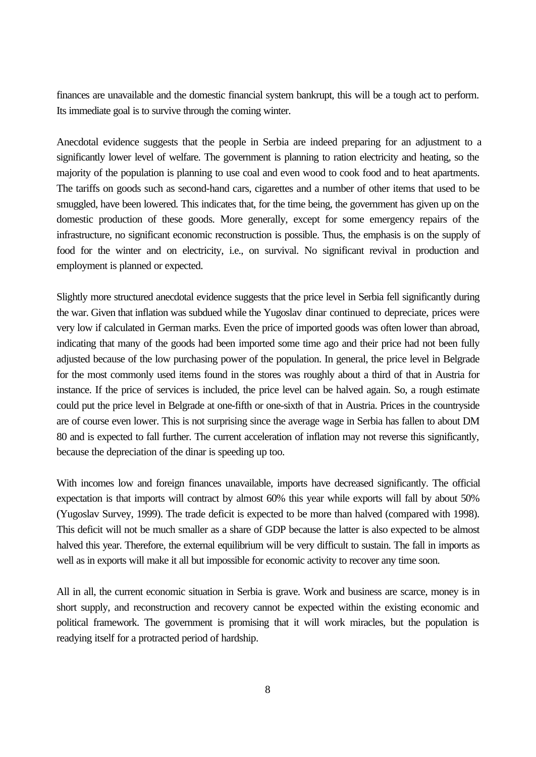finances are unavailable and the domestic financial system bankrupt, this will be a tough act to perform. Its immediate goal is to survive through the coming winter.

Anecdotal evidence suggests that the people in Serbia are indeed preparing for an adjustment to a significantly lower level of welfare. The government is planning to ration electricity and heating, so the majority of the population is planning to use coal and even wood to cook food and to heat apartments. The tariffs on goods such as second-hand cars, cigarettes and a number of other items that used to be smuggled, have been lowered. This indicates that, for the time being, the government has given up on the domestic production of these goods. More generally, except for some emergency repairs of the infrastructure, no significant economic reconstruction is possible. Thus, the emphasis is on the supply of food for the winter and on electricity, i.e., on survival. No significant revival in production and employment is planned or expected.

Slightly more structured anecdotal evidence suggests that the price level in Serbia fell significantly during the war. Given that inflation was subdued while the Yugoslav dinar continued to depreciate, prices were very low if calculated in German marks. Even the price of imported goods was often lower than abroad, indicating that many of the goods had been imported some time ago and their price had not been fully adjusted because of the low purchasing power of the population. In general, the price level in Belgrade for the most commonly used items found in the stores was roughly about a third of that in Austria for instance. If the price of services is included, the price level can be halved again. So, a rough estimate could put the price level in Belgrade at one-fifth or one-sixth of that in Austria. Prices in the countryside are of course even lower. This is not surprising since the average wage in Serbia has fallen to about DM 80 and is expected to fall further. The current acceleration of inflation may not reverse this significantly, because the depreciation of the dinar is speeding up too.

With incomes low and foreign finances unavailable, imports have decreased significantly. The official expectation is that imports will contract by almost 60% this year while exports will fall by about 50% (Yugoslav Survey, 1999). The trade deficit is expected to be more than halved (compared with 1998). This deficit will not be much smaller as a share of GDP because the latter is also expected to be almost halved this year. Therefore, the external equilibrium will be very difficult to sustain. The fall in imports as well as in exports will make it all but impossible for economic activity to recover any time soon.

All in all, the current economic situation in Serbia is grave. Work and business are scarce, money is in short supply, and reconstruction and recovery cannot be expected within the existing economic and political framework. The government is promising that it will work miracles, but the population is readying itself for a protracted period of hardship.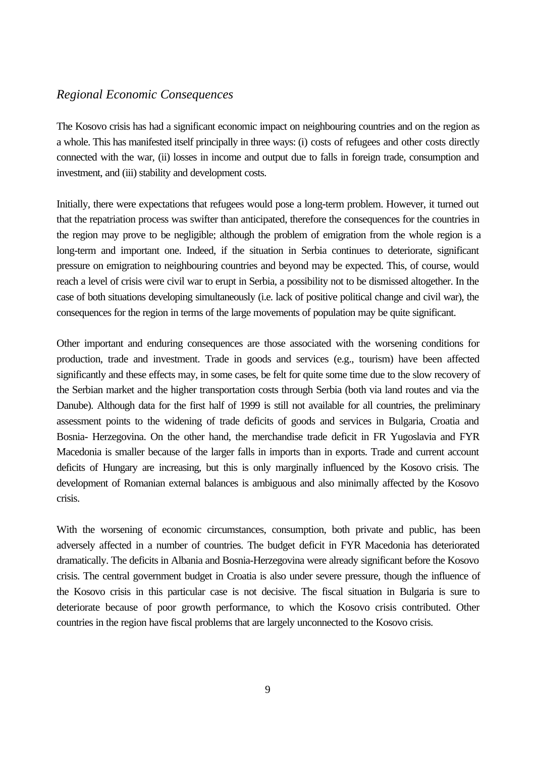#### *Regional Economic Consequences*

The Kosovo crisis has had a significant economic impact on neighbouring countries and on the region as a whole. This has manifested itself principally in three ways: (i) costs of refugees and other costs directly connected with the war, (ii) losses in income and output due to falls in foreign trade, consumption and investment, and (iii) stability and development costs.

Initially, there were expectations that refugees would pose a long-term problem. However, it turned out that the repatriation process was swifter than anticipated, therefore the consequences for the countries in the region may prove to be negligible; although the problem of emigration from the whole region is a long-term and important one. Indeed, if the situation in Serbia continues to deteriorate, significant pressure on emigration to neighbouring countries and beyond may be expected. This, of course, would reach a level of crisis were civil war to erupt in Serbia, a possibility not to be dismissed altogether. In the case of both situations developing simultaneously (i.e. lack of positive political change and civil war), the consequences for the region in terms of the large movements of population may be quite significant.

Other important and enduring consequences are those associated with the worsening conditions for production, trade and investment. Trade in goods and services (e.g., tourism) have been affected significantly and these effects may, in some cases, be felt for quite some time due to the slow recovery of the Serbian market and the higher transportation costs through Serbia (both via land routes and via the Danube). Although data for the first half of 1999 is still not available for all countries, the preliminary assessment points to the widening of trade deficits of goods and services in Bulgaria, Croatia and Bosnia- Herzegovina. On the other hand, the merchandise trade deficit in FR Yugoslavia and FYR Macedonia is smaller because of the larger falls in imports than in exports. Trade and current account deficits of Hungary are increasing, but this is only marginally influenced by the Kosovo crisis. The development of Romanian external balances is ambiguous and also minimally affected by the Kosovo crisis.

With the worsening of economic circumstances, consumption, both private and public, has been adversely affected in a number of countries. The budget deficit in FYR Macedonia has deteriorated dramatically. The deficits in Albania and Bosnia-Herzegovina were already significant before the Kosovo crisis. The central government budget in Croatia is also under severe pressure, though the influence of the Kosovo crisis in this particular case is not decisive. The fiscal situation in Bulgaria is sure to deteriorate because of poor growth performance, to which the Kosovo crisis contributed. Other countries in the region have fiscal problems that are largely unconnected to the Kosovo crisis.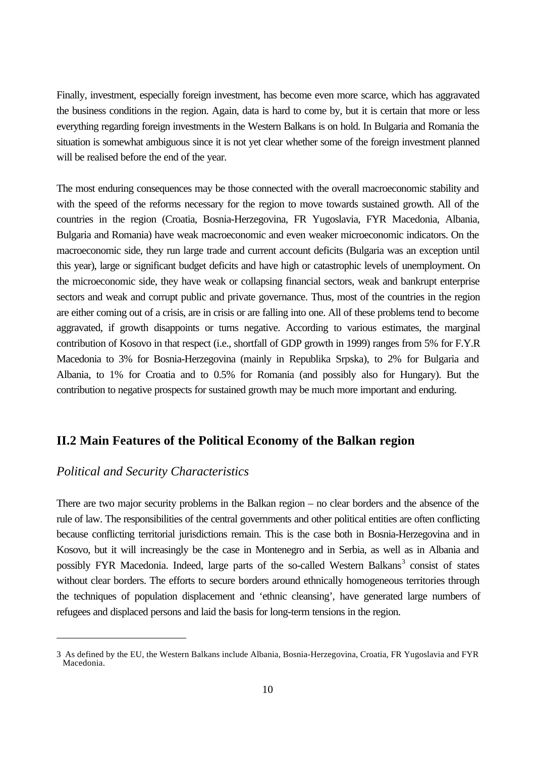Finally, investment, especially foreign investment, has become even more scarce, which has aggravated the business conditions in the region. Again, data is hard to come by, but it is certain that more or less everything regarding foreign investments in the Western Balkans is on hold. In Bulgaria and Romania the situation is somewhat ambiguous since it is not yet clear whether some of the foreign investment planned will be realised before the end of the year.

The most enduring consequences may be those connected with the overall macroeconomic stability and with the speed of the reforms necessary for the region to move towards sustained growth. All of the countries in the region (Croatia, Bosnia-Herzegovina, FR Yugoslavia, FYR Macedonia, Albania, Bulgaria and Romania) have weak macroeconomic and even weaker microeconomic indicators. On the macroeconomic side, they run large trade and current account deficits (Bulgaria was an exception until this year), large or significant budget deficits and have high or catastrophic levels of unemployment. On the microeconomic side, they have weak or collapsing financial sectors, weak and bankrupt enterprise sectors and weak and corrupt public and private governance. Thus, most of the countries in the region are either coming out of a crisis, are in crisis or are falling into one. All of these problems tend to become aggravated, if growth disappoints or turns negative. According to various estimates, the marginal contribution of Kosovo in that respect (i.e., shortfall of GDP growth in 1999) ranges from 5% for F.Y.R Macedonia to 3% for Bosnia-Herzegovina (mainly in Republika Srpska), to 2% for Bulgaria and Albania, to 1% for Croatia and to 0.5% for Romania (and possibly also for Hungary). But the contribution to negative prospects for sustained growth may be much more important and enduring.

## **II.2 Main Features of the Political Economy of the Balkan region**

#### *Political and Security Characteristics*

l

There are two major security problems in the Balkan region – no clear borders and the absence of the rule of law. The responsibilities of the central governments and other political entities are often conflicting because conflicting territorial jurisdictions remain. This is the case both in Bosnia-Herzegovina and in Kosovo, but it will increasingly be the case in Montenegro and in Serbia, as well as in Albania and possibly FYR Macedonia. Indeed, large parts of the so-called Western Balkans<sup>3</sup> consist of states without clear borders. The efforts to secure borders around ethnically homogeneous territories through the techniques of population displacement and 'ethnic cleansing', have generated large numbers of refugees and displaced persons and laid the basis for long-term tensions in the region.

<sup>3</sup> As defined by the EU, the Western Balkans include Albania, Bosnia-Herzegovina, Croatia, FR Yugoslavia and FYR Macedonia.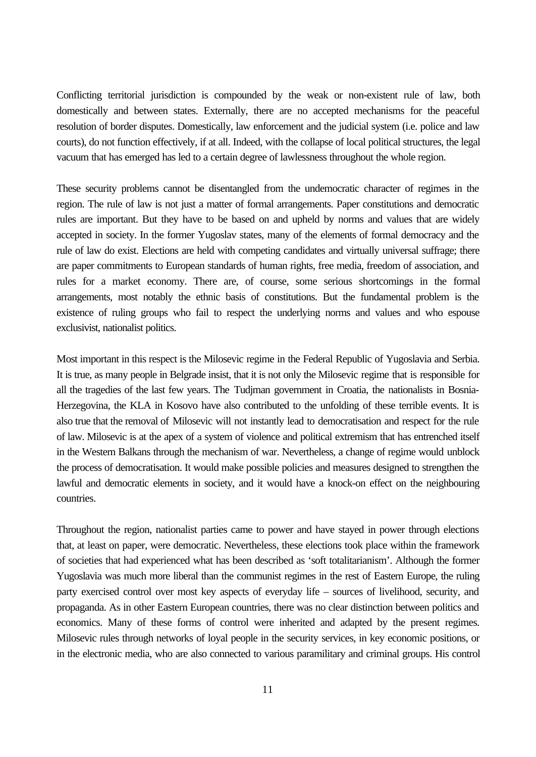Conflicting territorial jurisdiction is compounded by the weak or non-existent rule of law, both domestically and between states. Externally, there are no accepted mechanisms for the peaceful resolution of border disputes. Domestically, law enforcement and the judicial system (i.e. police and law courts), do not function effectively, if at all. Indeed, with the collapse of local political structures, the legal vacuum that has emerged has led to a certain degree of lawlessness throughout the whole region.

These security problems cannot be disentangled from the undemocratic character of regimes in the region. The rule of law is not just a matter of formal arrangements. Paper constitutions and democratic rules are important. But they have to be based on and upheld by norms and values that are widely accepted in society. In the former Yugoslav states, many of the elements of formal democracy and the rule of law do exist. Elections are held with competing candidates and virtually universal suffrage; there are paper commitments to European standards of human rights, free media, freedom of association, and rules for a market economy. There are, of course, some serious shortcomings in the formal arrangements, most notably the ethnic basis of constitutions. But the fundamental problem is the existence of ruling groups who fail to respect the underlying norms and values and who espouse exclusivist, nationalist politics.

Most important in this respect is the Milosevic regime in the Federal Republic of Yugoslavia and Serbia. It is true, as many people in Belgrade insist, that it is not only the Milosevic regime that is responsible for all the tragedies of the last few years. The Tudjman government in Croatia, the nationalists in Bosnia-Herzegovina, the KLA in Kosovo have also contributed to the unfolding of these terrible events. It is also true that the removal of Milosevic will not instantly lead to democratisation and respect for the rule of law. Milosevic is at the apex of a system of violence and political extremism that has entrenched itself in the Western Balkans through the mechanism of war. Nevertheless, a change of regime would unblock the process of democratisation. It would make possible policies and measures designed to strengthen the lawful and democratic elements in society, and it would have a knock-on effect on the neighbouring countries.

Throughout the region, nationalist parties came to power and have stayed in power through elections that, at least on paper, were democratic. Nevertheless, these elections took place within the framework of societies that had experienced what has been described as 'soft totalitarianism'. Although the former Yugoslavia was much more liberal than the communist regimes in the rest of Eastern Europe, the ruling party exercised control over most key aspects of everyday life – sources of livelihood, security, and propaganda. As in other Eastern European countries, there was no clear distinction between politics and economics. Many of these forms of control were inherited and adapted by the present regimes. Milosevic rules through networks of loyal people in the security services, in key economic positions, or in the electronic media, who are also connected to various paramilitary and criminal groups. His control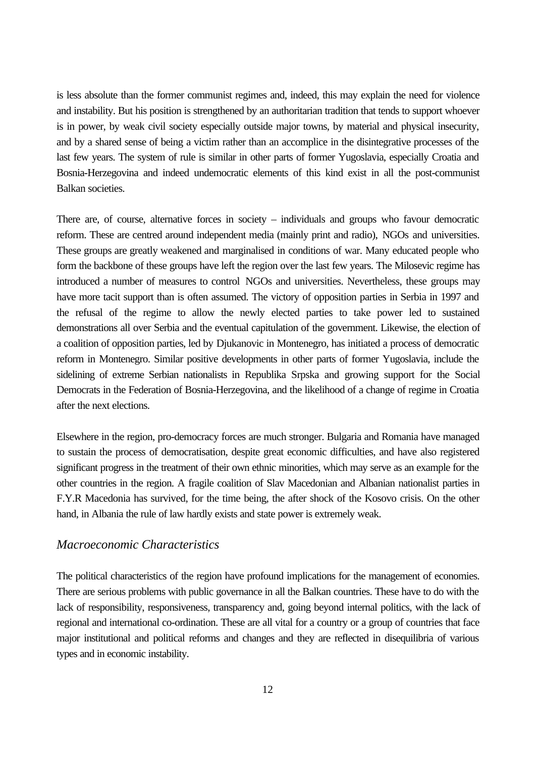is less absolute than the former communist regimes and, indeed, this may explain the need for violence and instability. But his position is strengthened by an authoritarian tradition that tends to support whoever is in power, by weak civil society especially outside major towns, by material and physical insecurity, and by a shared sense of being a victim rather than an accomplice in the disintegrative processes of the last few years. The system of rule is similar in other parts of former Yugoslavia, especially Croatia and Bosnia-Herzegovina and indeed undemocratic elements of this kind exist in all the post-communist Balkan societies.

There are, of course, alternative forces in society – individuals and groups who favour democratic reform. These are centred around independent media (mainly print and radio), NGOs and universities. These groups are greatly weakened and marginalised in conditions of war. Many educated people who form the backbone of these groups have left the region over the last few years. The Milosevic regime has introduced a number of measures to control NGOs and universities. Nevertheless, these groups may have more tacit support than is often assumed. The victory of opposition parties in Serbia in 1997 and the refusal of the regime to allow the newly elected parties to take power led to sustained demonstrations all over Serbia and the eventual capitulation of the government. Likewise, the election of a coalition of opposition parties, led by Djukanovic in Montenegro, has initiated a process of democratic reform in Montenegro. Similar positive developments in other parts of former Yugoslavia, include the sidelining of extreme Serbian nationalists in Republika Srpska and growing support for the Social Democrats in the Federation of Bosnia-Herzegovina, and the likelihood of a change of regime in Croatia after the next elections.

Elsewhere in the region, pro-democracy forces are much stronger. Bulgaria and Romania have managed to sustain the process of democratisation, despite great economic difficulties, and have also registered significant progress in the treatment of their own ethnic minorities, which may serve as an example for the other countries in the region. A fragile coalition of Slav Macedonian and Albanian nationalist parties in F.Y.R Macedonia has survived, for the time being, the after shock of the Kosovo crisis. On the other hand, in Albania the rule of law hardly exists and state power is extremely weak.

#### *Macroeconomic Characteristics*

The political characteristics of the region have profound implications for the management of economies. There are serious problems with public governance in all the Balkan countries. These have to do with the lack of responsibility, responsiveness, transparency and, going beyond internal politics, with the lack of regional and international co-ordination. These are all vital for a country or a group of countries that face major institutional and political reforms and changes and they are reflected in disequilibria of various types and in economic instability.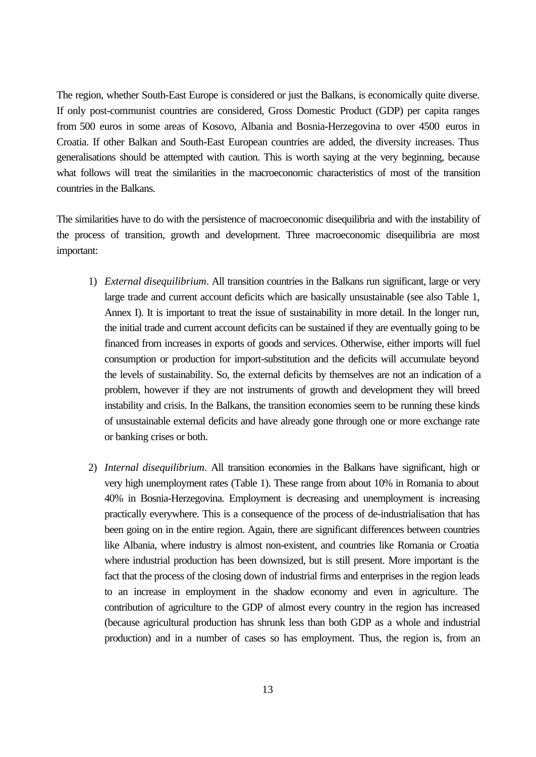The region, whether South-East Europe is considered or just the Balkans, is economically quite diverse. If only post-communist countries are considered, Gross Domestic Product (GDP) per capita ranges from 500 euros in some areas of Kosovo, Albania and Bosnia-Herzegovina to over 4500 euros in Croatia. If other Balkan and South-East European countries are added, the diversity increases. Thus generalisations should be attempted with caution. This is worth saying at the very beginning, because what follows will treat the similarities in the macroeconomic characteristics of most of the transition countries in the Balkans.

The similarities have to do with the persistence of macroeconomic disequilibria and with the instability of the process of transition, growth and development. Three macroeconomic disequilibria are most important:

- 1) *External disequilibrium*. All transition countries in the Balkans run significant, large or very large trade and current account deficits which are basically unsustainable (see also Table 1, Annex I). It is important to treat the issue of sustainability in more detail. In the longer run, the initial trade and current account deficits can be sustained if they are eventually going to be financed from increases in exports of goods and services. Otherwise, either imports will fuel consumption or production for import-substitution and the deficits will accumulate beyond the levels of sustainability. So, the external deficits by themselves are not an indication of a problem, however if they are not instruments of growth and development they will breed instability and crisis. In the Balkans, the transition economies seem to be running these kinds of unsustainable external deficits and have already gone through one or more exchange rate or banking crises or both.
- 2) *Internal disequilibrium*. All transition economies in the Balkans have significant, high or very high unemployment rates (Table 1). These range from about 10% in Romania to about 40% in Bosnia-Herzegovina. Employment is decreasing and unemployment is increasing practically everywhere. This is a consequence of the process of de-industrialisation that has been going on in the entire region. Again, there are significant differences between countries like Albania, where industry is almost non-existent, and countries like Romania or Croatia where industrial production has been downsized, but is still present. More important is the fact that the process of the closing down of industrial firms and enterprises in the region leads to an increase in employment in the shadow economy and even in agriculture. The contribution of agriculture to the GDP of almost every country in the region has increased (because agricultural production has shrunk less than both GDP as a whole and industrial production) and in a number of cases so has employment. Thus, the region is, from an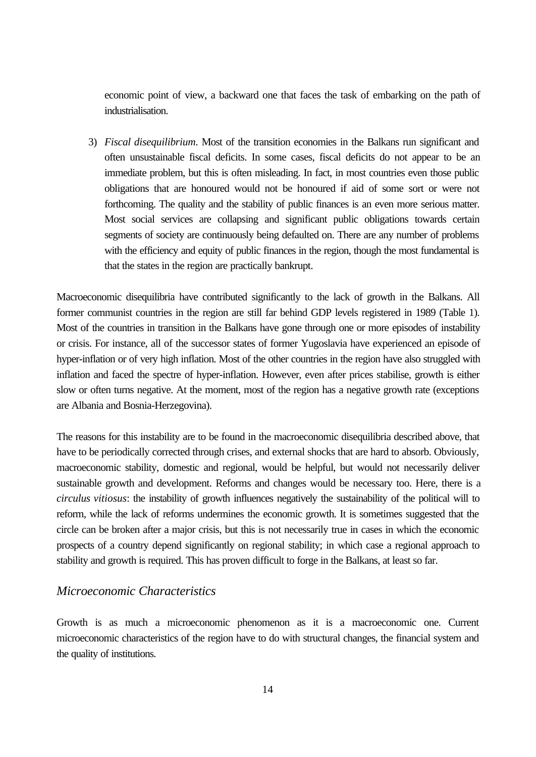economic point of view, a backward one that faces the task of embarking on the path of industrialisation.

3) *Fiscal disequilibrium*. Most of the transition economies in the Balkans run significant and often unsustainable fiscal deficits. In some cases, fiscal deficits do not appear to be an immediate problem, but this is often misleading. In fact, in most countries even those public obligations that are honoured would not be honoured if aid of some sort or were not forthcoming. The quality and the stability of public finances is an even more serious matter. Most social services are collapsing and significant public obligations towards certain segments of society are continuously being defaulted on. There are any number of problems with the efficiency and equity of public finances in the region, though the most fundamental is that the states in the region are practically bankrupt.

Macroeconomic disequilibria have contributed significantly to the lack of growth in the Balkans. All former communist countries in the region are still far behind GDP levels registered in 1989 (Table 1). Most of the countries in transition in the Balkans have gone through one or more episodes of instability or crisis. For instance, all of the successor states of former Yugoslavia have experienced an episode of hyper-inflation or of very high inflation. Most of the other countries in the region have also struggled with inflation and faced the spectre of hyper-inflation. However, even after prices stabilise, growth is either slow or often turns negative. At the moment, most of the region has a negative growth rate (exceptions are Albania and Bosnia-Herzegovina).

The reasons for this instability are to be found in the macroeconomic disequilibria described above, that have to be periodically corrected through crises, and external shocks that are hard to absorb. Obviously, macroeconomic stability, domestic and regional, would be helpful, but would not necessarily deliver sustainable growth and development. Reforms and changes would be necessary too. Here, there is a *circulus vitiosus*: the instability of growth influences negatively the sustainability of the political will to reform, while the lack of reforms undermines the economic growth. It is sometimes suggested that the circle can be broken after a major crisis, but this is not necessarily true in cases in which the economic prospects of a country depend significantly on regional stability; in which case a regional approach to stability and growth is required. This has proven difficult to forge in the Balkans, at least so far.

#### *Microeconomic Characteristics*

Growth is as much a microeconomic phenomenon as it is a macroeconomic one. Current microeconomic characteristics of the region have to do with structural changes, the financial system and the quality of institutions.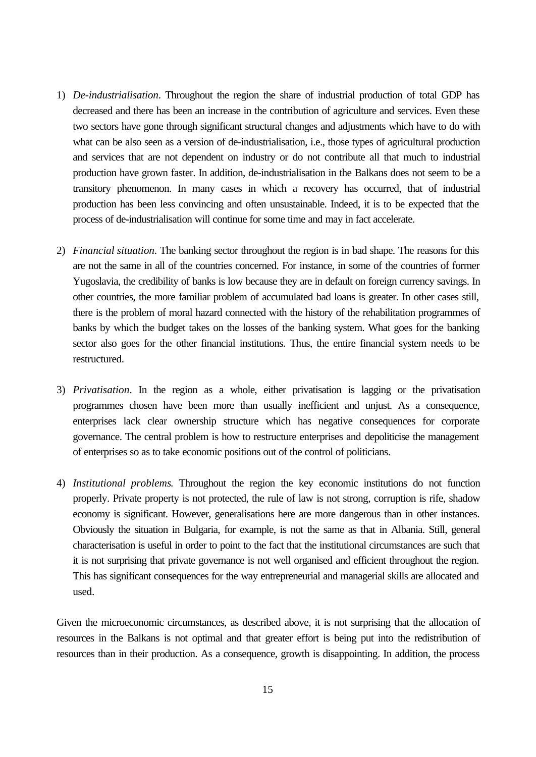- 1) *De-industrialisation*. Throughout the region the share of industrial production of total GDP has decreased and there has been an increase in the contribution of agriculture and services. Even these two sectors have gone through significant structural changes and adjustments which have to do with what can be also seen as a version of de-industrialisation, i.e., those types of agricultural production and services that are not dependent on industry or do not contribute all that much to industrial production have grown faster. In addition, de-industrialisation in the Balkans does not seem to be a transitory phenomenon. In many cases in which a recovery has occurred, that of industrial production has been less convincing and often unsustainable. Indeed, it is to be expected that the process of de-industrialisation will continue for some time and may in fact accelerate.
- 2) *Financial situation*. The banking sector throughout the region is in bad shape. The reasons for this are not the same in all of the countries concerned. For instance, in some of the countries of former Yugoslavia, the credibility of banks is low because they are in default on foreign currency savings. In other countries, the more familiar problem of accumulated bad loans is greater. In other cases still, there is the problem of moral hazard connected with the history of the rehabilitation programmes of banks by which the budget takes on the losses of the banking system. What goes for the banking sector also goes for the other financial institutions. Thus, the entire financial system needs to be restructured.
- 3) *Privatisation*. In the region as a whole, either privatisation is lagging or the privatisation programmes chosen have been more than usually inefficient and unjust. As a consequence, enterprises lack clear ownership structure which has negative consequences for corporate governance. The central problem is how to restructure enterprises and depoliticise the management of enterprises so as to take economic positions out of the control of politicians.
- 4) *Institutional problems*. Throughout the region the key economic institutions do not function properly. Private property is not protected, the rule of law is not strong, corruption is rife, shadow economy is significant. However, generalisations here are more dangerous than in other instances. Obviously the situation in Bulgaria, for example, is not the same as that in Albania. Still, general characterisation is useful in order to point to the fact that the institutional circumstances are such that it is not surprising that private governance is not well organised and efficient throughout the region. This has significant consequences for the way entrepreneurial and managerial skills are allocated and used.

Given the microeconomic circumstances, as described above, it is not surprising that the allocation of resources in the Balkans is not optimal and that greater effort is being put into the redistribution of resources than in their production. As a consequence, growth is disappointing. In addition, the process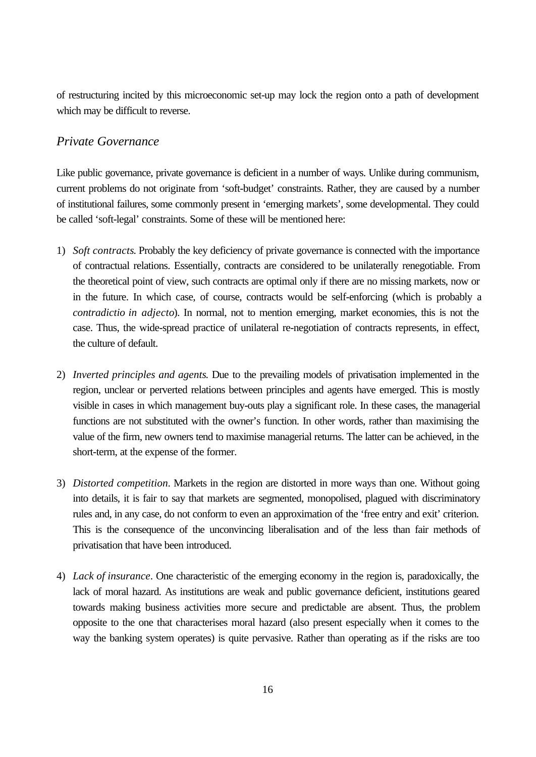of restructuring incited by this microeconomic set-up may lock the region onto a path of development which may be difficult to reverse.

#### *Private Governance*

Like public governance, private governance is deficient in a number of ways. Unlike during communism, current problems do not originate from 'soft-budget' constraints. Rather, they are caused by a number of institutional failures, some commonly present in 'emerging markets', some developmental. They could be called 'soft-legal' constraints. Some of these will be mentioned here:

- 1) *Soft contracts*. Probably the key deficiency of private governance is connected with the importance of contractual relations. Essentially, contracts are considered to be unilaterally renegotiable. From the theoretical point of view, such contracts are optimal only if there are no missing markets, now or in the future. In which case, of course, contracts would be self-enforcing (which is probably a *contradictio in adjecto*). In normal, not to mention emerging, market economies, this is not the case. Thus, the wide-spread practice of unilateral re-negotiation of contracts represents, in effect, the culture of default.
- 2) *Inverted principles and agents*. Due to the prevailing models of privatisation implemented in the region, unclear or perverted relations between principles and agents have emerged. This is mostly visible in cases in which management buy-outs play a significant role. In these cases, the managerial functions are not substituted with the owner's function. In other words, rather than maximising the value of the firm, new owners tend to maximise managerial returns. The latter can be achieved, in the short-term, at the expense of the former.
- 3) *Distorted competition*. Markets in the region are distorted in more ways than one. Without going into details, it is fair to say that markets are segmented, monopolised, plagued with discriminatory rules and, in any case, do not conform to even an approximation of the 'free entry and exit' criterion. This is the consequence of the unconvincing liberalisation and of the less than fair methods of privatisation that have been introduced.
- 4) *Lack of insurance*. One characteristic of the emerging economy in the region is, paradoxically, the lack of moral hazard. As institutions are weak and public governance deficient, institutions geared towards making business activities more secure and predictable are absent. Thus, the problem opposite to the one that characterises moral hazard (also present especially when it comes to the way the banking system operates) is quite pervasive. Rather than operating as if the risks are too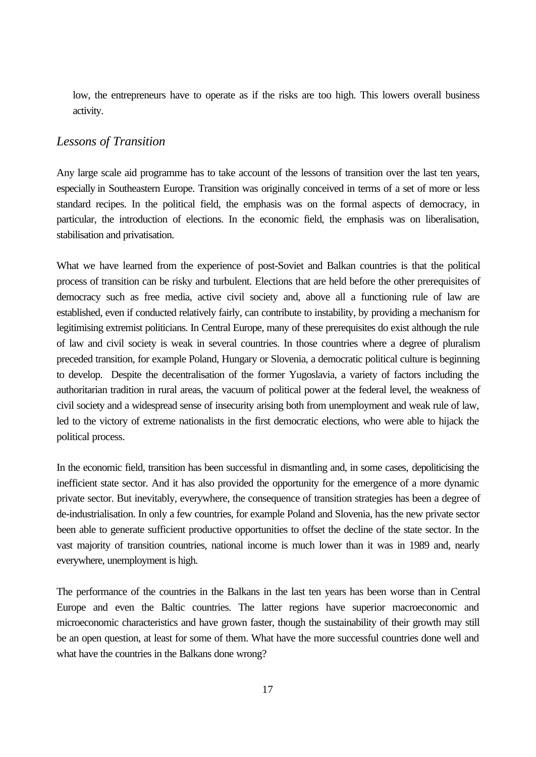low, the entrepreneurs have to operate as if the risks are too high. This lowers overall business activity.

#### *Lessons of Transition*

Any large scale aid programme has to take account of the lessons of transition over the last ten years, especially in Southeastern Europe. Transition was originally conceived in terms of a set of more or less standard recipes. In the political field, the emphasis was on the formal aspects of democracy, in particular, the introduction of elections. In the economic field, the emphasis was on liberalisation, stabilisation and privatisation.

What we have learned from the experience of post-Soviet and Balkan countries is that the political process of transition can be risky and turbulent. Elections that are held before the other prerequisites of democracy such as free media, active civil society and, above all a functioning rule of law are established, even if conducted relatively fairly, can contribute to instability, by providing a mechanism for legitimising extremist politicians. In Central Europe, many of these prerequisites do exist although the rule of law and civil society is weak in several countries. In those countries where a degree of pluralism preceded transition, for example Poland, Hungary or Slovenia, a democratic political culture is beginning to develop. Despite the decentralisation of the former Yugoslavia, a variety of factors including the authoritarian tradition in rural areas, the vacuum of political power at the federal level, the weakness of civil society and a widespread sense of insecurity arising both from unemployment and weak rule of law, led to the victory of extreme nationalists in the first democratic elections, who were able to hijack the political process.

In the economic field, transition has been successful in dismantling and, in some cases, depoliticising the inefficient state sector. And it has also provided the opportunity for the emergence of a more dynamic private sector. But inevitably, everywhere, the consequence of transition strategies has been a degree of de-industrialisation. In only a few countries, for example Poland and Slovenia, has the new private sector been able to generate sufficient productive opportunities to offset the decline of the state sector. In the vast majority of transition countries, national income is much lower than it was in 1989 and, nearly everywhere, unemployment is high.

The performance of the countries in the Balkans in the last ten years has been worse than in Central Europe and even the Baltic countries. The latter regions have superior macroeconomic and microeconomic characteristics and have grown faster, though the sustainability of their growth may still be an open question, at least for some of them. What have the more successful countries done well and what have the countries in the Balkans done wrong?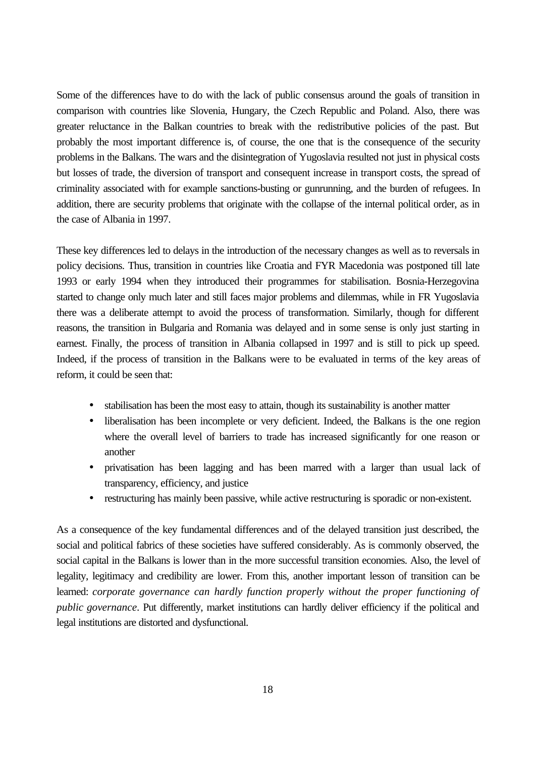Some of the differences have to do with the lack of public consensus around the goals of transition in comparison with countries like Slovenia, Hungary, the Czech Republic and Poland. Also, there was greater reluctance in the Balkan countries to break with the redistributive policies of the past. But probably the most important difference is, of course, the one that is the consequence of the security problems in the Balkans. The wars and the disintegration of Yugoslavia resulted not just in physical costs but losses of trade, the diversion of transport and consequent increase in transport costs, the spread of criminality associated with for example sanctions-busting or gunrunning, and the burden of refugees. In addition, there are security problems that originate with the collapse of the internal political order, as in the case of Albania in 1997.

These key differences led to delays in the introduction of the necessary changes as well as to reversals in policy decisions. Thus, transition in countries like Croatia and FYR Macedonia was postponed till late 1993 or early 1994 when they introduced their programmes for stabilisation. Bosnia-Herzegovina started to change only much later and still faces major problems and dilemmas, while in FR Yugoslavia there was a deliberate attempt to avoid the process of transformation. Similarly, though for different reasons, the transition in Bulgaria and Romania was delayed and in some sense is only just starting in earnest. Finally, the process of transition in Albania collapsed in 1997 and is still to pick up speed. Indeed, if the process of transition in the Balkans were to be evaluated in terms of the key areas of reform, it could be seen that:

- stabilisation has been the most easy to attain, though its sustainability is another matter
- liberalisation has been incomplete or very deficient. Indeed, the Balkans is the one region where the overall level of barriers to trade has increased significantly for one reason or another
- privatisation has been lagging and has been marred with a larger than usual lack of transparency, efficiency, and justice
- restructuring has mainly been passive, while active restructuring is sporadic or non-existent.

As a consequence of the key fundamental differences and of the delayed transition just described, the social and political fabrics of these societies have suffered considerably. As is commonly observed, the social capital in the Balkans is lower than in the more successful transition economies. Also, the level of legality, legitimacy and credibility are lower. From this, another important lesson of transition can be learned: *corporate governance can hardly function properly without the proper functioning of public governance*. Put differently, market institutions can hardly deliver efficiency if the political and legal institutions are distorted and dysfunctional.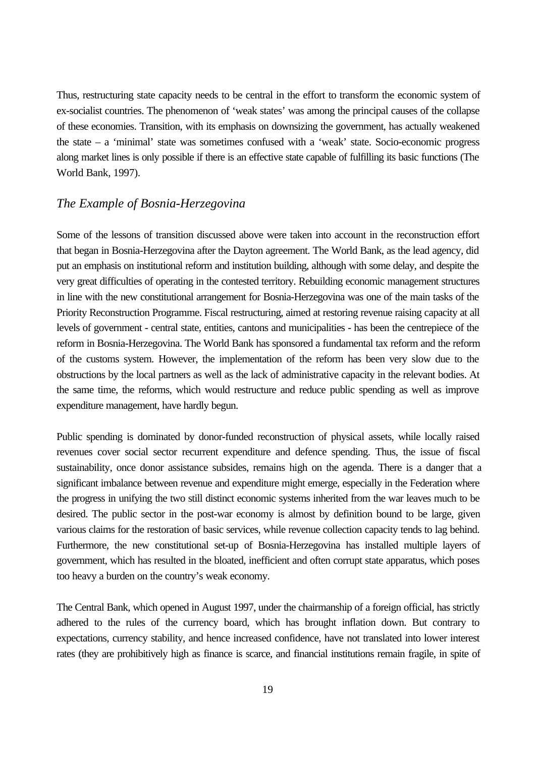Thus, restructuring state capacity needs to be central in the effort to transform the economic system of ex-socialist countries. The phenomenon of 'weak states' was among the principal causes of the collapse of these economies. Transition, with its emphasis on downsizing the government, has actually weakened the state – a 'minimal' state was sometimes confused with a 'weak' state. Socio-economic progress along market lines is only possible if there is an effective state capable of fulfilling its basic functions (The World Bank, 1997).

#### *The Example of Bosnia-Herzegovina*

Some of the lessons of transition discussed above were taken into account in the reconstruction effort that began in Bosnia-Herzegovina after the Dayton agreement. The World Bank, as the lead agency, did put an emphasis on institutional reform and institution building, although with some delay, and despite the very great difficulties of operating in the contested territory. Rebuilding economic management structures in line with the new constitutional arrangement for Bosnia-Herzegovina was one of the main tasks of the Priority Reconstruction Programme. Fiscal restructuring, aimed at restoring revenue raising capacity at all levels of government - central state, entities, cantons and municipalities - has been the centrepiece of the reform in Bosnia-Herzegovina. The World Bank has sponsored a fundamental tax reform and the reform of the customs system. However, the implementation of the reform has been very slow due to the obstructions by the local partners as well as the lack of administrative capacity in the relevant bodies. At the same time, the reforms, which would restructure and reduce public spending as well as improve expenditure management, have hardly begun.

Public spending is dominated by donor-funded reconstruction of physical assets, while locally raised revenues cover social sector recurrent expenditure and defence spending. Thus, the issue of fiscal sustainability, once donor assistance subsides, remains high on the agenda. There is a danger that a significant imbalance between revenue and expenditure might emerge, especially in the Federation where the progress in unifying the two still distinct economic systems inherited from the war leaves much to be desired. The public sector in the post-war economy is almost by definition bound to be large, given various claims for the restoration of basic services, while revenue collection capacity tends to lag behind. Furthermore, the new constitutional set-up of Bosnia-Herzegovina has installed multiple layers of government, which has resulted in the bloated, inefficient and often corrupt state apparatus, which poses too heavy a burden on the country's weak economy.

The Central Bank, which opened in August 1997, under the chairmanship of a foreign official, has strictly adhered to the rules of the currency board, which has brought inflation down. But contrary to expectations, currency stability, and hence increased confidence, have not translated into lower interest rates (they are prohibitively high as finance is scarce, and financial institutions remain fragile, in spite of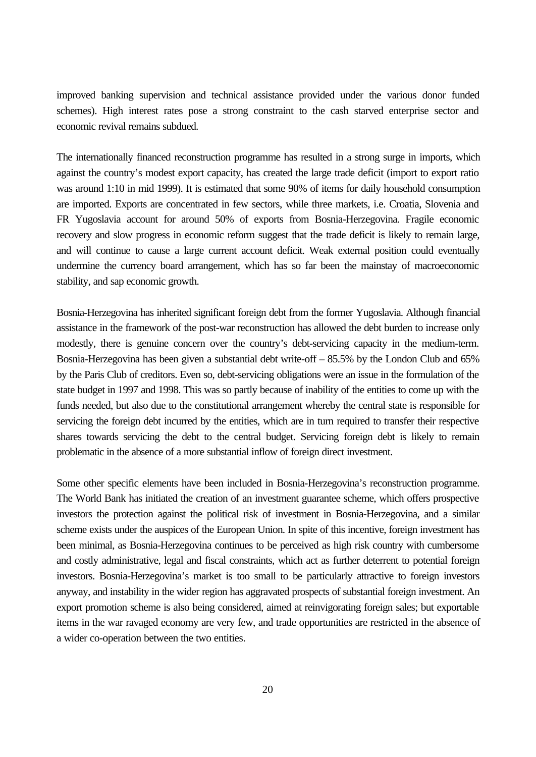improved banking supervision and technical assistance provided under the various donor funded schemes). High interest rates pose a strong constraint to the cash starved enterprise sector and economic revival remains subdued.

The internationally financed reconstruction programme has resulted in a strong surge in imports, which against the country's modest export capacity, has created the large trade deficit (import to export ratio was around 1:10 in mid 1999). It is estimated that some 90% of items for daily household consumption are imported. Exports are concentrated in few sectors, while three markets, i.e. Croatia, Slovenia and FR Yugoslavia account for around 50% of exports from Bosnia-Herzegovina. Fragile economic recovery and slow progress in economic reform suggest that the trade deficit is likely to remain large, and will continue to cause a large current account deficit. Weak external position could eventually undermine the currency board arrangement, which has so far been the mainstay of macroeconomic stability, and sap economic growth.

Bosnia-Herzegovina has inherited significant foreign debt from the former Yugoslavia. Although financial assistance in the framework of the post-war reconstruction has allowed the debt burden to increase only modestly, there is genuine concern over the country's debt-servicing capacity in the medium-term. Bosnia-Herzegovina has been given a substantial debt write-off – 85.5% by the London Club and 65% by the Paris Club of creditors. Even so, debt-servicing obligations were an issue in the formulation of the state budget in 1997 and 1998. This was so partly because of inability of the entities to come up with the funds needed, but also due to the constitutional arrangement whereby the central state is responsible for servicing the foreign debt incurred by the entities, which are in turn required to transfer their respective shares towards servicing the debt to the central budget. Servicing foreign debt is likely to remain problematic in the absence of a more substantial inflow of foreign direct investment.

Some other specific elements have been included in Bosnia-Herzegovina's reconstruction programme. The World Bank has initiated the creation of an investment guarantee scheme, which offers prospective investors the protection against the political risk of investment in Bosnia-Herzegovina, and a similar scheme exists under the auspices of the European Union. In spite of this incentive, foreign investment has been minimal, as Bosnia-Herzegovina continues to be perceived as high risk country with cumbersome and costly administrative, legal and fiscal constraints, which act as further deterrent to potential foreign investors. Bosnia-Herzegovina's market is too small to be particularly attractive to foreign investors anyway, and instability in the wider region has aggravated prospects of substantial foreign investment. An export promotion scheme is also being considered, aimed at reinvigorating foreign sales; but exportable items in the war ravaged economy are very few, and trade opportunities are restricted in the absence of a wider co-operation between the two entities.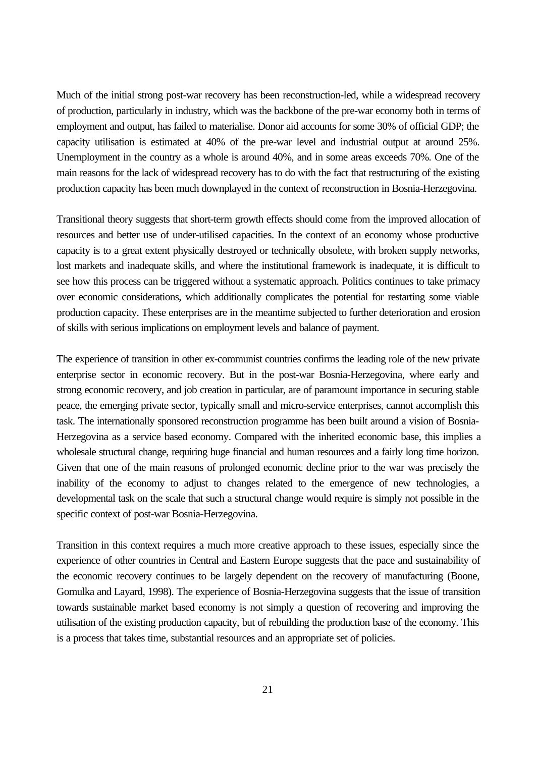Much of the initial strong post-war recovery has been reconstruction-led, while a widespread recovery of production, particularly in industry, which was the backbone of the pre-war economy both in terms of employment and output, has failed to materialise. Donor aid accounts for some 30% of official GDP; the capacity utilisation is estimated at 40% of the pre-war level and industrial output at around 25%. Unemployment in the country as a whole is around 40%, and in some areas exceeds 70%. One of the main reasons for the lack of widespread recovery has to do with the fact that restructuring of the existing production capacity has been much downplayed in the context of reconstruction in Bosnia-Herzegovina.

Transitional theory suggests that short-term growth effects should come from the improved allocation of resources and better use of under-utilised capacities. In the context of an economy whose productive capacity is to a great extent physically destroyed or technically obsolete, with broken supply networks, lost markets and inadequate skills, and where the institutional framework is inadequate, it is difficult to see how this process can be triggered without a systematic approach. Politics continues to take primacy over economic considerations, which additionally complicates the potential for restarting some viable production capacity. These enterprises are in the meantime subjected to further deterioration and erosion of skills with serious implications on employment levels and balance of payment.

The experience of transition in other ex-communist countries confirms the leading role of the new private enterprise sector in economic recovery. But in the post-war Bosnia-Herzegovina, where early and strong economic recovery, and job creation in particular, are of paramount importance in securing stable peace, the emerging private sector, typically small and micro-service enterprises, cannot accomplish this task. The internationally sponsored reconstruction programme has been built around a vision of Bosnia-Herzegovina as a service based economy. Compared with the inherited economic base, this implies a wholesale structural change, requiring huge financial and human resources and a fairly long time horizon. Given that one of the main reasons of prolonged economic decline prior to the war was precisely the inability of the economy to adjust to changes related to the emergence of new technologies, a developmental task on the scale that such a structural change would require is simply not possible in the specific context of post-war Bosnia-Herzegovina.

Transition in this context requires a much more creative approach to these issues, especially since the experience of other countries in Central and Eastern Europe suggests that the pace and sustainability of the economic recovery continues to be largely dependent on the recovery of manufacturing (Boone, Gomulka and Layard, 1998). The experience of Bosnia-Herzegovina suggests that the issue of transition towards sustainable market based economy is not simply a question of recovering and improving the utilisation of the existing production capacity, but of rebuilding the production base of the economy. This is a process that takes time, substantial resources and an appropriate set of policies.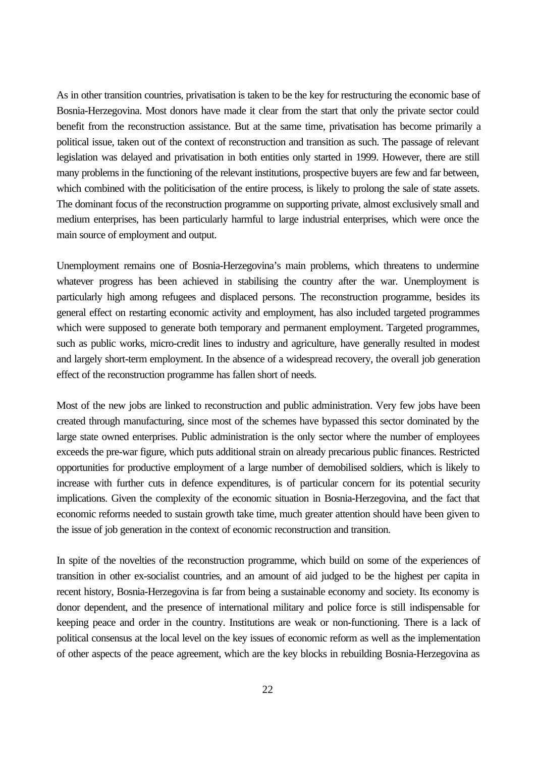As in other transition countries, privatisation is taken to be the key for restructuring the economic base of Bosnia-Herzegovina. Most donors have made it clear from the start that only the private sector could benefit from the reconstruction assistance. But at the same time, privatisation has become primarily a political issue, taken out of the context of reconstruction and transition as such. The passage of relevant legislation was delayed and privatisation in both entities only started in 1999. However, there are still many problems in the functioning of the relevant institutions, prospective buyers are few and far between, which combined with the politicisation of the entire process, is likely to prolong the sale of state assets. The dominant focus of the reconstruction programme on supporting private, almost exclusively small and medium enterprises, has been particularly harmful to large industrial enterprises, which were once the main source of employment and output.

Unemployment remains one of Bosnia-Herzegovina's main problems, which threatens to undermine whatever progress has been achieved in stabilising the country after the war. Unemployment is particularly high among refugees and displaced persons. The reconstruction programme, besides its general effect on restarting economic activity and employment, has also included targeted programmes which were supposed to generate both temporary and permanent employment. Targeted programmes, such as public works, micro-credit lines to industry and agriculture, have generally resulted in modest and largely short-term employment. In the absence of a widespread recovery, the overall job generation effect of the reconstruction programme has fallen short of needs.

Most of the new jobs are linked to reconstruction and public administration. Very few jobs have been created through manufacturing, since most of the schemes have bypassed this sector dominated by the large state owned enterprises. Public administration is the only sector where the number of employees exceeds the pre-war figure, which puts additional strain on already precarious public finances. Restricted opportunities for productive employment of a large number of demobilised soldiers, which is likely to increase with further cuts in defence expenditures, is of particular concern for its potential security implications. Given the complexity of the economic situation in Bosnia-Herzegovina, and the fact that economic reforms needed to sustain growth take time, much greater attention should have been given to the issue of job generation in the context of economic reconstruction and transition.

In spite of the novelties of the reconstruction programme, which build on some of the experiences of transition in other ex-socialist countries, and an amount of aid judged to be the highest per capita in recent history, Bosnia-Herzegovina is far from being a sustainable economy and society. Its economy is donor dependent, and the presence of international military and police force is still indispensable for keeping peace and order in the country. Institutions are weak or non-functioning. There is a lack of political consensus at the local level on the key issues of economic reform as well as the implementation of other aspects of the peace agreement, which are the key blocks in rebuilding Bosnia-Herzegovina as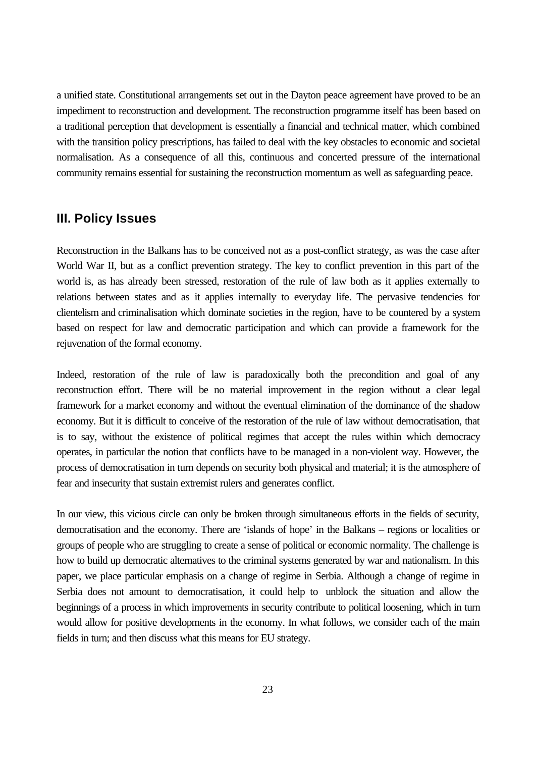a unified state. Constitutional arrangements set out in the Dayton peace agreement have proved to be an impediment to reconstruction and development. The reconstruction programme itself has been based on a traditional perception that development is essentially a financial and technical matter, which combined with the transition policy prescriptions, has failed to deal with the key obstacles to economic and societal normalisation. As a consequence of all this, continuous and concerted pressure of the international community remains essential for sustaining the reconstruction momentum as well as safeguarding peace.

## **III. Policy Issues**

Reconstruction in the Balkans has to be conceived not as a post-conflict strategy, as was the case after World War II, but as a conflict prevention strategy. The key to conflict prevention in this part of the world is, as has already been stressed, restoration of the rule of law both as it applies externally to relations between states and as it applies internally to everyday life. The pervasive tendencies for clientelism and criminalisation which dominate societies in the region, have to be countered by a system based on respect for law and democratic participation and which can provide a framework for the rejuvenation of the formal economy.

Indeed, restoration of the rule of law is paradoxically both the precondition and goal of any reconstruction effort. There will be no material improvement in the region without a clear legal framework for a market economy and without the eventual elimination of the dominance of the shadow economy. But it is difficult to conceive of the restoration of the rule of law without democratisation, that is to say, without the existence of political regimes that accept the rules within which democracy operates, in particular the notion that conflicts have to be managed in a non-violent way. However, the process of democratisation in turn depends on security both physical and material; it is the atmosphere of fear and insecurity that sustain extremist rulers and generates conflict.

In our view, this vicious circle can only be broken through simultaneous efforts in the fields of security, democratisation and the economy. There are 'islands of hope' in the Balkans – regions or localities or groups of people who are struggling to create a sense of political or economic normality. The challenge is how to build up democratic alternatives to the criminal systems generated by war and nationalism. In this paper, we place particular emphasis on a change of regime in Serbia. Although a change of regime in Serbia does not amount to democratisation, it could help to unblock the situation and allow the beginnings of a process in which improvements in security contribute to political loosening, which in turn would allow for positive developments in the economy. In what follows, we consider each of the main fields in turn; and then discuss what this means for EU strategy.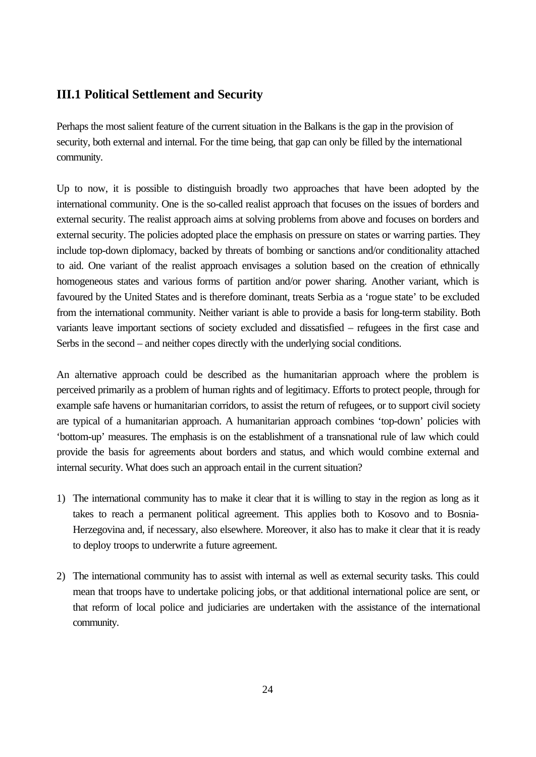## **III.1 Political Settlement and Security**

Perhaps the most salient feature of the current situation in the Balkans is the gap in the provision of security, both external and internal. For the time being, that gap can only be filled by the international community.

Up to now, it is possible to distinguish broadly two approaches that have been adopted by the international community. One is the so-called realist approach that focuses on the issues of borders and external security. The realist approach aims at solving problems from above and focuses on borders and external security. The policies adopted place the emphasis on pressure on states or warring parties. They include top-down diplomacy, backed by threats of bombing or sanctions and/or conditionality attached to aid. One variant of the realist approach envisages a solution based on the creation of ethnically homogeneous states and various forms of partition and/or power sharing. Another variant, which is favoured by the United States and is therefore dominant, treats Serbia as a 'rogue state' to be excluded from the international community. Neither variant is able to provide a basis for long-term stability. Both variants leave important sections of society excluded and dissatisfied – refugees in the first case and Serbs in the second – and neither copes directly with the underlying social conditions.

An alternative approach could be described as the humanitarian approach where the problem is perceived primarily as a problem of human rights and of legitimacy. Efforts to protect people, through for example safe havens or humanitarian corridors, to assist the return of refugees, or to support civil society are typical of a humanitarian approach. A humanitarian approach combines 'top-down' policies with 'bottom-up' measures. The emphasis is on the establishment of a transnational rule of law which could provide the basis for agreements about borders and status, and which would combine external and internal security. What does such an approach entail in the current situation?

- 1) The international community has to make it clear that it is willing to stay in the region as long as it takes to reach a permanent political agreement. This applies both to Kosovo and to Bosnia-Herzegovina and, if necessary, also elsewhere. Moreover, it also has to make it clear that it is ready to deploy troops to underwrite a future agreement.
- 2) The international community has to assist with internal as well as external security tasks. This could mean that troops have to undertake policing jobs, or that additional international police are sent, or that reform of local police and judiciaries are undertaken with the assistance of the international community.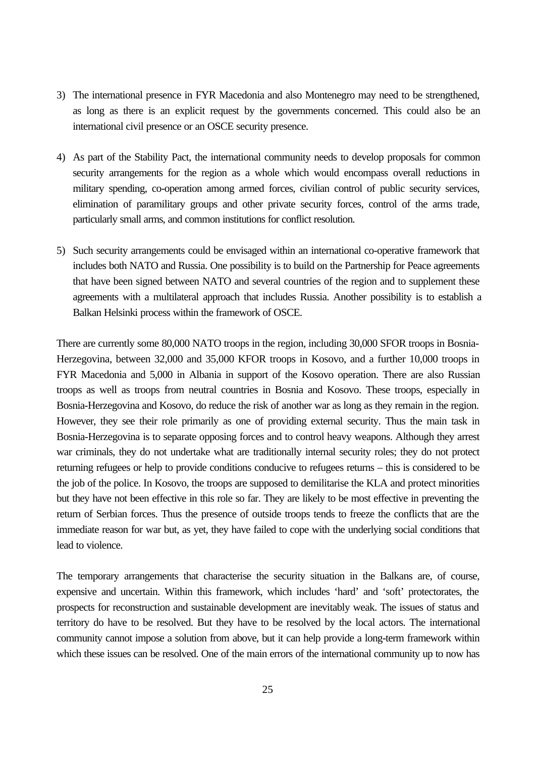- 3) The international presence in FYR Macedonia and also Montenegro may need to be strengthened, as long as there is an explicit request by the governments concerned. This could also be an international civil presence or an OSCE security presence.
- 4) As part of the Stability Pact, the international community needs to develop proposals for common security arrangements for the region as a whole which would encompass overall reductions in military spending, co-operation among armed forces, civilian control of public security services, elimination of paramilitary groups and other private security forces, control of the arms trade, particularly small arms, and common institutions for conflict resolution.
- 5) Such security arrangements could be envisaged within an international co-operative framework that includes both NATO and Russia. One possibility is to build on the Partnership for Peace agreements that have been signed between NATO and several countries of the region and to supplement these agreements with a multilateral approach that includes Russia. Another possibility is to establish a Balkan Helsinki process within the framework of OSCE.

There are currently some 80,000 NATO troops in the region, including 30,000 SFOR troops in Bosnia-Herzegovina, between 32,000 and 35,000 KFOR troops in Kosovo, and a further 10,000 troops in FYR Macedonia and 5,000 in Albania in support of the Kosovo operation. There are also Russian troops as well as troops from neutral countries in Bosnia and Kosovo. These troops, especially in Bosnia-Herzegovina and Kosovo, do reduce the risk of another war as long as they remain in the region. However, they see their role primarily as one of providing external security. Thus the main task in Bosnia-Herzegovina is to separate opposing forces and to control heavy weapons. Although they arrest war criminals, they do not undertake what are traditionally internal security roles; they do not protect returning refugees or help to provide conditions conducive to refugees returns – this is considered to be the job of the police. In Kosovo, the troops are supposed to demilitarise the KLA and protect minorities but they have not been effective in this role so far. They are likely to be most effective in preventing the return of Serbian forces. Thus the presence of outside troops tends to freeze the conflicts that are the immediate reason for war but, as yet, they have failed to cope with the underlying social conditions that lead to violence.

The temporary arrangements that characterise the security situation in the Balkans are, of course, expensive and uncertain. Within this framework, which includes 'hard' and 'soft' protectorates, the prospects for reconstruction and sustainable development are inevitably weak. The issues of status and territory do have to be resolved. But they have to be resolved by the local actors. The international community cannot impose a solution from above, but it can help provide a long-term framework within which these issues can be resolved. One of the main errors of the international community up to now has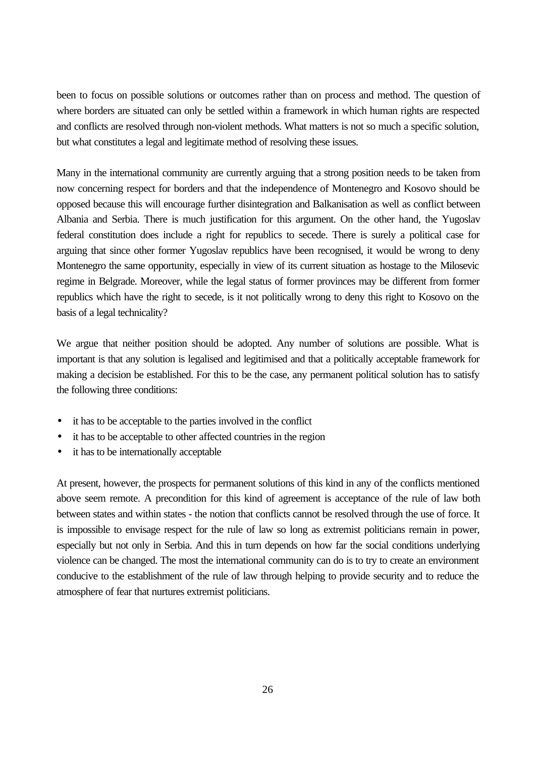been to focus on possible solutions or outcomes rather than on process and method. The question of where borders are situated can only be settled within a framework in which human rights are respected and conflicts are resolved through non-violent methods. What matters is not so much a specific solution, but what constitutes a legal and legitimate method of resolving these issues.

Many in the international community are currently arguing that a strong position needs to be taken from now concerning respect for borders and that the independence of Montenegro and Kosovo should be opposed because this will encourage further disintegration and Balkanisation as well as conflict between Albania and Serbia. There is much justification for this argument. On the other hand, the Yugoslav federal constitution does include a right for republics to secede. There is surely a political case for arguing that since other former Yugoslav republics have been recognised, it would be wrong to deny Montenegro the same opportunity, especially in view of its current situation as hostage to the Milosevic regime in Belgrade. Moreover, while the legal status of former provinces may be different from former republics which have the right to secede, is it not politically wrong to deny this right to Kosovo on the basis of a legal technicality?

We argue that neither position should be adopted. Any number of solutions are possible. What is important is that any solution is legalised and legitimised and that a politically acceptable framework for making a decision be established. For this to be the case, any permanent political solution has to satisfy the following three conditions:

- it has to be acceptable to the parties involved in the conflict
- it has to be acceptable to other affected countries in the region
- it has to be internationally acceptable

At present, however, the prospects for permanent solutions of this kind in any of the conflicts mentioned above seem remote. A precondition for this kind of agreement is acceptance of the rule of law both between states and within states - the notion that conflicts cannot be resolved through the use of force. It is impossible to envisage respect for the rule of law so long as extremist politicians remain in power, especially but not only in Serbia. And this in turn depends on how far the social conditions underlying violence can be changed. The most the international community can do is to try to create an environment conducive to the establishment of the rule of law through helping to provide security and to reduce the atmosphere of fear that nurtures extremist politicians.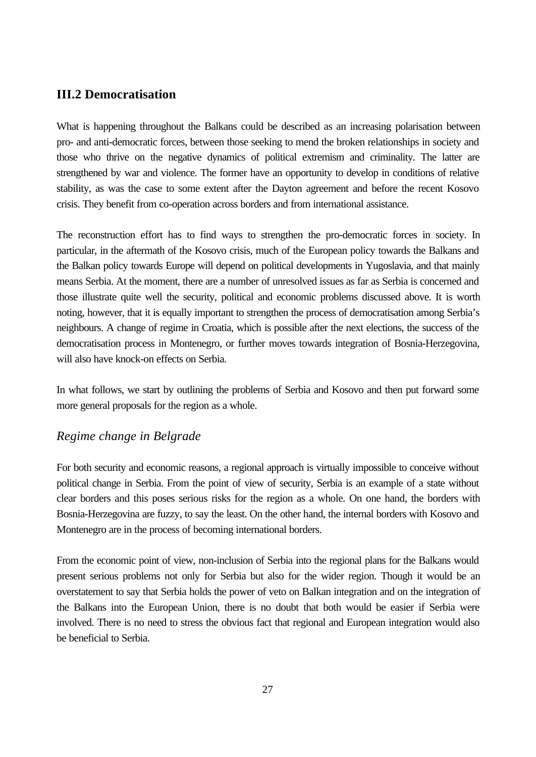#### **III.2 Democratisation**

What is happening throughout the Balkans could be described as an increasing polarisation between pro- and anti-democratic forces, between those seeking to mend the broken relationships in society and those who thrive on the negative dynamics of political extremism and criminality. The latter are strengthened by war and violence. The former have an opportunity to develop in conditions of relative stability, as was the case to some extent after the Dayton agreement and before the recent Kosovo crisis. They benefit from co-operation across borders and from international assistance.

The reconstruction effort has to find ways to strengthen the pro-democratic forces in society. In particular, in the aftermath of the Kosovo crisis, much of the European policy towards the Balkans and the Balkan policy towards Europe will depend on political developments in Yugoslavia, and that mainly means Serbia. At the moment, there are a number of unresolved issues as far as Serbia is concerned and those illustrate quite well the security, political and economic problems discussed above. It is worth noting, however, that it is equally important to strengthen the process of democratisation among Serbia's neighbours. A change of regime in Croatia, which is possible after the next elections, the success of the democratisation process in Montenegro, or further moves towards integration of Bosnia-Herzegovina, will also have knock-on effects on Serbia.

In what follows, we start by outlining the problems of Serbia and Kosovo and then put forward some more general proposals for the region as a whole.

#### *Regime change in Belgrade*

For both security and economic reasons, a regional approach is virtually impossible to conceive without political change in Serbia. From the point of view of security, Serbia is an example of a state without clear borders and this poses serious risks for the region as a whole. On one hand, the borders with Bosnia-Herzegovina are fuzzy, to say the least. On the other hand, the internal borders with Kosovo and Montenegro are in the process of becoming international borders.

From the economic point of view, non-inclusion of Serbia into the regional plans for the Balkans would present serious problems not only for Serbia but also for the wider region. Though it would be an overstatement to say that Serbia holds the power of veto on Balkan integration and on the integration of the Balkans into the European Union, there is no doubt that both would be easier if Serbia were involved. There is no need to stress the obvious fact that regional and European integration would also be beneficial to Serbia.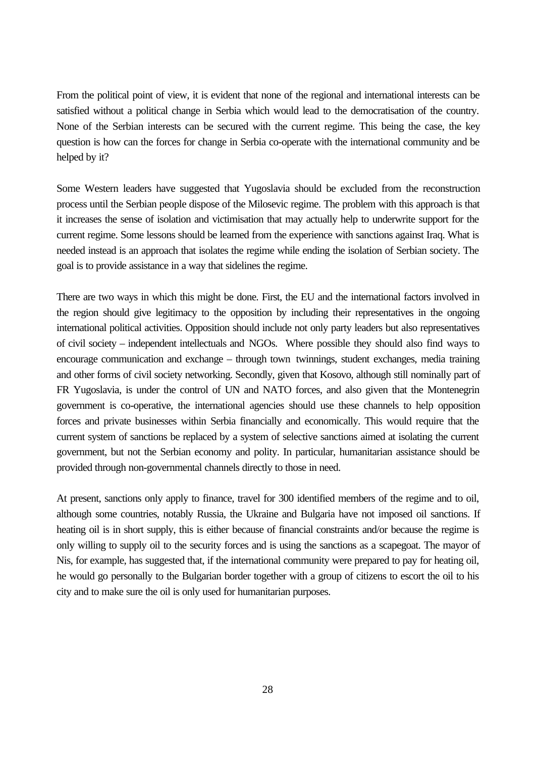From the political point of view, it is evident that none of the regional and international interests can be satisfied without a political change in Serbia which would lead to the democratisation of the country. None of the Serbian interests can be secured with the current regime. This being the case, the key question is how can the forces for change in Serbia co-operate with the international community and be helped by it?

Some Western leaders have suggested that Yugoslavia should be excluded from the reconstruction process until the Serbian people dispose of the Milosevic regime. The problem with this approach is that it increases the sense of isolation and victimisation that may actually help to underwrite support for the current regime. Some lessons should be learned from the experience with sanctions against Iraq. What is needed instead is an approach that isolates the regime while ending the isolation of Serbian society. The goal is to provide assistance in a way that sidelines the regime.

There are two ways in which this might be done. First, the EU and the international factors involved in the region should give legitimacy to the opposition by including their representatives in the ongoing international political activities. Opposition should include not only party leaders but also representatives of civil society – independent intellectuals and NGOs. Where possible they should also find ways to encourage communication and exchange – through town twinnings, student exchanges, media training and other forms of civil society networking. Secondly, given that Kosovo, although still nominally part of FR Yugoslavia, is under the control of UN and NATO forces, and also given that the Montenegrin government is co-operative, the international agencies should use these channels to help opposition forces and private businesses within Serbia financially and economically. This would require that the current system of sanctions be replaced by a system of selective sanctions aimed at isolating the current government, but not the Serbian economy and polity. In particular, humanitarian assistance should be provided through non-governmental channels directly to those in need.

At present, sanctions only apply to finance, travel for 300 identified members of the regime and to oil, although some countries, notably Russia, the Ukraine and Bulgaria have not imposed oil sanctions. If heating oil is in short supply, this is either because of financial constraints and/or because the regime is only willing to supply oil to the security forces and is using the sanctions as a scapegoat. The mayor of Nis, for example, has suggested that, if the international community were prepared to pay for heating oil, he would go personally to the Bulgarian border together with a group of citizens to escort the oil to his city and to make sure the oil is only used for humanitarian purposes.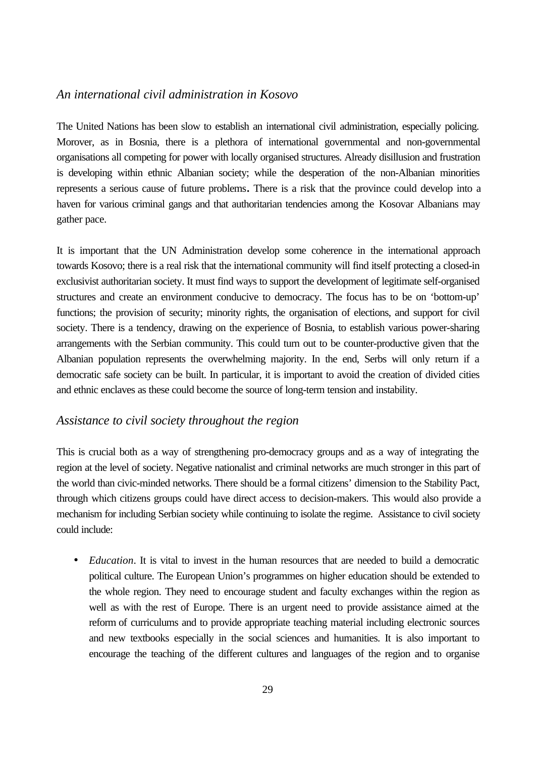#### *An international civil administration in Kosovo*

The United Nations has been slow to establish an international civil administration, especially policing. Morover, as in Bosnia, there is a plethora of international governmental and non-governmental organisations all competing for power with locally organised structures. Already disillusion and frustration is developing within ethnic Albanian society; while the desperation of the non-Albanian minorities represents a serious cause of future problems**.** There is a risk that the province could develop into a haven for various criminal gangs and that authoritarian tendencies among the Kosovar Albanians may gather pace.

It is important that the UN Administration develop some coherence in the international approach towards Kosovo; there is a real risk that the international community will find itself protecting a closed-in exclusivist authoritarian society. It must find ways to support the development of legitimate self-organised structures and create an environment conducive to democracy. The focus has to be on 'bottom-up' functions; the provision of security; minority rights, the organisation of elections, and support for civil society. There is a tendency, drawing on the experience of Bosnia, to establish various power-sharing arrangements with the Serbian community. This could turn out to be counter-productive given that the Albanian population represents the overwhelming majority. In the end, Serbs will only return if a democratic safe society can be built. In particular, it is important to avoid the creation of divided cities and ethnic enclaves as these could become the source of long-term tension and instability.

#### *Assistance to civil society throughout the region*

This is crucial both as a way of strengthening pro-democracy groups and as a way of integrating the region at the level of society. Negative nationalist and criminal networks are much stronger in this part of the world than civic-minded networks. There should be a formal citizens' dimension to the Stability Pact, through which citizens groups could have direct access to decision-makers. This would also provide a mechanism for including Serbian society while continuing to isolate the regime. Assistance to civil society could include:

• *Education*. It is vital to invest in the human resources that are needed to build a democratic political culture. The European Union's programmes on higher education should be extended to the whole region. They need to encourage student and faculty exchanges within the region as well as with the rest of Europe. There is an urgent need to provide assistance aimed at the reform of curriculums and to provide appropriate teaching material including electronic sources and new textbooks especially in the social sciences and humanities. It is also important to encourage the teaching of the different cultures and languages of the region and to organise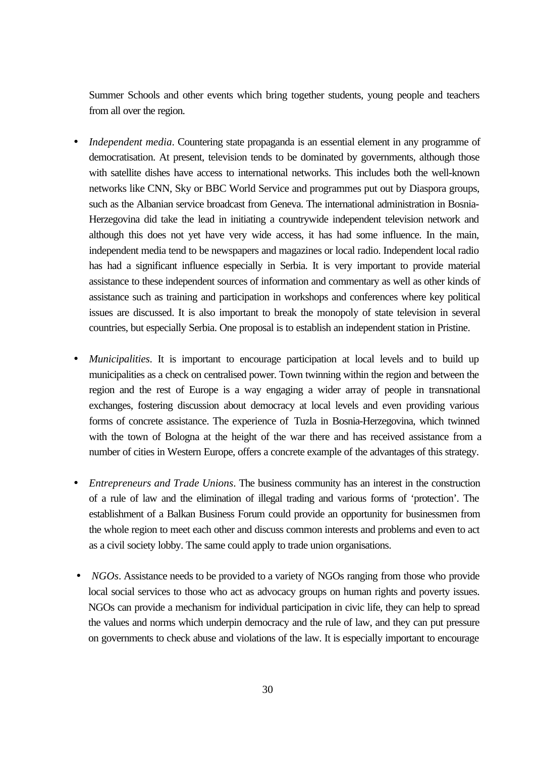Summer Schools and other events which bring together students, young people and teachers from all over the region.

- *Independent media*. Countering state propaganda is an essential element in any programme of democratisation. At present, television tends to be dominated by governments, although those with satellite dishes have access to international networks. This includes both the well-known networks like CNN, Sky or BBC World Service and programmes put out by Diaspora groups, such as the Albanian service broadcast from Geneva. The international administration in Bosnia-Herzegovina did take the lead in initiating a countrywide independent television network and although this does not yet have very wide access, it has had some influence. In the main, independent media tend to be newspapers and magazines or local radio. Independent local radio has had a significant influence especially in Serbia. It is very important to provide material assistance to these independent sources of information and commentary as well as other kinds of assistance such as training and participation in workshops and conferences where key political issues are discussed. It is also important to break the monopoly of state television in several countries, but especially Serbia. One proposal is to establish an independent station in Pristine.
- *Municipalities*. It is important to encourage participation at local levels and to build up municipalities as a check on centralised power. Town twinning within the region and between the region and the rest of Europe is a way engaging a wider array of people in transnational exchanges, fostering discussion about democracy at local levels and even providing various forms of concrete assistance. The experience of Tuzla in Bosnia-Herzegovina, which twinned with the town of Bologna at the height of the war there and has received assistance from a number of cities in Western Europe, offers a concrete example of the advantages of this strategy.
- *Entrepreneurs and Trade Unions*. The business community has an interest in the construction of a rule of law and the elimination of illegal trading and various forms of 'protection'. The establishment of a Balkan Business Forum could provide an opportunity for businessmen from the whole region to meet each other and discuss common interests and problems and even to act as a civil society lobby. The same could apply to trade union organisations.
- *NGOs*. Assistance needs to be provided to a variety of NGOs ranging from those who provide local social services to those who act as advocacy groups on human rights and poverty issues. NGOs can provide a mechanism for individual participation in civic life, they can help to spread the values and norms which underpin democracy and the rule of law, and they can put pressure on governments to check abuse and violations of the law. It is especially important to encourage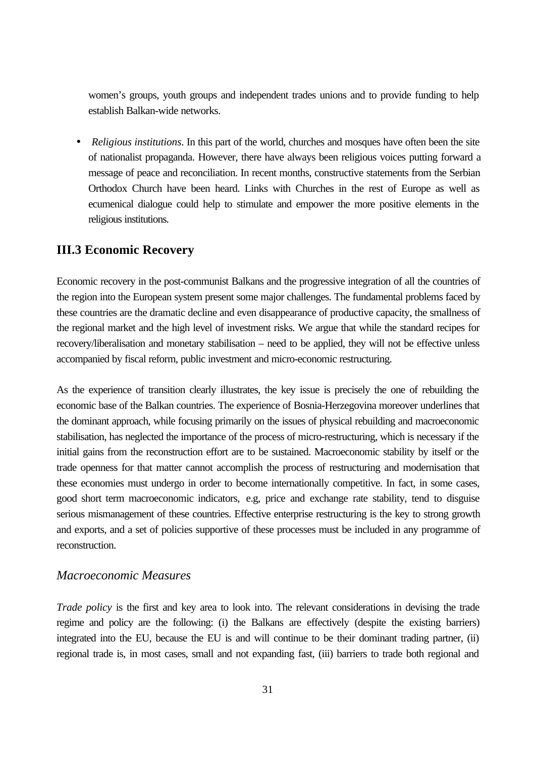women's groups, youth groups and independent trades unions and to provide funding to help establish Balkan-wide networks.

• *Religious institutions*. In this part of the world, churches and mosques have often been the site of nationalist propaganda. However, there have always been religious voices putting forward a message of peace and reconciliation. In recent months, constructive statements from the Serbian Orthodox Church have been heard. Links with Churches in the rest of Europe as well as ecumenical dialogue could help to stimulate and empower the more positive elements in the religious institutions.

#### **III.3 Economic Recovery**

Economic recovery in the post-communist Balkans and the progressive integration of all the countries of the region into the European system present some major challenges. The fundamental problems faced by these countries are the dramatic decline and even disappearance of productive capacity, the smallness of the regional market and the high level of investment risks. We argue that while the standard recipes for recovery/liberalisation and monetary stabilisation – need to be applied, they will not be effective unless accompanied by fiscal reform, public investment and micro-economic restructuring.

As the experience of transition clearly illustrates, the key issue is precisely the one of rebuilding the economic base of the Balkan countries. The experience of Bosnia-Herzegovina moreover underlines that the dominant approach, while focusing primarily on the issues of physical rebuilding and macroeconomic stabilisation, has neglected the importance of the process of micro-restructuring, which is necessary if the initial gains from the reconstruction effort are to be sustained. Macroeconomic stability by itself or the trade openness for that matter cannot accomplish the process of restructuring and modernisation that these economies must undergo in order to become internationally competitive. In fact, in some cases, good short term macroeconomic indicators, e.g, price and exchange rate stability, tend to disguise serious mismanagement of these countries. Effective enterprise restructuring is the key to strong growth and exports, and a set of policies supportive of these processes must be included in any programme of reconstruction.

#### *Macroeconomic Measures*

*Trade policy* is the first and key area to look into. The relevant considerations in devising the trade regime and policy are the following: (i) the Balkans are effectively (despite the existing barriers) integrated into the EU, because the EU is and will continue to be their dominant trading partner, (ii) regional trade is, in most cases, small and not expanding fast, (iii) barriers to trade both regional and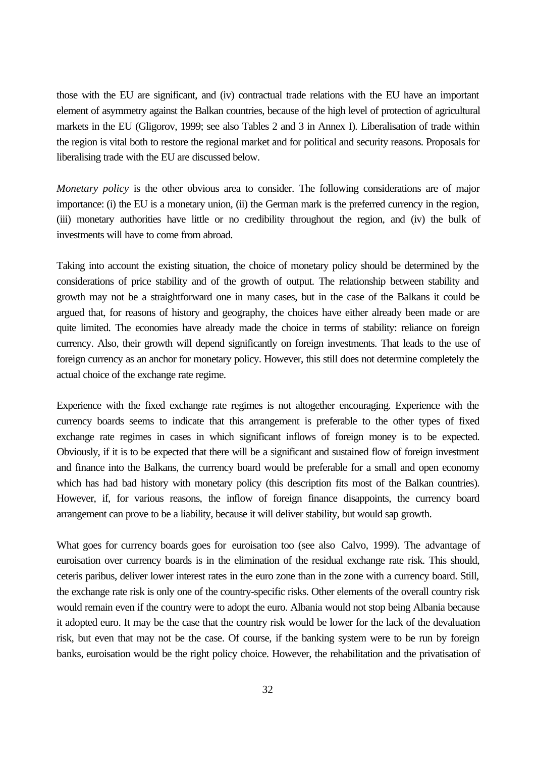those with the EU are significant, and (iv) contractual trade relations with the EU have an important element of asymmetry against the Balkan countries, because of the high level of protection of agricultural markets in the EU (Gligorov, 1999; see also Tables 2 and 3 in Annex I). Liberalisation of trade within the region is vital both to restore the regional market and for political and security reasons. Proposals for liberalising trade with the EU are discussed below.

*Monetary policy* is the other obvious area to consider. The following considerations are of major importance: (i) the EU is a monetary union, (ii) the German mark is the preferred currency in the region, (iii) monetary authorities have little or no credibility throughout the region, and (iv) the bulk of investments will have to come from abroad.

Taking into account the existing situation, the choice of monetary policy should be determined by the considerations of price stability and of the growth of output. The relationship between stability and growth may not be a straightforward one in many cases, but in the case of the Balkans it could be argued that, for reasons of history and geography, the choices have either already been made or are quite limited. The economies have already made the choice in terms of stability: reliance on foreign currency. Also, their growth will depend significantly on foreign investments. That leads to the use of foreign currency as an anchor for monetary policy. However, this still does not determine completely the actual choice of the exchange rate regime.

Experience with the fixed exchange rate regimes is not altogether encouraging. Experience with the currency boards seems to indicate that this arrangement is preferable to the other types of fixed exchange rate regimes in cases in which significant inflows of foreign money is to be expected. Obviously, if it is to be expected that there will be a significant and sustained flow of foreign investment and finance into the Balkans, the currency board would be preferable for a small and open economy which has had bad history with monetary policy (this description fits most of the Balkan countries). However, if, for various reasons, the inflow of foreign finance disappoints, the currency board arrangement can prove to be a liability, because it will deliver stability, but would sap growth.

What goes for currency boards goes for euroisation too (see also Calvo, 1999). The advantage of euroisation over currency boards is in the elimination of the residual exchange rate risk. This should, ceteris paribus, deliver lower interest rates in the euro zone than in the zone with a currency board. Still, the exchange rate risk is only one of the country-specific risks. Other elements of the overall country risk would remain even if the country were to adopt the euro. Albania would not stop being Albania because it adopted euro. It may be the case that the country risk would be lower for the lack of the devaluation risk, but even that may not be the case. Of course, if the banking system were to be run by foreign banks, euroisation would be the right policy choice. However, the rehabilitation and the privatisation of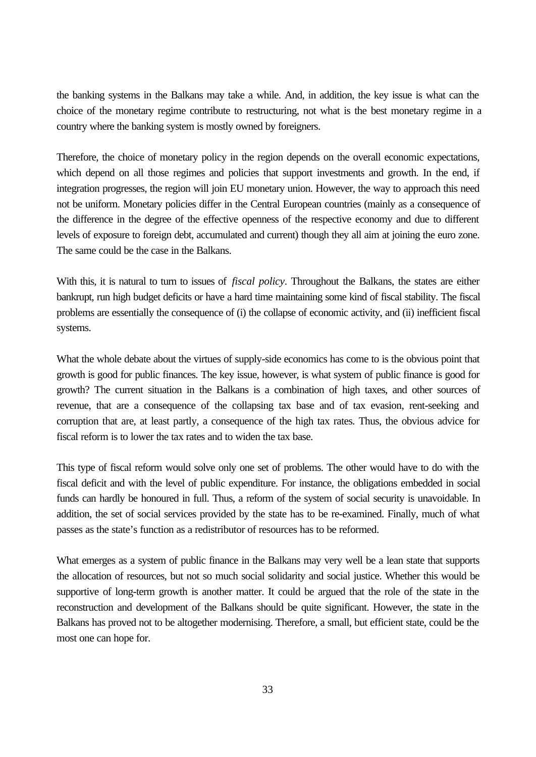the banking systems in the Balkans may take a while. And, in addition, the key issue is what can the choice of the monetary regime contribute to restructuring, not what is the best monetary regime in a country where the banking system is mostly owned by foreigners.

Therefore, the choice of monetary policy in the region depends on the overall economic expectations, which depend on all those regimes and policies that support investments and growth. In the end, if integration progresses, the region will join EU monetary union. However, the way to approach this need not be uniform. Monetary policies differ in the Central European countries (mainly as a consequence of the difference in the degree of the effective openness of the respective economy and due to different levels of exposure to foreign debt, accumulated and current) though they all aim at joining the euro zone. The same could be the case in the Balkans.

With this, it is natural to turn to issues of *fiscal policy*. Throughout the Balkans, the states are either bankrupt, run high budget deficits or have a hard time maintaining some kind of fiscal stability. The fiscal problems are essentially the consequence of (i) the collapse of economic activity, and (ii) inefficient fiscal systems.

What the whole debate about the virtues of supply-side economics has come to is the obvious point that growth is good for public finances. The key issue, however, is what system of public finance is good for growth? The current situation in the Balkans is a combination of high taxes, and other sources of revenue, that are a consequence of the collapsing tax base and of tax evasion, rent-seeking and corruption that are, at least partly, a consequence of the high tax rates. Thus, the obvious advice for fiscal reform is to lower the tax rates and to widen the tax base.

This type of fiscal reform would solve only one set of problems. The other would have to do with the fiscal deficit and with the level of public expenditure. For instance, the obligations embedded in social funds can hardly be honoured in full. Thus, a reform of the system of social security is unavoidable. In addition, the set of social services provided by the state has to be re-examined. Finally, much of what passes as the state's function as a redistributor of resources has to be reformed.

What emerges as a system of public finance in the Balkans may very well be a lean state that supports the allocation of resources, but not so much social solidarity and social justice. Whether this would be supportive of long-term growth is another matter. It could be argued that the role of the state in the reconstruction and development of the Balkans should be quite significant. However, the state in the Balkans has proved not to be altogether modernising. Therefore, a small, but efficient state, could be the most one can hope for.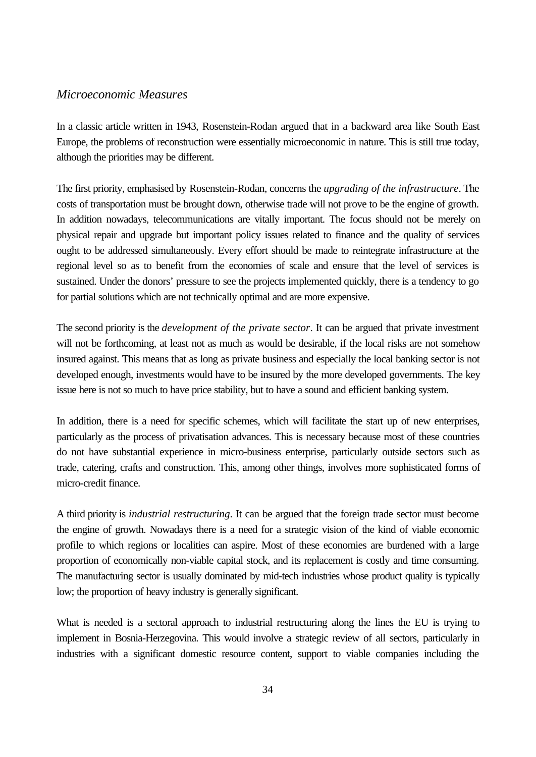#### *Microeconomic Measures*

In a classic article written in 1943, Rosenstein-Rodan argued that in a backward area like South East Europe, the problems of reconstruction were essentially microeconomic in nature. This is still true today, although the priorities may be different.

The first priority, emphasised by Rosenstein-Rodan, concerns the *upgrading of the infrastructure*. The costs of transportation must be brought down, otherwise trade will not prove to be the engine of growth. In addition nowadays, telecommunications are vitally important. The focus should not be merely on physical repair and upgrade but important policy issues related to finance and the quality of services ought to be addressed simultaneously. Every effort should be made to reintegrate infrastructure at the regional level so as to benefit from the economies of scale and ensure that the level of services is sustained. Under the donors' pressure to see the projects implemented quickly, there is a tendency to go for partial solutions which are not technically optimal and are more expensive.

The second priority is the *development of the private sector*. It can be argued that private investment will not be forthcoming, at least not as much as would be desirable, if the local risks are not somehow insured against. This means that as long as private business and especially the local banking sector is not developed enough, investments would have to be insured by the more developed governments. The key issue here is not so much to have price stability, but to have a sound and efficient banking system.

In addition, there is a need for specific schemes, which will facilitate the start up of new enterprises, particularly as the process of privatisation advances. This is necessary because most of these countries do not have substantial experience in micro-business enterprise, particularly outside sectors such as trade, catering, crafts and construction. This, among other things, involves more sophisticated forms of micro-credit finance.

A third priority is *industrial restructuring*. It can be argued that the foreign trade sector must become the engine of growth. Nowadays there is a need for a strategic vision of the kind of viable economic profile to which regions or localities can aspire. Most of these economies are burdened with a large proportion of economically non-viable capital stock, and its replacement is costly and time consuming. The manufacturing sector is usually dominated by mid-tech industries whose product quality is typically low; the proportion of heavy industry is generally significant.

What is needed is a sectoral approach to industrial restructuring along the lines the EU is trying to implement in Bosnia-Herzegovina. This would involve a strategic review of all sectors, particularly in industries with a significant domestic resource content, support to viable companies including the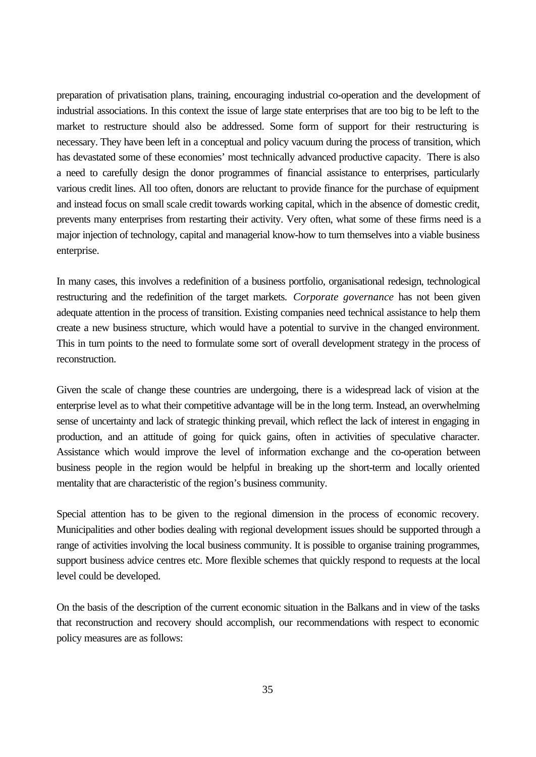preparation of privatisation plans, training, encouraging industrial co-operation and the development of industrial associations. In this context the issue of large state enterprises that are too big to be left to the market to restructure should also be addressed. Some form of support for their restructuring is necessary. They have been left in a conceptual and policy vacuum during the process of transition, which has devastated some of these economies' most technically advanced productive capacity. There is also a need to carefully design the donor programmes of financial assistance to enterprises, particularly various credit lines. All too often, donors are reluctant to provide finance for the purchase of equipment and instead focus on small scale credit towards working capital, which in the absence of domestic credit, prevents many enterprises from restarting their activity. Very often, what some of these firms need is a major injection of technology, capital and managerial know-how to turn themselves into a viable business enterprise.

In many cases, this involves a redefinition of a business portfolio, organisational redesign, technological restructuring and the redefinition of the target markets. *Corporate governance* has not been given adequate attention in the process of transition. Existing companies need technical assistance to help them create a new business structure, which would have a potential to survive in the changed environment. This in turn points to the need to formulate some sort of overall development strategy in the process of reconstruction.

Given the scale of change these countries are undergoing, there is a widespread lack of vision at the enterprise level as to what their competitive advantage will be in the long term. Instead, an overwhelming sense of uncertainty and lack of strategic thinking prevail, which reflect the lack of interest in engaging in production, and an attitude of going for quick gains, often in activities of speculative character. Assistance which would improve the level of information exchange and the co-operation between business people in the region would be helpful in breaking up the short-term and locally oriented mentality that are characteristic of the region's business community.

Special attention has to be given to the regional dimension in the process of economic recovery. Municipalities and other bodies dealing with regional development issues should be supported through a range of activities involving the local business community. It is possible to organise training programmes, support business advice centres etc. More flexible schemes that quickly respond to requests at the local level could be developed.

On the basis of the description of the current economic situation in the Balkans and in view of the tasks that reconstruction and recovery should accomplish, our recommendations with respect to economic policy measures are as follows: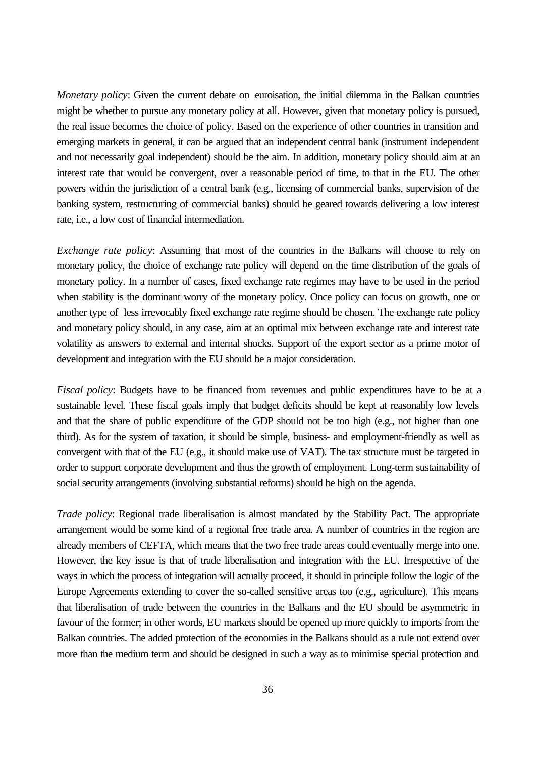*Monetary policy*: Given the current debate on euroisation, the initial dilemma in the Balkan countries might be whether to pursue any monetary policy at all. However, given that monetary policy is pursued, the real issue becomes the choice of policy. Based on the experience of other countries in transition and emerging markets in general, it can be argued that an independent central bank (instrument independent and not necessarily goal independent) should be the aim. In addition, monetary policy should aim at an interest rate that would be convergent, over a reasonable period of time, to that in the EU. The other powers within the jurisdiction of a central bank (e.g., licensing of commercial banks, supervision of the banking system, restructuring of commercial banks) should be geared towards delivering a low interest rate, i.e., a low cost of financial intermediation.

*Exchange rate policy:* Assuming that most of the countries in the Balkans will choose to rely on monetary policy, the choice of exchange rate policy will depend on the time distribution of the goals of monetary policy. In a number of cases, fixed exchange rate regimes may have to be used in the period when stability is the dominant worry of the monetary policy. Once policy can focus on growth, one or another type of less irrevocably fixed exchange rate regime should be chosen. The exchange rate policy and monetary policy should, in any case, aim at an optimal mix between exchange rate and interest rate volatility as answers to external and internal shocks. Support of the export sector as a prime motor of development and integration with the EU should be a major consideration.

*Fiscal policy*: Budgets have to be financed from revenues and public expenditures have to be at a sustainable level. These fiscal goals imply that budget deficits should be kept at reasonably low levels and that the share of public expenditure of the GDP should not be too high (e.g., not higher than one third). As for the system of taxation, it should be simple, business- and employment-friendly as well as convergent with that of the EU (e.g., it should make use of VAT). The tax structure must be targeted in order to support corporate development and thus the growth of employment. Long-term sustainability of social security arrangements (involving substantial reforms) should be high on the agenda.

*Trade policy*: Regional trade liberalisation is almost mandated by the Stability Pact. The appropriate arrangement would be some kind of a regional free trade area. A number of countries in the region are already members of CEFTA, which means that the two free trade areas could eventually merge into one. However, the key issue is that of trade liberalisation and integration with the EU. Irrespective of the ways in which the process of integration will actually proceed, it should in principle follow the logic of the Europe Agreements extending to cover the so-called sensitive areas too (e.g., agriculture). This means that liberalisation of trade between the countries in the Balkans and the EU should be asymmetric in favour of the former; in other words, EU markets should be opened up more quickly to imports from the Balkan countries. The added protection of the economies in the Balkans should as a rule not extend over more than the medium term and should be designed in such a way as to minimise special protection and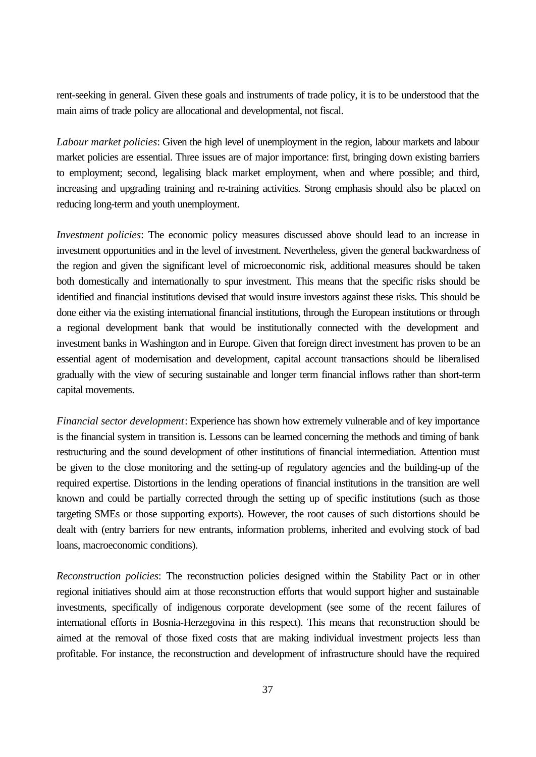rent-seeking in general. Given these goals and instruments of trade policy, it is to be understood that the main aims of trade policy are allocational and developmental, not fiscal.

*Labour market policies*: Given the high level of unemployment in the region, labour markets and labour market policies are essential. Three issues are of major importance: first, bringing down existing barriers to employment; second, legalising black market employment, when and where possible; and third, increasing and upgrading training and re-training activities. Strong emphasis should also be placed on reducing long-term and youth unemployment.

*Investment policies*: The economic policy measures discussed above should lead to an increase in investment opportunities and in the level of investment. Nevertheless, given the general backwardness of the region and given the significant level of microeconomic risk, additional measures should be taken both domestically and internationally to spur investment. This means that the specific risks should be identified and financial institutions devised that would insure investors against these risks. This should be done either via the existing international financial institutions, through the European institutions or through a regional development bank that would be institutionally connected with the development and investment banks in Washington and in Europe. Given that foreign direct investment has proven to be an essential agent of modernisation and development, capital account transactions should be liberalised gradually with the view of securing sustainable and longer term financial inflows rather than short-term capital movements.

*Financial sector development*: Experience has shown how extremely vulnerable and of key importance is the financial system in transition is. Lessons can be learned concerning the methods and timing of bank restructuring and the sound development of other institutions of financial intermediation. Attention must be given to the close monitoring and the setting-up of regulatory agencies and the building-up of the required expertise. Distortions in the lending operations of financial institutions in the transition are well known and could be partially corrected through the setting up of specific institutions (such as those targeting SMEs or those supporting exports). However, the root causes of such distortions should be dealt with (entry barriers for new entrants, information problems, inherited and evolving stock of bad loans, macroeconomic conditions).

*Reconstruction policies*: The reconstruction policies designed within the Stability Pact or in other regional initiatives should aim at those reconstruction efforts that would support higher and sustainable investments, specifically of indigenous corporate development (see some of the recent failures of international efforts in Bosnia-Herzegovina in this respect). This means that reconstruction should be aimed at the removal of those fixed costs that are making individual investment projects less than profitable. For instance, the reconstruction and development of infrastructure should have the required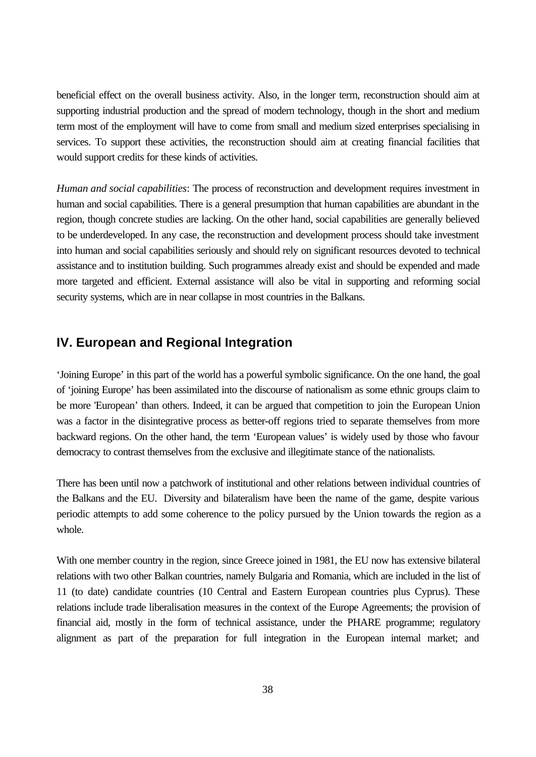beneficial effect on the overall business activity. Also, in the longer term, reconstruction should aim at supporting industrial production and the spread of modern technology, though in the short and medium term most of the employment will have to come from small and medium sized enterprises specialising in services. To support these activities, the reconstruction should aim at creating financial facilities that would support credits for these kinds of activities.

*Human and social capabilities*: The process of reconstruction and development requires investment in human and social capabilities. There is a general presumption that human capabilities are abundant in the region, though concrete studies are lacking. On the other hand, social capabilities are generally believed to be underdeveloped. In any case, the reconstruction and development process should take investment into human and social capabilities seriously and should rely on significant resources devoted to technical assistance and to institution building. Such programmes already exist and should be expended and made more targeted and efficient. External assistance will also be vital in supporting and reforming social security systems, which are in near collapse in most countries in the Balkans.

## **IV. European and Regional Integration**

'Joining Europe' in this part of the world has a powerful symbolic significance. On the one hand, the goal of 'joining Europe' has been assimilated into the discourse of nationalism as some ethnic groups claim to be more 'European' than others. Indeed, it can be argued that competition to join the European Union was a factor in the disintegrative process as better-off regions tried to separate themselves from more backward regions. On the other hand, the term 'European values' is widely used by those who favour democracy to contrast themselves from the exclusive and illegitimate stance of the nationalists.

There has been until now a patchwork of institutional and other relations between individual countries of the Balkans and the EU. Diversity and bilateralism have been the name of the game, despite various periodic attempts to add some coherence to the policy pursued by the Union towards the region as a whole.

With one member country in the region, since Greece joined in 1981, the EU now has extensive bilateral relations with two other Balkan countries, namely Bulgaria and Romania, which are included in the list of 11 (to date) candidate countries (10 Central and Eastern European countries plus Cyprus). These relations include trade liberalisation measures in the context of the Europe Agreements; the provision of financial aid, mostly in the form of technical assistance, under the PHARE programme; regulatory alignment as part of the preparation for full integration in the European internal market; and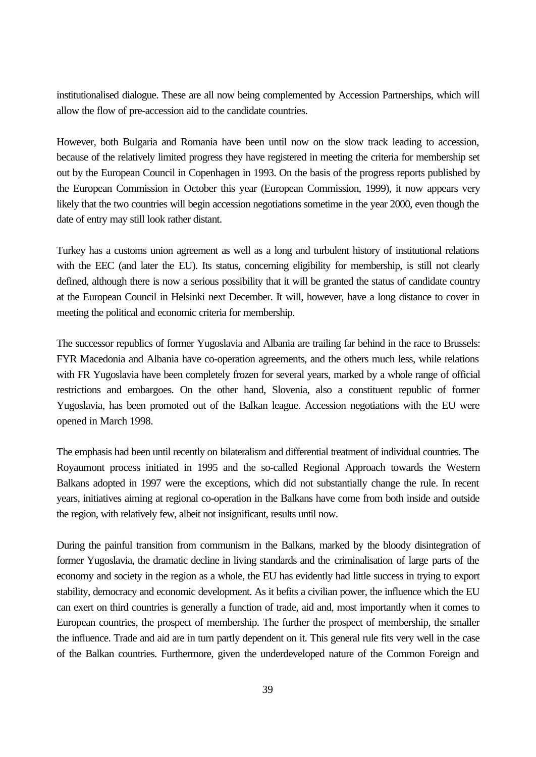institutionalised dialogue. These are all now being complemented by Accession Partnerships, which will allow the flow of pre-accession aid to the candidate countries.

However, both Bulgaria and Romania have been until now on the slow track leading to accession, because of the relatively limited progress they have registered in meeting the criteria for membership set out by the European Council in Copenhagen in 1993. On the basis of the progress reports published by the European Commission in October this year (European Commission, 1999), it now appears very likely that the two countries will begin accession negotiations sometime in the year 2000, even though the date of entry may still look rather distant.

Turkey has a customs union agreement as well as a long and turbulent history of institutional relations with the EEC (and later the EU). Its status, concerning eligibility for membership, is still not clearly defined, although there is now a serious possibility that it will be granted the status of candidate country at the European Council in Helsinki next December. It will, however, have a long distance to cover in meeting the political and economic criteria for membership.

The successor republics of former Yugoslavia and Albania are trailing far behind in the race to Brussels: FYR Macedonia and Albania have co-operation agreements, and the others much less, while relations with FR Yugoslavia have been completely frozen for several years, marked by a whole range of official restrictions and embargoes. On the other hand, Slovenia, also a constituent republic of former Yugoslavia, has been promoted out of the Balkan league. Accession negotiations with the EU were opened in March 1998.

The emphasis had been until recently on bilateralism and differential treatment of individual countries. The Royaumont process initiated in 1995 and the so-called Regional Approach towards the Western Balkans adopted in 1997 were the exceptions, which did not substantially change the rule. In recent years, initiatives aiming at regional co-operation in the Balkans have come from both inside and outside the region, with relatively few, albeit not insignificant, results until now.

During the painful transition from communism in the Balkans, marked by the bloody disintegration of former Yugoslavia, the dramatic decline in living standards and the criminalisation of large parts of the economy and society in the region as a whole, the EU has evidently had little success in trying to export stability, democracy and economic development. As it befits a civilian power, the influence which the EU can exert on third countries is generally a function of trade, aid and, most importantly when it comes to European countries, the prospect of membership. The further the prospect of membership, the smaller the influence. Trade and aid are in turn partly dependent on it. This general rule fits very well in the case of the Balkan countries. Furthermore, given the underdeveloped nature of the Common Foreign and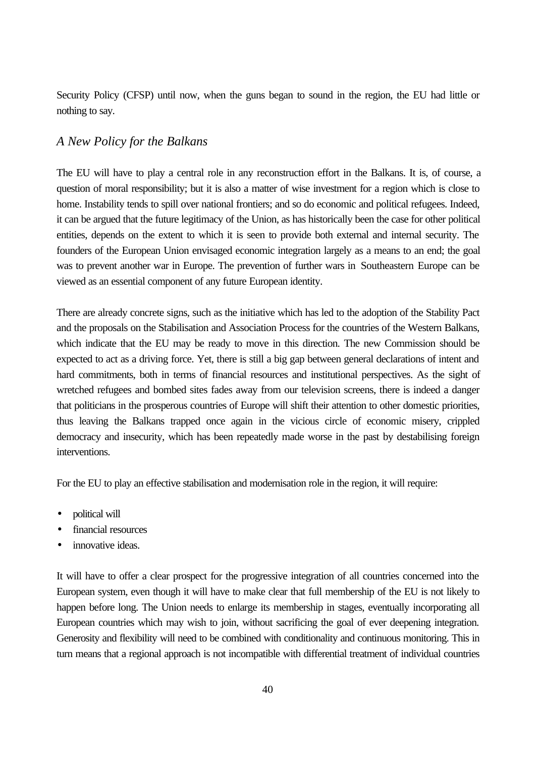Security Policy (CFSP) until now, when the guns began to sound in the region, the EU had little or nothing to say.

#### *A New Policy for the Balkans*

The EU will have to play a central role in any reconstruction effort in the Balkans. It is, of course, a question of moral responsibility; but it is also a matter of wise investment for a region which is close to home. Instability tends to spill over national frontiers; and so do economic and political refugees. Indeed, it can be argued that the future legitimacy of the Union, as has historically been the case for other political entities, depends on the extent to which it is seen to provide both external and internal security. The founders of the European Union envisaged economic integration largely as a means to an end; the goal was to prevent another war in Europe. The prevention of further wars in Southeastern Europe can be viewed as an essential component of any future European identity.

There are already concrete signs, such as the initiative which has led to the adoption of the Stability Pact and the proposals on the Stabilisation and Association Process for the countries of the Western Balkans, which indicate that the EU may be ready to move in this direction. The new Commission should be expected to act as a driving force. Yet, there is still a big gap between general declarations of intent and hard commitments, both in terms of financial resources and institutional perspectives. As the sight of wretched refugees and bombed sites fades away from our television screens, there is indeed a danger that politicians in the prosperous countries of Europe will shift their attention to other domestic priorities, thus leaving the Balkans trapped once again in the vicious circle of economic misery, crippled democracy and insecurity, which has been repeatedly made worse in the past by destabilising foreign interventions.

For the EU to play an effective stabilisation and modernisation role in the region, it will require:

- political will
- financial resources
- innovative ideas.

It will have to offer a clear prospect for the progressive integration of all countries concerned into the European system, even though it will have to make clear that full membership of the EU is not likely to happen before long. The Union needs to enlarge its membership in stages, eventually incorporating all European countries which may wish to join, without sacrificing the goal of ever deepening integration. Generosity and flexibility will need to be combined with conditionality and continuous monitoring. This in turn means that a regional approach is not incompatible with differential treatment of individual countries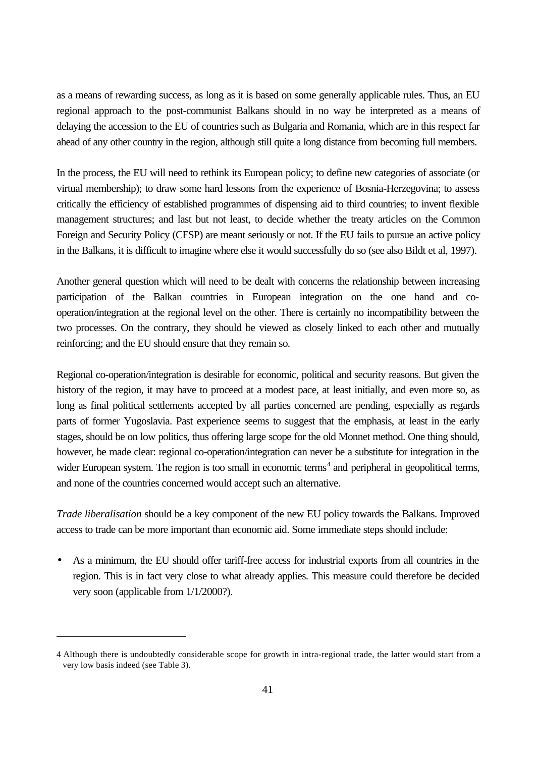as a means of rewarding success, as long as it is based on some generally applicable rules. Thus, an EU regional approach to the post-communist Balkans should in no way be interpreted as a means of delaying the accession to the EU of countries such as Bulgaria and Romania, which are in this respect far ahead of any other country in the region, although still quite a long distance from becoming full members.

In the process, the EU will need to rethink its European policy; to define new categories of associate (or virtual membership); to draw some hard lessons from the experience of Bosnia-Herzegovina; to assess critically the efficiency of established programmes of dispensing aid to third countries; to invent flexible management structures; and last but not least, to decide whether the treaty articles on the Common Foreign and Security Policy (CFSP) are meant seriously or not. If the EU fails to pursue an active policy in the Balkans, it is difficult to imagine where else it would successfully do so (see also Bildt et al, 1997).

Another general question which will need to be dealt with concerns the relationship between increasing participation of the Balkan countries in European integration on the one hand and cooperation/integration at the regional level on the other. There is certainly no incompatibility between the two processes. On the contrary, they should be viewed as closely linked to each other and mutually reinforcing; and the EU should ensure that they remain so.

Regional co-operation/integration is desirable for economic, political and security reasons. But given the history of the region, it may have to proceed at a modest pace, at least initially, and even more so, as long as final political settlements accepted by all parties concerned are pending, especially as regards parts of former Yugoslavia. Past experience seems to suggest that the emphasis, at least in the early stages, should be on low politics, thus offering large scope for the old Monnet method. One thing should, however, be made clear: regional co-operation/integration can never be a substitute for integration in the wider European system. The region is too small in economic terms<sup>4</sup> and peripheral in geopolitical terms, and none of the countries concerned would accept such an alternative.

*Trade liberalisation* should be a key component of the new EU policy towards the Balkans. Improved access to trade can be more important than economic aid. Some immediate steps should include:

As a minimum, the EU should offer tariff-free access for industrial exports from all countries in the region. This is in fact very close to what already applies. This measure could therefore be decided very soon (applicable from 1/1/2000?).

l

<sup>4</sup> Although there is undoubtedly considerable scope for growth in intra-regional trade, the latter would start from a very low basis indeed (see Table 3).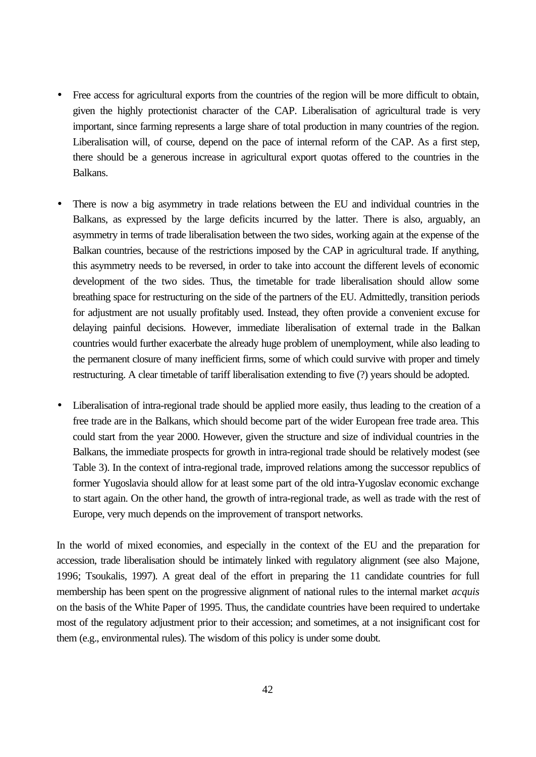- Free access for agricultural exports from the countries of the region will be more difficult to obtain, given the highly protectionist character of the CAP. Liberalisation of agricultural trade is very important, since farming represents a large share of total production in many countries of the region. Liberalisation will, of course, depend on the pace of internal reform of the CAP. As a first step, there should be a generous increase in agricultural export quotas offered to the countries in the Balkans.
- There is now a big asymmetry in trade relations between the EU and individual countries in the Balkans, as expressed by the large deficits incurred by the latter. There is also, arguably, an asymmetry in terms of trade liberalisation between the two sides, working again at the expense of the Balkan countries, because of the restrictions imposed by the CAP in agricultural trade. If anything, this asymmetry needs to be reversed, in order to take into account the different levels of economic development of the two sides. Thus, the timetable for trade liberalisation should allow some breathing space for restructuring on the side of the partners of the EU. Admittedly, transition periods for adjustment are not usually profitably used. Instead, they often provide a convenient excuse for delaying painful decisions. However, immediate liberalisation of external trade in the Balkan countries would further exacerbate the already huge problem of unemployment, while also leading to the permanent closure of many inefficient firms, some of which could survive with proper and timely restructuring. A clear timetable of tariff liberalisation extending to five (?) years should be adopted.
- Liberalisation of intra-regional trade should be applied more easily, thus leading to the creation of a free trade are in the Balkans, which should become part of the wider European free trade area. This could start from the year 2000. However, given the structure and size of individual countries in the Balkans, the immediate prospects for growth in intra-regional trade should be relatively modest (see Table 3). In the context of intra-regional trade, improved relations among the successor republics of former Yugoslavia should allow for at least some part of the old intra-Yugoslav economic exchange to start again. On the other hand, the growth of intra-regional trade, as well as trade with the rest of Europe, very much depends on the improvement of transport networks.

In the world of mixed economies, and especially in the context of the EU and the preparation for accession, trade liberalisation should be intimately linked with regulatory alignment (see also Majone, 1996; Tsoukalis, 1997). A great deal of the effort in preparing the 11 candidate countries for full membership has been spent on the progressive alignment of national rules to the internal market *acquis* on the basis of the White Paper of 1995. Thus, the candidate countries have been required to undertake most of the regulatory adjustment prior to their accession; and sometimes, at a not insignificant cost for them (e.g., environmental rules). The wisdom of this policy is under some doubt.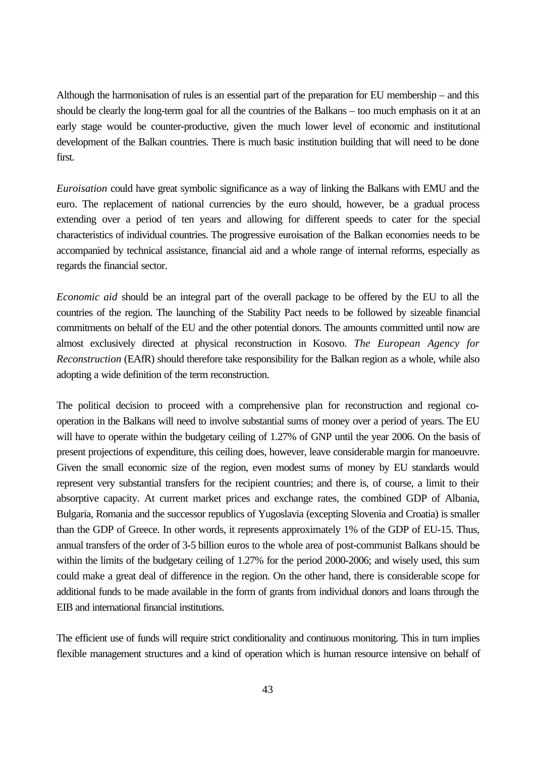Although the harmonisation of rules is an essential part of the preparation for EU membership – and this should be clearly the long-term goal for all the countries of the Balkans – too much emphasis on it at an early stage would be counter-productive, given the much lower level of economic and institutional development of the Balkan countries. There is much basic institution building that will need to be done first.

*Euroisation* could have great symbolic significance as a way of linking the Balkans with EMU and the euro. The replacement of national currencies by the euro should, however, be a gradual process extending over a period of ten years and allowing for different speeds to cater for the special characteristics of individual countries. The progressive euroisation of the Balkan economies needs to be accompanied by technical assistance, financial aid and a whole range of internal reforms, especially as regards the financial sector.

*Economic aid* should be an integral part of the overall package to be offered by the EU to all the countries of the region. The launching of the Stability Pact needs to be followed by sizeable financial commitments on behalf of the EU and the other potential donors. The amounts committed until now are almost exclusively directed at physical reconstruction in Kosovo. *The European Agency for Reconstruction* (EAfR) should therefore take responsibility for the Balkan region as a whole, while also adopting a wide definition of the term reconstruction.

The political decision to proceed with a comprehensive plan for reconstruction and regional cooperation in the Balkans will need to involve substantial sums of money over a period of years. The EU will have to operate within the budgetary ceiling of 1.27% of GNP until the year 2006. On the basis of present projections of expenditure, this ceiling does, however, leave considerable margin for manoeuvre. Given the small economic size of the region, even modest sums of money by EU standards would represent very substantial transfers for the recipient countries; and there is, of course, a limit to their absorptive capacity. At current market prices and exchange rates, the combined GDP of Albania, Bulgaria, Romania and the successor republics of Yugoslavia (excepting Slovenia and Croatia) is smaller than the GDP of Greece. In other words, it represents approximately 1% of the GDP of EU-15. Thus, annual transfers of the order of 3-5 billion euros to the whole area of post-communist Balkans should be within the limits of the budgetary ceiling of 1.27% for the period 2000-2006; and wisely used, this sum could make a great deal of difference in the region. On the other hand, there is considerable scope for additional funds to be made available in the form of grants from individual donors and loans through the EIB and international financial institutions.

The efficient use of funds will require strict conditionality and continuous monitoring. This in turn implies flexible management structures and a kind of operation which is human resource intensive on behalf of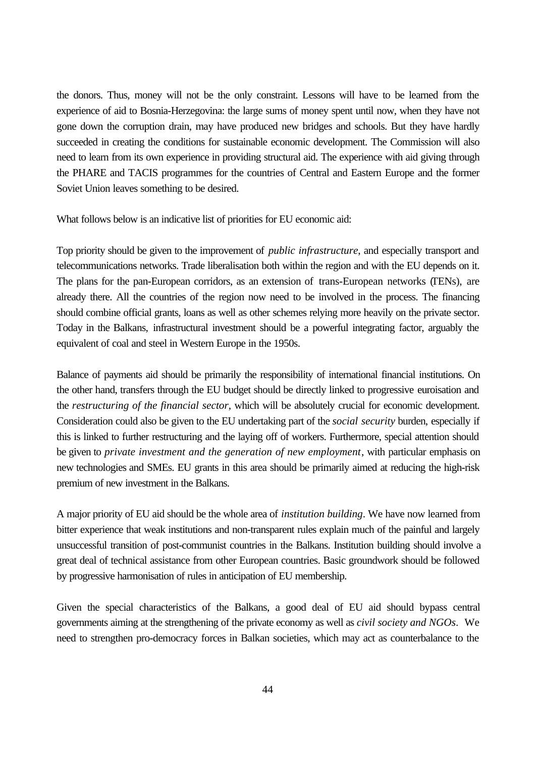the donors. Thus, money will not be the only constraint. Lessons will have to be learned from the experience of aid to Bosnia-Herzegovina: the large sums of money spent until now, when they have not gone down the corruption drain, may have produced new bridges and schools. But they have hardly succeeded in creating the conditions for sustainable economic development. The Commission will also need to learn from its own experience in providing structural aid. The experience with aid giving through the PHARE and TACIS programmes for the countries of Central and Eastern Europe and the former Soviet Union leaves something to be desired.

What follows below is an indicative list of priorities for EU economic aid:

Top priority should be given to the improvement of *public infrastructure*, and especially transport and telecommunications networks. Trade liberalisation both within the region and with the EU depends on it. The plans for the pan-European corridors, as an extension of trans-European networks (TENs), are already there. All the countries of the region now need to be involved in the process. The financing should combine official grants, loans as well as other schemes relying more heavily on the private sector. Today in the Balkans, infrastructural investment should be a powerful integrating factor, arguably the equivalent of coal and steel in Western Europe in the 1950s.

Balance of payments aid should be primarily the responsibility of international financial institutions. On the other hand, transfers through the EU budget should be directly linked to progressive euroisation and the *restructuring of the financial sector*, which will be absolutely crucial for economic development. Consideration could also be given to the EU undertaking part of the *social security* burden, especially if this is linked to further restructuring and the laying off of workers. Furthermore, special attention should be given to *private investment and the generation of new employment*, with particular emphasis on new technologies and SMEs. EU grants in this area should be primarily aimed at reducing the high-risk premium of new investment in the Balkans.

A major priority of EU aid should be the whole area of *institution building*. We have now learned from bitter experience that weak institutions and non-transparent rules explain much of the painful and largely unsuccessful transition of post-communist countries in the Balkans. Institution building should involve a great deal of technical assistance from other European countries. Basic groundwork should be followed by progressive harmonisation of rules in anticipation of EU membership.

Given the special characteristics of the Balkans, a good deal of EU aid should bypass central governments aiming at the strengthening of the private economy as well as *civil society and NGOs*. We need to strengthen pro-democracy forces in Balkan societies, which may act as counterbalance to the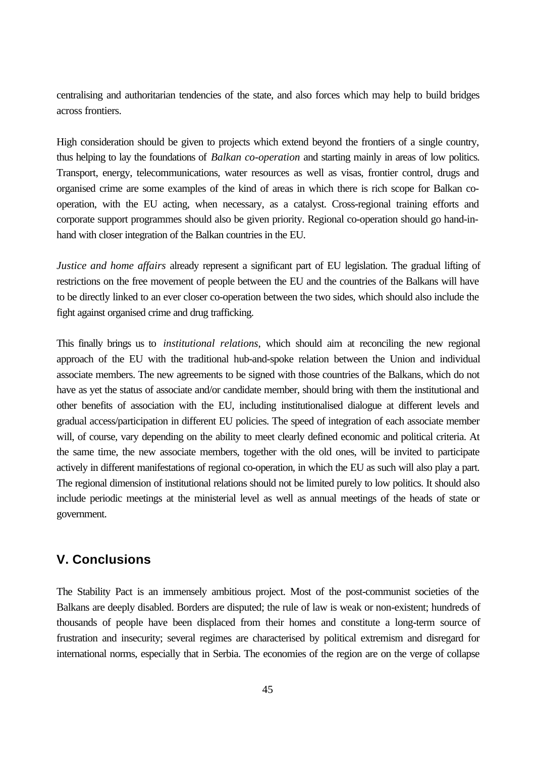centralising and authoritarian tendencies of the state, and also forces which may help to build bridges across frontiers.

High consideration should be given to projects which extend beyond the frontiers of a single country, thus helping to lay the foundations of *Balkan co-operation* and starting mainly in areas of low politics. Transport, energy, telecommunications, water resources as well as visas, frontier control, drugs and organised crime are some examples of the kind of areas in which there is rich scope for Balkan cooperation, with the EU acting, when necessary, as a catalyst. Cross-regional training efforts and corporate support programmes should also be given priority. Regional co-operation should go hand-inhand with closer integration of the Balkan countries in the EU.

*Justice and home affairs* already represent a significant part of EU legislation. The gradual lifting of restrictions on the free movement of people between the EU and the countries of the Balkans will have to be directly linked to an ever closer co-operation between the two sides, which should also include the fight against organised crime and drug trafficking.

This finally brings us to *institutional relations*, which should aim at reconciling the new regional approach of the EU with the traditional hub-and-spoke relation between the Union and individual associate members. The new agreements to be signed with those countries of the Balkans, which do not have as yet the status of associate and/or candidate member, should bring with them the institutional and other benefits of association with the EU, including institutionalised dialogue at different levels and gradual access/participation in different EU policies. The speed of integration of each associate member will, of course, vary depending on the ability to meet clearly defined economic and political criteria. At the same time, the new associate members, together with the old ones, will be invited to participate actively in different manifestations of regional co-operation, in which the EU as such will also play a part. The regional dimension of institutional relations should not be limited purely to low politics. It should also include periodic meetings at the ministerial level as well as annual meetings of the heads of state or government.

## **V. Conclusions**

The Stability Pact is an immensely ambitious project. Most of the post-communist societies of the Balkans are deeply disabled. Borders are disputed; the rule of law is weak or non-existent; hundreds of thousands of people have been displaced from their homes and constitute a long-term source of frustration and insecurity; several regimes are characterised by political extremism and disregard for international norms, especially that in Serbia. The economies of the region are on the verge of collapse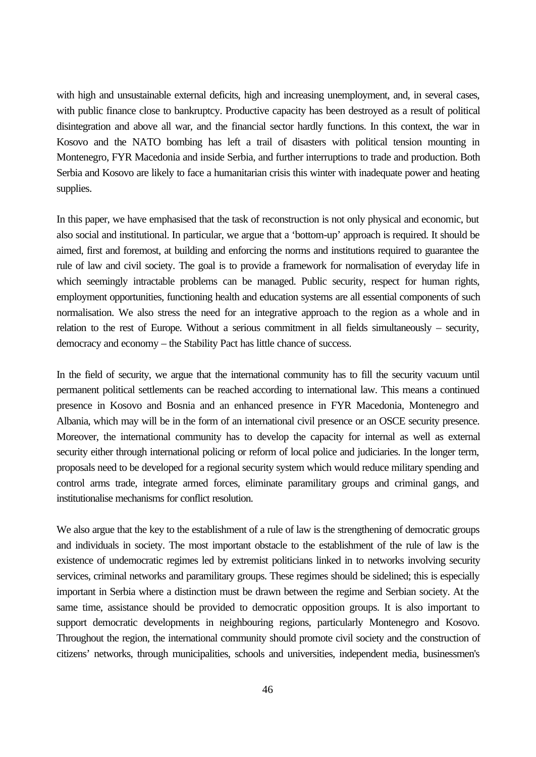with high and unsustainable external deficits, high and increasing unemployment, and, in several cases, with public finance close to bankruptcy. Productive capacity has been destroyed as a result of political disintegration and above all war, and the financial sector hardly functions. In this context, the war in Kosovo and the NATO bombing has left a trail of disasters with political tension mounting in Montenegro, FYR Macedonia and inside Serbia, and further interruptions to trade and production. Both Serbia and Kosovo are likely to face a humanitarian crisis this winter with inadequate power and heating supplies.

In this paper, we have emphasised that the task of reconstruction is not only physical and economic, but also social and institutional. In particular, we argue that a 'bottom-up' approach is required. It should be aimed, first and foremost, at building and enforcing the norms and institutions required to guarantee the rule of law and civil society. The goal is to provide a framework for normalisation of everyday life in which seemingly intractable problems can be managed. Public security, respect for human rights, employment opportunities, functioning health and education systems are all essential components of such normalisation. We also stress the need for an integrative approach to the region as a whole and in relation to the rest of Europe. Without a serious commitment in all fields simultaneously – security, democracy and economy – the Stability Pact has little chance of success.

In the field of security, we argue that the international community has to fill the security vacuum until permanent political settlements can be reached according to international law. This means a continued presence in Kosovo and Bosnia and an enhanced presence in FYR Macedonia, Montenegro and Albania, which may will be in the form of an international civil presence or an OSCE security presence. Moreover, the international community has to develop the capacity for internal as well as external security either through international policing or reform of local police and judiciaries. In the longer term, proposals need to be developed for a regional security system which would reduce military spending and control arms trade, integrate armed forces, eliminate paramilitary groups and criminal gangs, and institutionalise mechanisms for conflict resolution.

We also argue that the key to the establishment of a rule of law is the strengthening of democratic groups and individuals in society. The most important obstacle to the establishment of the rule of law is the existence of undemocratic regimes led by extremist politicians linked in to networks involving security services, criminal networks and paramilitary groups. These regimes should be sidelined; this is especially important in Serbia where a distinction must be drawn between the regime and Serbian society. At the same time, assistance should be provided to democratic opposition groups. It is also important to support democratic developments in neighbouring regions, particularly Montenegro and Kosovo. Throughout the region, the international community should promote civil society and the construction of citizens' networks, through municipalities, schools and universities, independent media, businessmen's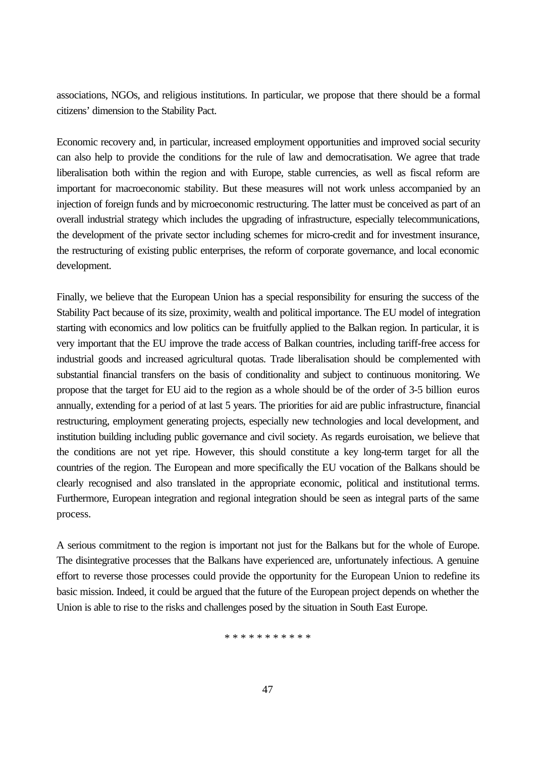associations, NGOs, and religious institutions. In particular, we propose that there should be a formal citizens' dimension to the Stability Pact.

Economic recovery and, in particular, increased employment opportunities and improved social security can also help to provide the conditions for the rule of law and democratisation. We agree that trade liberalisation both within the region and with Europe, stable currencies, as well as fiscal reform are important for macroeconomic stability. But these measures will not work unless accompanied by an injection of foreign funds and by microeconomic restructuring. The latter must be conceived as part of an overall industrial strategy which includes the upgrading of infrastructure, especially telecommunications, the development of the private sector including schemes for micro-credit and for investment insurance, the restructuring of existing public enterprises, the reform of corporate governance, and local economic development.

Finally, we believe that the European Union has a special responsibility for ensuring the success of the Stability Pact because of its size, proximity, wealth and political importance. The EU model of integration starting with economics and low politics can be fruitfully applied to the Balkan region. In particular, it is very important that the EU improve the trade access of Balkan countries, including tariff-free access for industrial goods and increased agricultural quotas. Trade liberalisation should be complemented with substantial financial transfers on the basis of conditionality and subject to continuous monitoring. We propose that the target for EU aid to the region as a whole should be of the order of 3-5 billion euros annually, extending for a period of at last 5 years. The priorities for aid are public infrastructure, financial restructuring, employment generating projects, especially new technologies and local development, and institution building including public governance and civil society. As regards euroisation, we believe that the conditions are not yet ripe. However, this should constitute a key long-term target for all the countries of the region. The European and more specifically the EU vocation of the Balkans should be clearly recognised and also translated in the appropriate economic, political and institutional terms. Furthermore, European integration and regional integration should be seen as integral parts of the same process.

A serious commitment to the region is important not just for the Balkans but for the whole of Europe. The disintegrative processes that the Balkans have experienced are, unfortunately infectious. A genuine effort to reverse those processes could provide the opportunity for the European Union to redefine its basic mission. Indeed, it could be argued that the future of the European project depends on whether the Union is able to rise to the risks and challenges posed by the situation in South East Europe.

\* \* \* \* \* \* \* \* \* \* \*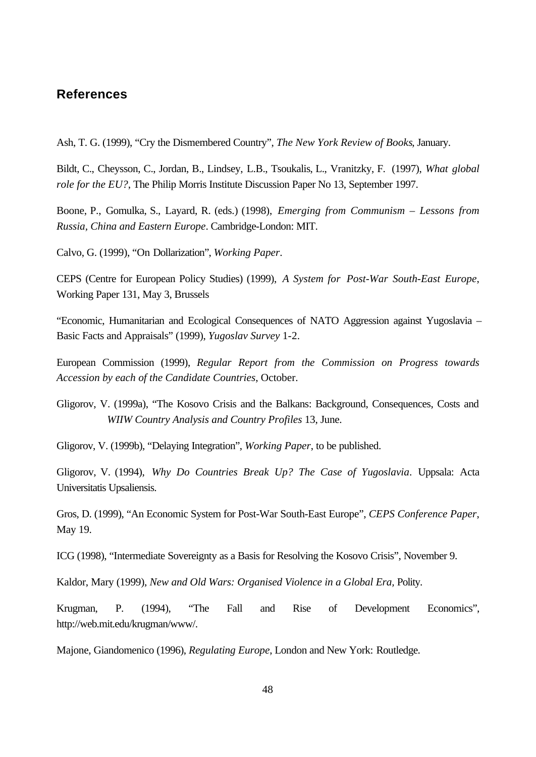## **References**

Ash, T. G. (1999), "Cry the Dismembered Country", *The New York Review of Books*, January.

Bildt, C., Cheysson, C., Jordan, B., Lindsey, L.B., Tsoukalis, L., Vranitzky, F. (1997), *What global role for the EU?*, The Philip Morris Institute Discussion Paper No 13, September 1997.

Boone, P., Gomulka, S., Layard, R. (eds.) (1998), *Emerging from Communism – Lessons from Russia, China and Eastern Europe*. Cambridge-London: MIT.

Calvo, G. (1999), "On Dollarization", *Working Paper*.

CEPS (Centre for European Policy Studies) (1999), *A System for Post-War South-East Europe*, Working Paper 131, May 3, Brussels

"Economic, Humanitarian and Ecological Consequences of NATO Aggression against Yugoslavia – Basic Facts and Appraisals" (1999), *Yugoslav Survey* 1-2.

European Commission (1999), *Regular Report from the Commission on Progress towards Accession by each of the Candidate Countries*, October.

Gligorov, V. (1999a), "The Kosovo Crisis and the Balkans: Background, Consequences, Costs and *WIIW Country Analysis and Country Profiles* 13, June.

Gligorov, V. (1999b), "Delaying Integration", *Working Paper*, to be published.

Gligorov, V. (1994), *Why Do Countries Break Up? The Case of Yugoslavia*. Uppsala: Acta Universitatis Upsaliensis.

Gros, D. (1999), "An Economic System for Post-War South-East Europe", *CEPS Conference Paper*, May 19.

ICG (1998), "Intermediate Sovereignty as a Basis for Resolving the Kosovo Crisis", November 9.

Kaldor, Mary (1999), *New and Old Wars: Organised Violence in a Global Era,* Polity.

Krugman, P. (1994), "The Fall and Rise of Development Economics", http://web.mit.edu/krugman/www/.

Majone, Giandomenico (1996), *Regulating Europe*, London and New York: Routledge.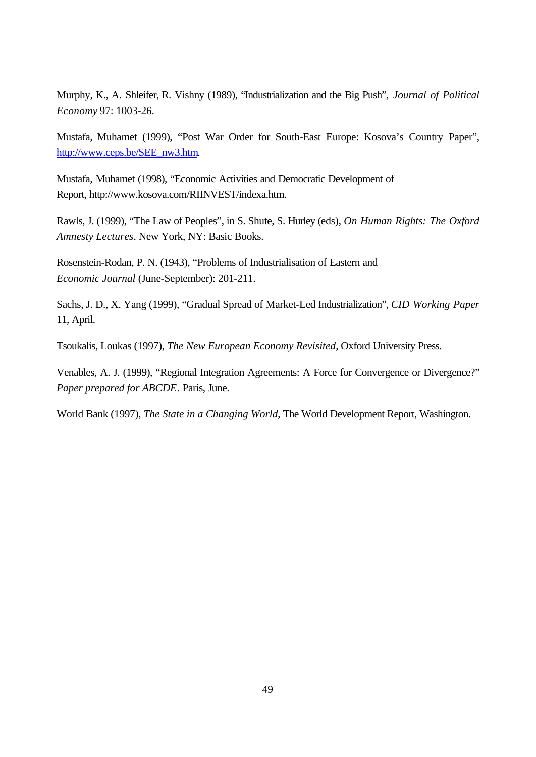Murphy, K., A. Shleifer, R. Vishny (1989), "Industrialization and the Big Push", *Journal of Political Economy* 97: 1003-26.

Mustafa, Muhamet (1999), "Post War Order for South-East Europe: Kosova's Country Paper", http://www.ceps.be/SEE\_nw3.htm.

Mustafa, Muhamet (1998), "Economic Activities and Democratic Development of Report, http://www.kosova.com/RIINVEST/indexa.htm.

Rawls, J. (1999), "The Law of Peoples", in S. Shute, S. Hurley (eds), *On Human Rights: The Oxford Amnesty Lectures*. New York, NY: Basic Books.

Rosenstein-Rodan, P. N. (1943), "Problems of Industrialisation of Eastern and *Economic Journal* (June-September): 201-211.

Sachs, J. D., X. Yang (1999), "Gradual Spread of Market-Led Industrialization", *CID Working Paper* 11, April.

Tsoukalis, Loukas (1997), *The New European Economy Revisited*, Oxford University Press.

Venables, A. J. (1999), "Regional Integration Agreements: A Force for Convergence or Divergence?" *Paper prepared for ABCDE*. Paris, June.

World Bank (1997), *The State in a Changing World*, The World Development Report, Washington.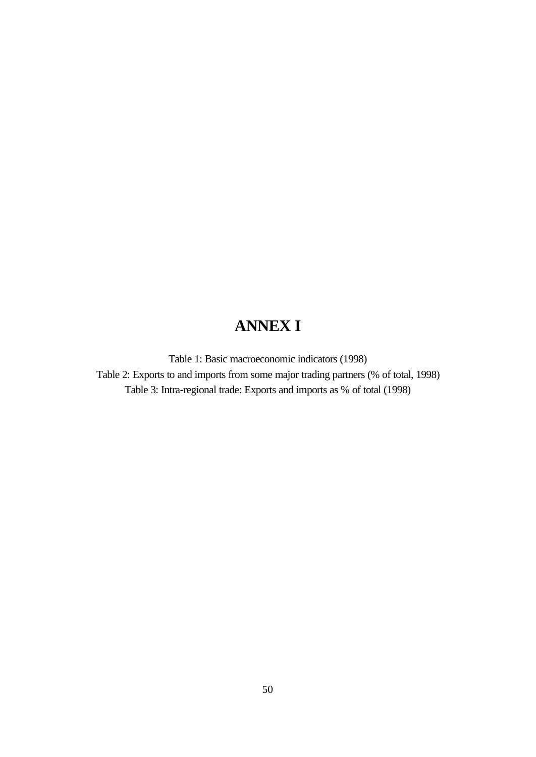# **ANNEX I**

Table 1: Basic macroeconomic indicators (1998)

Table 2: Exports to and imports from some major trading partners (% of total, 1998) Table 3: Intra-regional trade: Exports and imports as % of total (1998)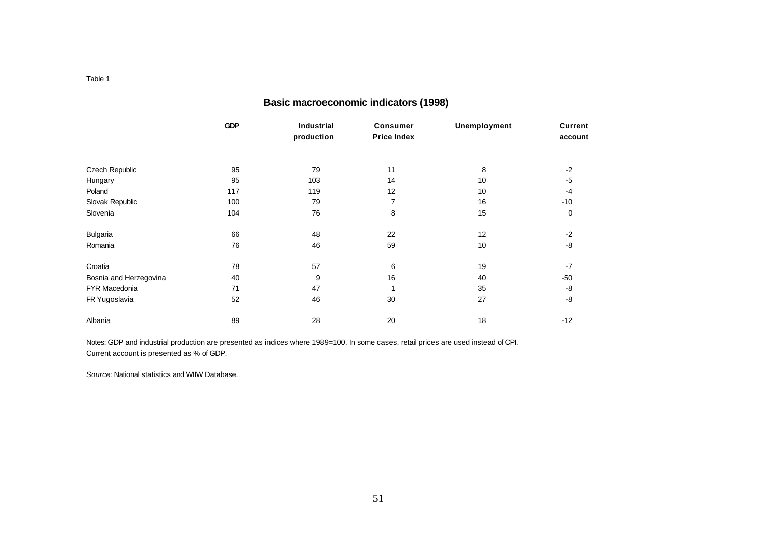|                        | <b>GDP</b> | Industrial<br>production | <b>Consumer</b><br><b>Price Index</b> | Unemployment | <b>Current</b><br>account |
|------------------------|------------|--------------------------|---------------------------------------|--------------|---------------------------|
|                        |            |                          |                                       |              |                           |
| Czech Republic         | 95         | 79                       | 11                                    | 8            | $-2$                      |
| Hungary                | 95         | 103                      | 14                                    | 10           | $-5$                      |
| Poland                 | 117        | 119                      | 12                                    | 10           | $-4$                      |
| Slovak Republic        | 100        | 79                       | 7                                     | 16           | $-10$                     |
| Slovenia               | 104        | 76                       | 8                                     | 15           | 0                         |
| Bulgaria               | 66         | 48                       | 22                                    | 12           | $-2$                      |
| Romania                | 76         | 46                       | 59                                    | 10           | -8                        |
| Croatia                | 78         | 57                       | 6                                     | 19           | $-7$                      |
| Bosnia and Herzegovina | 40         | 9                        | 16                                    | 40           | $-50$                     |
| FYR Macedonia          | 71         | 47                       |                                       | 35           | -8                        |
| FR Yugoslavia          | 52         | 46                       | 30                                    | 27           | $-8$                      |
| Albania                | 89         | 28                       | 20                                    | 18           | $-12$                     |

### **Basic macroeconomic indicators (1998)**

Notes: GDP and industrial production are presented as indices where 1989=100. In some cases, retail prices are used instead of CPI. Current account is presented as % of GDP.

*Source*: National statistics and WIIW Database.

#### Table 1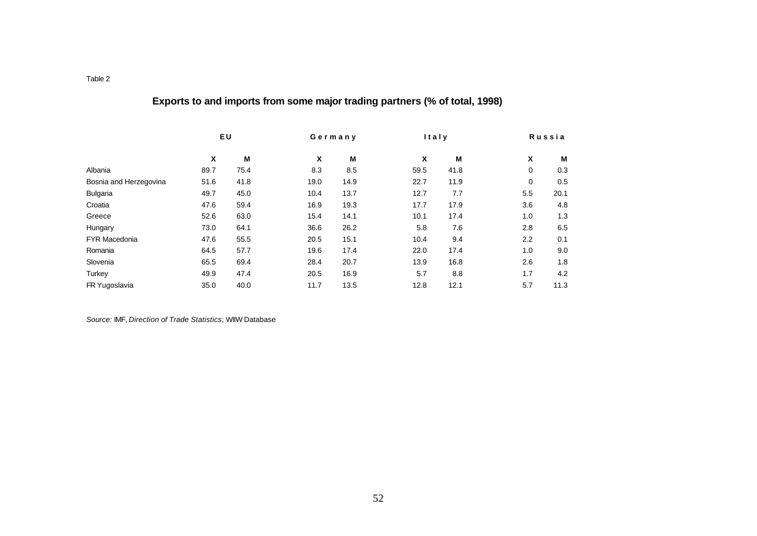|                        |      | EU   |      | Germany | <b>Italy</b> |      | Russia |      |  |  |
|------------------------|------|------|------|---------|--------------|------|--------|------|--|--|
|                        | X    | M    | X    | M       | X            | M    | X      | М    |  |  |
| Albania                | 89.7 | 75.4 | 8.3  | 8.5     | 59.5         | 41.8 | 0      | 0.3  |  |  |
| Bosnia and Herzegovina | 51.6 | 41.8 | 19.0 | 14.9    | 22.7         | 11.9 | 0      | 0.5  |  |  |
| <b>Bulgaria</b>        | 49.7 | 45.0 | 10.4 | 13.7    | 12.7         | 7.7  | 5.5    | 20.1 |  |  |
| Croatia                | 47.6 | 59.4 | 16.9 | 19.3    | 17.7         | 17.9 | 3.6    | 4.8  |  |  |
| Greece                 | 52.6 | 63.0 | 15.4 | 14.1    | 10.1         | 17.4 | 1.0    | 1.3  |  |  |
| Hungary                | 73.0 | 64.1 | 36.6 | 26.2    | 5.8          | 7.6  | 2.8    | 6.5  |  |  |
| <b>FYR Macedonia</b>   | 47.6 | 55.5 | 20.5 | 15.1    | 10.4         | 9.4  | 2.2    | 0.1  |  |  |
| Romania                | 64.5 | 57.7 | 19.6 | 17.4    | 22.0         | 17.4 | 1.0    | 9.0  |  |  |
| Slovenia               | 65.5 | 69.4 | 28.4 | 20.7    | 13.9         | 16.8 | 2.6    | 1.8  |  |  |
| Turkey                 | 49.9 | 47.4 | 20.5 | 16.9    | 5.7          | 8.8  | 1.7    | 4.2  |  |  |
| FR Yugoslavia          | 35.0 | 40.0 | 11.7 | 13.5    | 12.8         | 12.1 | 5.7    | 11.3 |  |  |

## **Exports to and imports from some major trading partners (% of total, 1998)**

*Source:* IMF, *Direction of Trade Statistics*; WIIW Database

#### Table 2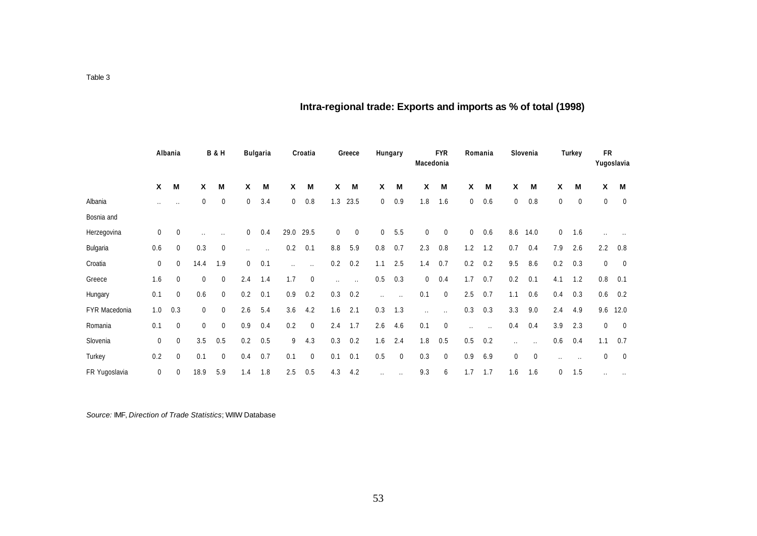## **Intra-regional trade: Exports and imports as % of total (1998)**

|               | Albania              |                      | <b>B&amp;H</b> |                      | Bulgaria     |                      | Croatia              |             | Greece      |                      | Hungary      |             | <b>FYR</b><br>Macedonia |              | Romania     |          | Slovenia     |             | Turkey       |              | <b>FR</b><br>Yugoslavia |                |
|---------------|----------------------|----------------------|----------------|----------------------|--------------|----------------------|----------------------|-------------|-------------|----------------------|--------------|-------------|-------------------------|--------------|-------------|----------|--------------|-------------|--------------|--------------|-------------------------|----------------|
|               | Χ                    | M                    | X              | M                    | X            | M                    | X                    | M           | X           | M                    | X            | M           | X                       | M            | X           | M        | X            | M           | X            | M            | X                       | M              |
| Albania       | $\ddot{\phantom{0}}$ | $\ddot{\phantom{0}}$ | $\mathbf 0$    | $\mathbf{0}$         | $\mathbf{0}$ | 3.4                  | $\mathbf 0$          | 0.8         | 1.3         | 23.5                 | $\mathbf{0}$ | 0.9         | 1.8                     | 1.6          | $\mathbf 0$ | 0.6      | $\mathbf{0}$ | 0.8         | $\mathbf{0}$ | $\mathbf{0}$ | $\mathbf{0}$            | $\mathbf 0$    |
| Bosnia and    |                      |                      |                |                      |              |                      |                      |             |             |                      |              |             |                         |              |             |          |              |             |              |              |                         |                |
| Herzegovina   | $\mathbf 0$          | $\overline{0}$       |                | $\ddot{\phantom{0}}$ | $\mathbf 0$  | 0.4                  | 29.0                 | 29.5        | $\mathbf 0$ | $\mathbf 0$          | $\mathbf{0}$ | 5.5         | $\mathbf 0$             | $\mathbf 0$  | $\mathbf 0$ | 0.6      | 8.6          | 14.0        | $\mathbf{0}$ | 1.6          | $\ddotsc$               |                |
| Bulgaria      | 0.6                  | $\mathbf 0$          | 0.3            | $\mathbf{0}$         |              | $\ddot{\phantom{a}}$ | 0.2                  | 0.1         | 8.8         | 5.9                  | 0.8          | 0.7         | 2.3                     | 0.8          | 1.2         | 1.2      | 0.7          | 0.4         | 7.9          | 2.6          | 2.2                     | 0.8            |
| Croatia       | $\mathbf 0$          | $\mathbf 0$          | 14.4           | 1.9                  | $\mathbf 0$  | 0.1                  | $\ddot{\phantom{a}}$ | $\ldots$    | 0.2         | 0.2                  | 1.1          | 2.5         | 1.4                     | 0.7          | 0.2         | 0.2      | 9.5          | 8.6         | 0.2          | 0.3          | $\mathbf{0}$            | $\overline{0}$ |
| Greece        | 1.6                  | $\mathbf{0}$         | $\mathbf 0$    | $\mathbf 0$          | 2.4          | 1.4                  | 1.7                  | 0           | $\ddots$    | $\ddot{\phantom{0}}$ | 0.5          | 0.3         | $\mathbf 0$             | 0.4          | 1.7         | 0.7      | 0.2          | 0.1         | 4.1          | 1.2          | 0.8                     | 0.1            |
| Hungary       | 0.1                  | $\mathbf{0}$         | 0.6            | $\mathbf{0}$         | 0.2          | 0.1                  | 0.9                  | 0.2         | 0.3         | 0.2                  | $\ddotsc$    | $\ddotsc$   | 0.1                     | $\mathbf 0$  | 2.5         | 0.7      | 1.1          | 0.6         | 0.4          | 0.3          | 0.6                     | 0.2            |
| FYR Macedonia | 1.0                  | 0.3                  | $\mathbf 0$    | $\mathbf{0}$         | 2.6          | 5.4                  | 3.6                  | 4.2         | 1.6         | 2.1                  | 0.3          | 1.3         | $\ddotsc$               | $\ddotsc$    | 0.3         | 0.3      | 3.3          | 9.0         | 2.4          | 4.9          |                         | 9.6 12.0       |
| Romania       | 0.1                  | $\mathbf{0}$         | $\mathbf{0}$   | $\mathbf{0}$         | 0.9          | 0.4                  | 0.2                  | $\mathbf 0$ | 2.4         | 1.7                  | 2.6          | 4.6         | 0.1                     | $\mathbf 0$  | $\ddotsc$   | $\sim$ . | 0.4          | 0.4         | 3.9          | 2.3          | $\mathbf{0}$            | $\overline{0}$ |
| Slovenia      | $\mathbf 0$          | $\mathbf{0}$         | 3.5            | 0.5                  | 0.2          | 0.5                  | 9                    | 4.3         | 0.3         | 0.2                  | 1.6          | 2.4         | 1.8                     | 0.5          | 0.5         | 0.2      | $\sim$       | $\ldots$    | 0.6          | 0.4          | 1.1                     | 0.7            |
| Turkey        | 0.2                  | $\mathbf{0}$         | 0.1            | $\mathbf{0}$         | 0.4          | 0.7                  | 0.1                  | $\mathbf 0$ | 0.1         | 0.1                  | 0.5          | $\mathbf 0$ | 0.3                     | $\mathbf{0}$ | 0.9         | 6.9      | $\mathbf{0}$ | $\mathbf 0$ |              | $\ddotsc$    | $\mathbf 0$             | $\mathbf{0}$   |
| FR Yugoslavia | $\mathbf 0$          | 0                    | 18.9           | 5.9                  | 1.4          | 1.8                  | 2.5                  | 0.5         | 4.3         | 4.2                  | $\ldots$     | $\ldots$    | 9.3                     | 6            | 1.7         | 1.7      | 1.6          | 1.6         | $\mathbf{0}$ | 1.5          | . .                     | $\sim$ $\sim$  |

*Source:* IMF, *Direction of Trade Statistics*; WIIW Database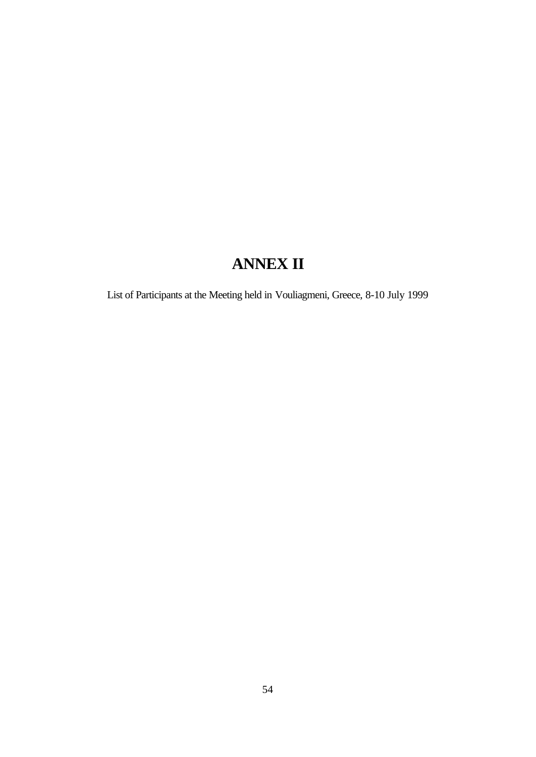# **ANNEX II**

List of Participants at the Meeting held in Vouliagmeni, Greece, 8-10 July 1999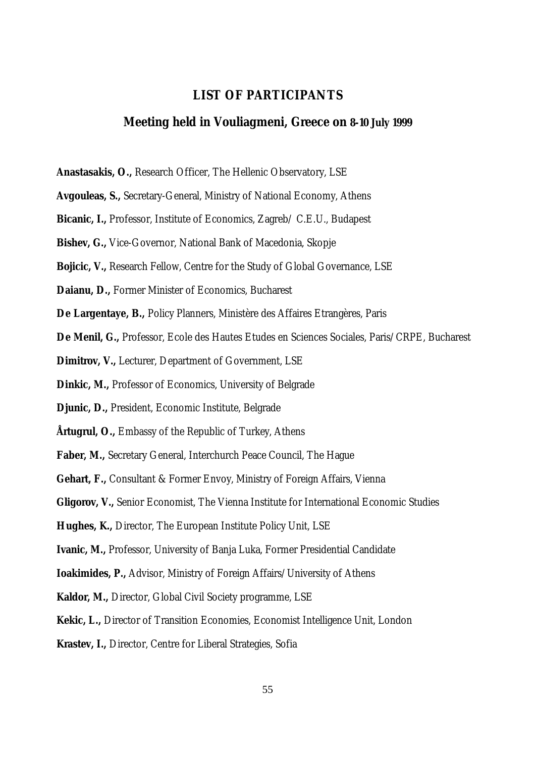### **LIST OF PARTICIPANTS**

## **Meeting held in Vouliagmeni, Greece on 8-10 July 1999**

- **Anastasakis, O.,** Research Officer, The Hellenic Observatory, LSE
- **Avgouleas, S.,** Secretary-General, Ministry of National Economy, Athens
- **Bicanic, I.,** Professor, Institute of Economics, Zagreb/ C.E.U., Budapest
- **Bishev, G.,** Vice-Governor, National Bank of Macedonia, Skopje
- **Bojicic, V., Research Fellow, Centre for the Study of Global Governance, LSE**
- **Daianu, D.,** Former Minister of Economics, Bucharest
- **De Largentaye, B.,** Policy Planners, Ministère des Affaires Etrangères, Paris
- **De Menil, G.,** Professor, Ecole des Hautes Etudes en Sciences Sociales, Paris/CRPE, Bucharest
- **Dimitrov, V.,** Lecturer, Department of Government, LSE
- **Dinkic, M.,** Professor of Economics, University of Belgrade
- **Djunic, D.,** President, Economic Institute, Belgrade
- **Årtugrul, O.,** Embassy of the Republic of Turkey, Athens
- **Faber, M.,** Secretary General, Interchurch Peace Council, The Hague
- **Gehart, F.,** Consultant & Former Envoy, Ministry of Foreign Affairs, Vienna
- **Gligorov, V.,** Senior Economist, The Vienna Institute for International Economic Studies
- **Hughes, K.,** Director, The European Institute Policy Unit, LSE
- **Ivanic, M.,** Professor, University of Banja Luka, Former Presidential Candidate
- **Ioakimides, P.,** Advisor, Ministry of Foreign Affairs/University of Athens
- **Kaldor, M.,** Director, Global Civil Society programme, LSE
- **Kekic, L.,** Director of Transition Economies, Economist Intelligence Unit, London
- **Krastev, I.,** Director, Centre for Liberal Strategies, Sofia